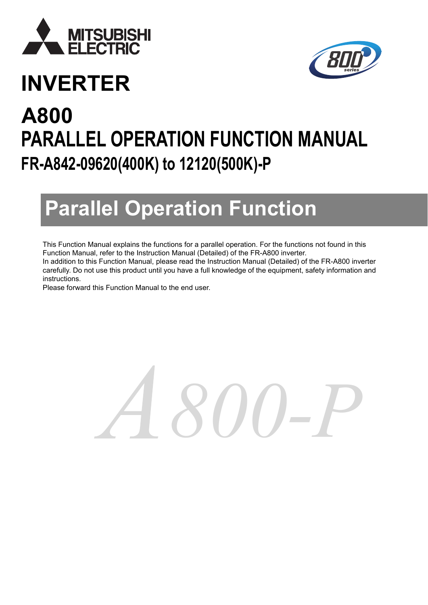

# **INVERTER**



# **PARALLEL OPERATION FUNCTION MANUAL FR-A842-09620(400K) to 12120(500K)-P A800**

# **Parallel Operation Function**

This Function Manual explains the functions for a parallel operation. For the functions not found in this Function Manual, refer to the Instruction Manual (Detailed) of the FR-A800 inverter.

In addition to this Function Manual, please read the Instruction Manual (Detailed) of the FR-A800 inverter carefully. Do not use this product until you have a full knowledge of the equipment, safety information and instructions.

Please forward this Function Manual to the end user.

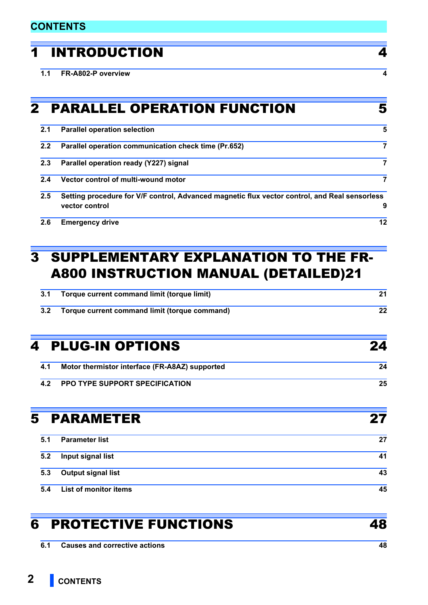**2 [CONTENTS](#page-1-0)**

## <span id="page-1-0"></span>**CONTENTS**

# [1 INTRODUCTION 4](#page-3-0)

**[1.1 FR-A802-P overview](#page-3-1) 4**

|     | <b>2 PARALLEL OPERATION FUNCTION</b>                                                                            | 5  |
|-----|-----------------------------------------------------------------------------------------------------------------|----|
| 2.1 | <b>Parallel operation selection</b>                                                                             | 5  |
| 2.2 | Parallel operation communication check time (Pr.652)                                                            |    |
| 2.3 | Parallel operation ready (Y227) signal                                                                          |    |
| 2.4 | Vector control of multi-wound motor                                                                             |    |
| 2.5 | Setting procedure for V/F control, Advanced magnetic flux vector control, and Real sensorless<br>vector control | 9  |
| 2.6 | <b>Emergency drive</b>                                                                                          | 12 |

# [3 SUPPLEMENTARY EXPLANATION TO THE FR-](#page-20-0)A800 INSTRUCTION MANUAL (DETAILED)21

| 3.1 | Torque current command limit (torque limit)   | 21 |
|-----|-----------------------------------------------|----|
| 3.2 | Torque current command limit (torque command) | 22 |

|     | 4 PLUG-IN OPTIONS                              |    |
|-----|------------------------------------------------|----|
| 4.1 | Motor thermistor interface (FR-A8AZ) supported | 24 |
| 4.2 | <b>PPO TYPE SUPPORT SPECIFICATION</b>          | 25 |

| <b>5 PARAMETER</b> |                              |    |
|--------------------|------------------------------|----|
| 5.1                | <b>Parameter list</b>        | 27 |
| 5.2                | Input signal list            | 41 |
| 5.3                | <b>Output signal list</b>    | 43 |
| 5.4                | <b>List of monitor items</b> | 45 |

# [6 PROTECTIVE FUNCTIONS 48](#page-47-0)

**[6.1 Causes and corrective actions 48](#page-47-1)**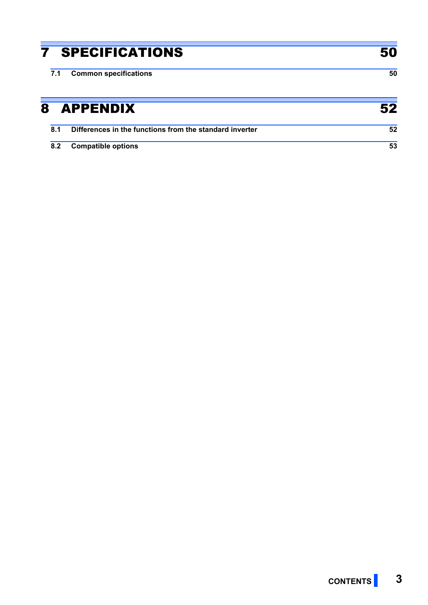| 7   | <b>SPECIFICATIONS</b>                                   | 50 |
|-----|---------------------------------------------------------|----|
| 7.1 | <b>Common specifications</b>                            | 50 |
| 8   | <b>APPENDIX</b>                                         | 52 |
| 8.1 | Differences in the functions from the standard inverter | 52 |
| 8.2 | <b>Compatible options</b>                               | 53 |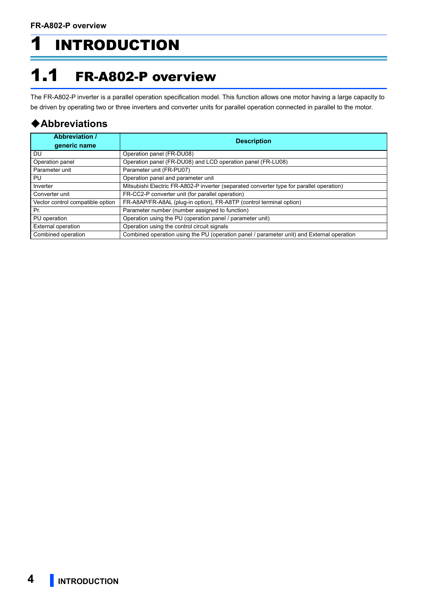# <span id="page-3-0"></span>1 INTRODUCTION

# <span id="page-3-1"></span>1.1 FR-A802-P overview

The FR-A802-P inverter is a parallel operation specification model. This function allows one motor having a large capacity to be driven by operating two or three inverters and converter units for parallel operation connected in parallel to the motor.

## **Abbreviations**

| <b>Abbreviation /</b><br>generic name | <b>Description</b>                                                                        |  |
|---------------------------------------|-------------------------------------------------------------------------------------------|--|
| <b>DU</b>                             | Operation panel (FR-DU08)                                                                 |  |
| Operation panel                       | Operation panel (FR-DU08) and LCD operation panel (FR-LU08)                               |  |
| Parameter unit                        | Parameter unit (FR-PU07)                                                                  |  |
| <b>PU</b>                             | Operation panel and parameter unit                                                        |  |
| Inverter                              | Mitsubishi Electric FR-A802-P inverter (separated converter type for parallel operation)  |  |
| Converter unit                        | FR-CC2-P converter unit (for parallel operation)                                          |  |
| Vector control compatible option      | FR-A8AP/FR-A8AL (plug-in option), FR-A8TP (control terminal option)                       |  |
| Pr.                                   | Parameter number (number assigned to function)                                            |  |
| PU operation                          | Operation using the PU (operation panel / parameter unit)                                 |  |
| <b>External operation</b>             | Operation using the control circuit signals                                               |  |
| Combined operation                    | Combined operation using the PU (operation panel / parameter unit) and External operation |  |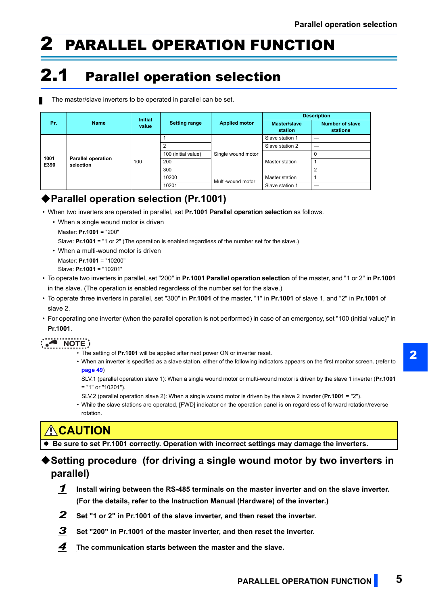# <span id="page-4-2"></span><span id="page-4-0"></span>PARALLEL OPERATION FUNCTION

# <span id="page-4-1"></span>2.1 Parallel operation selection

The master/slave inverters to be operated in parallel can be set.

| Pr.          | <b>Name</b>                            | <b>Initial</b><br><b>Setting range</b><br>value |                      |                         | <b>Description</b>                 |                |
|--------------|----------------------------------------|-------------------------------------------------|----------------------|-------------------------|------------------------------------|----------------|
|              |                                        |                                                 | <b>Applied motor</b> | Master/slave<br>station | <b>Number of slave</b><br>stations |                |
|              | <b>Parallel operation</b><br>selection |                                                 |                      |                         | Slave station 1                    |                |
|              |                                        | 100                                             | 2                    | Single wound motor      | Slave station 2                    |                |
|              |                                        |                                                 | 100 (initial value)  |                         | Master station                     |                |
| 1001<br>E390 |                                        |                                                 | 200                  |                         |                                    |                |
|              |                                        |                                                 | 300                  |                         |                                    | $\overline{2}$ |
|              |                                        |                                                 | 10200                | Multi-wound motor       | Master station                     |                |
|              |                                        |                                                 | 10201                |                         | Slave station 1                    |                |

## **Parallel operation selection (Pr.1001)**

- When two inverters are operated in parallel, set **Pr.1001** Parallel operation selection as follows.
	- When a single wound motor is driven
		- Master: **Pr.1001** = "200"
		- Slave: **Pr.1001** = "1 or 2" (The operation is enabled regardless of the number set for the slave.)
	- When a multi-wound motor is driven Master: **Pr.1001** = "10200"
		- Slave: **Pr.1001** = "10201"
- To operate two inverters in parallel, set "200" in **Pr.1001 Parallel operation selection** of the master, and "1 or 2" in **Pr.1001** in the slave. (The operation is enabled regardless of the number set for the slave.)
- To operate three inverters in parallel, set "300" in **Pr.1001** of the master, "1" in **Pr.1001** of slave 1, and "2" in **Pr.1001** of slave 2.
- For operating one inverter (when the parallel operation is not performed) in case of an emergency, set "100 (initial value)" in **Pr.1001**.

- **NOTE** • The setting of **Pr.1001** will be applied after next power ON or inverter reset.
	- When an inverter is specified as a slave station, either of the following indicators appears on the first monitor screen. (refer to **[page 49](#page-48-0)**)

SLV.1 (parallel operation slave 1): When a single wound motor or multi-wound motor is driven by the slave 1 inverter (**Pr.1001**  = "1" or "10201").

SLV.2 (parallel operation slave 2): When a single wound motor is driven by the slave 2 inverter (**Pr.1001** = "2").

 • While the slave stations are operated, [FWD] indicator on the operation panel is on regardless of forward rotation/reverse rotation.

# **CAUTION**

**Be sure to set Pr.1001 correctly. Operation with incorrect settings may damage the inverters.**

## **Setting procedure (for driving a single wound motor by two inverters in parallel)**

- *1* **Install wiring between the RS-485 terminals on the master inverter and on the slave inverter. (For the details, refer to the Instruction Manual (Hardware) of the inverter.)**
- *2* **Set "1 or 2" in Pr.1001 of the slave inverter, and then reset the inverter.**
- *3* **Set "200" in Pr.1001 of the master inverter, and then reset the inverter.**
- *4* **The communication starts between the master and the slave.**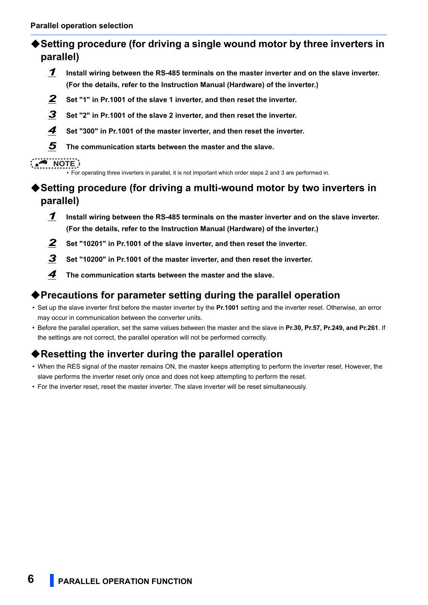## ◆ Setting procedure (for driving a single wound motor by three inverters in **parallel)**

- *1* **Install wiring between the RS-485 terminals on the master inverter and on the slave inverter. (For the details, refer to the Instruction Manual (Hardware) of the inverter.)**
- *2* **Set "1" in Pr.1001 of the slave 1 inverter, and then reset the inverter.**
- *3* **Set "2" in Pr.1001 of the slave 2 inverter, and then reset the inverter.**
- *4* **Set "300" in Pr.1001 of the master inverter, and then reset the inverter.**
- *5* **The communication starts between the master and the slave.**

**• • For operating three inverters in parallel, it is not important which order steps 2 and 3 are performed in.<br>● For operating three inverters in parallel, it is not important which order steps 2 and 3 are performed in.** 

## ◆ Setting procedure (for driving a multi-wound motor by two inverters in **parallel)**

- *1* **Install wiring between the RS-485 terminals on the master inverter and on the slave inverter. (For the details, refer to the Instruction Manual (Hardware) of the inverter.)**
- *2* **Set "10201" in Pr.1001 of the slave inverter, and then reset the inverter.**
- *3* **Set "10200" in Pr.1001 of the master inverter, and then reset the inverter.**
- *4* **The communication starts between the master and the slave.**

## **Precautions for parameter setting during the parallel operation**

- Set up the slave inverter first before the master inverter by the **Pr.1001** setting and the inverter reset. Otherwise, an error may occur in communication between the converter units.
- Before the parallel operation, set the same values between the master and the slave in **Pr.30, Pr.57, Pr.249, and Pr.261**. If the settings are not correct, the parallel operation will not be performed correctly.

## **Resetting the inverter during the parallel operation**

- When the RES signal of the master remains ON, the master keeps attempting to perform the inverter reset. However, the slave performs the inverter reset only once and does not keep attempting to perform the reset.
- For the inverter reset, reset the master inverter. The slave inverter will be reset simultaneously.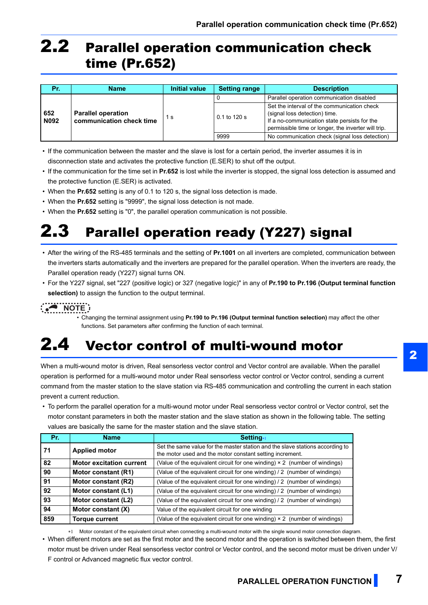# <span id="page-6-4"></span><span id="page-6-0"></span>2.2 Parallel operation communication check time (Pr.652)

| Pr.         | <b>Name</b>                                           | <b>Initial value</b> | <b>Setting range</b> | <b>Description</b>                                                                                                                                                                  |
|-------------|-------------------------------------------------------|----------------------|----------------------|-------------------------------------------------------------------------------------------------------------------------------------------------------------------------------------|
|             |                                                       |                      |                      | Parallel operation communication disabled                                                                                                                                           |
| 652<br>N092 | <b>Parallel operation</b><br>communication check time | l S                  | $0.1$ to 120 s       | Set the interval of the communication check<br>(signal loss detection) time.<br>If a no-communication state persists for the<br>permissible time or longer, the inverter will trip. |
|             |                                                       |                      | 9999                 | No communication check (signal loss detection)                                                                                                                                      |

- If the communication between the master and the slave is lost for a certain period, the inverter assumes it is in disconnection state and activates the protective function (E.SER) to shut off the output.
- If the communication for the time set in **Pr.652** is lost while the inverter is stopped, the signal loss detection is assumed and the protective function (E.SER) is activated.
- When the **Pr.652** setting is any of 0.1 to 120 s, the signal loss detection is made.
- When the **Pr.652** setting is "9999", the signal loss detection is not made.
- <span id="page-6-5"></span>• When the **Pr.652** setting is "0", the parallel operation communication is not possible.

# <span id="page-6-1"></span>2.3 Parallel operation ready (Y227) signal

- After the wiring of the RS-485 terminals and the setting of **Pr.1001** on all inverters are completed, communication between the inverters starts automatically and the inverters are prepared for the parallel operation. When the inverters are ready, the Parallel operation ready (Y227) signal turns ON.
- For the Y227 signal, set "227 (positive logic) or 327 (negative logic)" in any of **Pr.190 to Pr.196 (Output terminal function selection)** to assign the function to the output terminal.

**NOTE:**<br>Changing the terminal assignment using Pr.190 to Pr.196 (Output terminal function selection) may affect the other functions. Set parameters after confirming the function of each terminal.

# <span id="page-6-2"></span>2.4 Vector control of multi-wound motor

When a multi-wound motor is driven, Real sensorless vector control and Vector control are available. When the parallel operation is performed for a multi-wound motor under Real sensorless vector control or Vector control, sending a current command from the master station to the slave station via RS-485 communication and controlling the current in each station prevent a current reduction.

 • To perform the parallel operation for a multi-wound motor under Real sensorless vector control or Vector control, set the motor constant parameters in both the master station and the slave station as shown in the following table. The setting values are basically the same for the master station and the slave station.

| Pr. | <b>Name</b>                     | Setting <sub>*1</sub>                                                                                                                     |
|-----|---------------------------------|-------------------------------------------------------------------------------------------------------------------------------------------|
| 71  | <b>Applied motor</b>            | Set the same value for the master station and the slave stations according to<br>the motor used and the motor constant setting increment. |
| 82  | <b>Motor excitation current</b> | (Value of the equivalent circuit for one winding) $\times$ 2 (number of windings)                                                         |
| 90  | Motor constant (R1)             | (Value of the equivalent circuit for one winding) / 2 (number of windings)                                                                |
| 91  | Motor constant (R2)             | (Value of the equivalent circuit for one winding) / 2 (number of windings)                                                                |
| 92  | Motor constant (L1)             | (Value of the equivalent circuit for one winding) / 2 (number of windings)                                                                |
| 93  | Motor constant (L2)             | (Value of the equivalent circuit for one winding) / 2 (number of windings)                                                                |
| 94  | Motor constant (X)              | Value of the equivalent circuit for one winding                                                                                           |
| 859 | <b>Torque current</b>           | (Value of the equivalent circuit for one winding) $\times$ 2 (number of windings)                                                         |

Motor constant of the equivalent circuit when connecting a multi-wound motor with the single wound motor connection diagram.

<span id="page-6-3"></span> • When different motors are set as the first motor and the second motor and the operation is switched between them, the first motor must be driven under Real sensorless vector control or Vector control, and the second motor must be driven under V/ F control or Advanced magnetic flux vector control.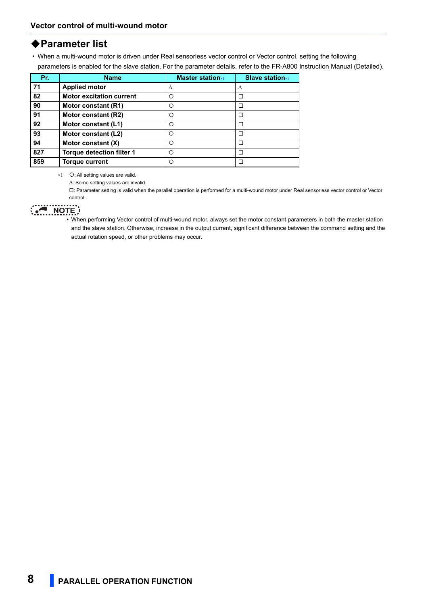• When a multi-wound motor is driven under Real sensorless vector control or Vector control, setting the following parameters is enabled for the slave station. For the parameter details, refer to the FR-A800 Instruction Manual (Detailed).

| Pr.  | <b>Name</b>                      | <b>Master station</b> *1 | <b>Slave station</b> <sup>*1</sup> |
|------|----------------------------------|--------------------------|------------------------------------|
| l 71 | <b>Applied motor</b>             | Λ                        | Δ                                  |
| 82   | <b>Motor excitation current</b>  | Ω                        | ⊏                                  |
| 90   | Motor constant (R1)              | ∩                        | П                                  |
| 91   | Motor constant (R2)              | ∩                        | □                                  |
| 92   | Motor constant (L1)              | Ω                        | □                                  |
| 93   | Motor constant (L2)              | Ω                        | П                                  |
| 94   | Motor constant (X)               | Ω                        | П                                  |
| 827  | <b>Torque detection filter 1</b> | ∩                        | П                                  |
| 859  | <b>Torque current</b>            |                          |                                    |

<span id="page-7-0"></span>\*1 O: All setting values are valid.

 $\Delta$ : Some setting values are invalid.

: Parameter setting is valid when the parallel operation is performed for a multi-wound motor under Real sensorless vector control or Vector control.

•••••••••••••<br>• When performing Vector control of multi-wound motor, always set the motor constant parameters in both the master station • and the slave station. Otherwise, increase in the output current, significant difference between the command setting and the actual rotation speed, or other problems may occur.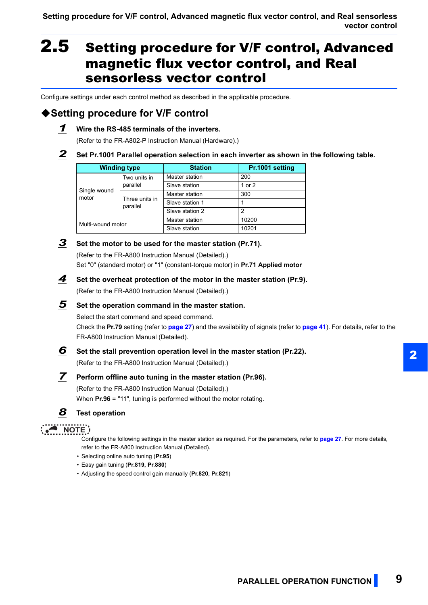# <span id="page-8-0"></span>2.5 Setting procedure for V/F control, Advanced magnetic flux vector control, and Real sensorless vector control

Configure settings under each control method as described in the applicable procedure.

## ◆ Setting procedure for V/F control

### *1* **Wire the RS-485 terminals of the inverters.**

(Refer to the FR-A802-P Instruction Manual (Hardware).)

- 
- *2* **Set Pr.1001 Parallel operation selection in each inverter as shown in the following table.**

| <b>Winding type</b>   |                            | <b>Station</b>  | Pr.1001 setting |
|-----------------------|----------------------------|-----------------|-----------------|
|                       | Two units in               | Master station  | 200             |
|                       | parallel                   | Slave station   | 1 or 2          |
| Single wound<br>motor |                            | Master station  | 300             |
|                       | Three units in<br>parallel | Slave station 1 |                 |
|                       |                            | Slave station 2 | 2               |
| Multi-wound motor     |                            | Master station  | 10200           |
|                       |                            | Slave station   | 10201           |

Set "0" (standard motor) or "1" (constant-torque motor) in **Pr.71 Applied motor**

- *3* **Set the motor to be used for the master station (Pr.71).** (Refer to the FR-A800 Instruction Manual (Detailed).)
- *4* **Set the overheat protection of the motor in the master station (Pr.9).**

(Refer to the FR-A800 Instruction Manual (Detailed).)

### *5* **Set the operation command in the master station.**

Select the start command and speed command. Check the **Pr.79** setting (refer to **[page 27](#page-26-2)**) and the availability of signals (refer to **[page 41](#page-40-1)**). For details, refer to the FR-A800 Instruction Manual (Detailed).

### *6* **Set the stall prevention operation level in the master station (Pr.22).**

(Refer to the FR-A800 Instruction Manual (Detailed).)

### *7* **Perform offline auto tuning in the master station (Pr.96).**

(Refer to the FR-A800 Instruction Manual (Detailed).) When **Pr.96** = "11", tuning is performed without the motor rotating.

### *8* **Test operation**

### $\left( \bullet \right)$  **NOTE**

Configure the following settings in the master station as required. For the parameters, refer to **[page 27](#page-26-2)**. For more details, refer to the FR-A800 Instruction Manual (Detailed).

- Selecting online auto tuning (**Pr.95**)
- Easy gain tuning (**Pr.819, Pr.880**)
- Adjusting the speed control gain manually (**Pr.820, Pr.821**)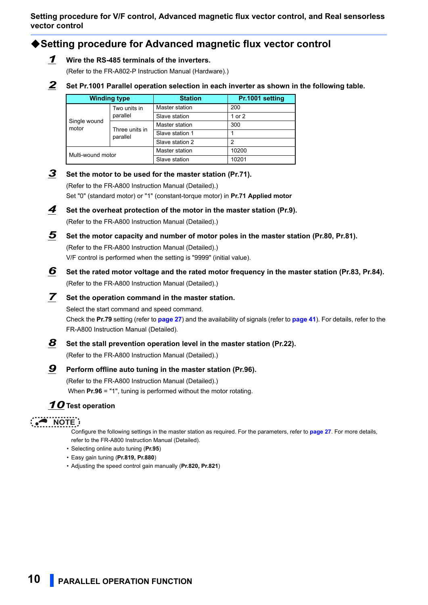### **Setting procedure for V/F control, Advanced magnetic flux vector control, and Real sensorless vector control**

## **Setting procedure for Advanced magnetic flux vector control**

### *1* **Wire the RS-485 terminals of the inverters.**

(Refer to the FR-A802-P Instruction Manual (Hardware).)

*2* **Set Pr.1001 Parallel operation selection in each inverter as shown in the following table.**

| <b>Winding type</b>   |                            | <b>Station</b>  | Pr.1001 setting |
|-----------------------|----------------------------|-----------------|-----------------|
|                       | Two units in               | Master station  | 200             |
|                       | parallel                   | Slave station   | 1 or 2          |
| Single wound<br>motor | Three units in<br>parallel | Master station  | 300             |
|                       |                            | Slave station 1 |                 |
|                       |                            | Slave station 2 | 2               |
| Multi-wound motor     |                            | Master station  | 10200           |
|                       |                            | Slave station   | 10201           |

## *3* **Set the motor to be used for the master station (Pr.71).**

(Refer to the FR-A800 Instruction Manual (Detailed).) Set "0" (standard motor) or "1" (constant-torque motor) in **Pr.71 Applied motor**

### *4* **Set the overheat protection of the motor in the master station (Pr.9).**

(Refer to the FR-A800 Instruction Manual (Detailed).)

- *5* **Set the motor capacity and number of motor poles in the master station (Pr.80, Pr.81).** (Refer to the FR-A800 Instruction Manual (Detailed).) V/F control is performed when the setting is "9999" (initial value).
- *6* **Set the rated motor voltage and the rated motor frequency in the master station (Pr.83, Pr.84).** (Refer to the FR-A800 Instruction Manual (Detailed).)

### *7* **Set the operation command in the master station.**

Select the start command and speed command.

Check the **Pr.79** setting (refer to **[page 27](#page-26-2)**) and the availability of signals (refer to **[page 41](#page-40-1)**). For details, refer to the FR-A800 Instruction Manual (Detailed).

*8* **Set the stall prevention operation level in the master station (Pr.22).**

(Refer to the FR-A800 Instruction Manual (Detailed).)

### *9* **Perform offline auto tuning in the master station (Pr.96).**

(Refer to the FR-A800 Instruction Manual (Detailed).) When **Pr.96** = "1", tuning is performed without the motor rotating.

## *10* **Test operation**

## **NOTE**

Configure the following settings in the master station as required. For the parameters, refer to **[page 27](#page-26-2)**. For more details, refer to the FR-A800 Instruction Manual (Detailed).

- Selecting online auto tuning (**Pr.95**)
- Easy gain tuning (**Pr.819, Pr.880**)
- Adjusting the speed control gain manually (**Pr.820, Pr.821**)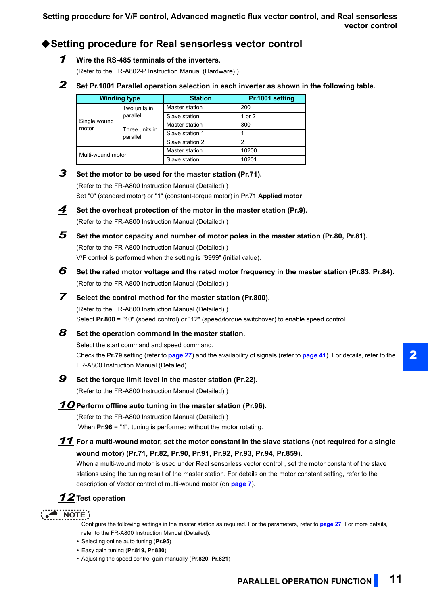## **Setting procedure for Real sensorless vector control**

### *1* **Wire the RS-485 terminals of the inverters.**

(Refer to the FR-A802-P Instruction Manual (Hardware).)

*2* **Set Pr.1001 Parallel operation selection in each inverter as shown in the following table.**

| <b>Winding type</b>   |                            | <b>Station</b>  | Pr.1001 setting |
|-----------------------|----------------------------|-----------------|-----------------|
|                       | Two units in               | Master station  | 200             |
| Single wound<br>motor | parallel                   | Slave station   | 1 or 2          |
|                       | Three units in<br>parallel | Master station  | 300             |
|                       |                            | Slave station 1 |                 |
|                       |                            | Slave station 2 | 2               |
| Multi-wound motor     |                            | Master station  | 10200           |
|                       |                            | Slave station   | 10201           |

### *3* **Set the motor to be used for the master station (Pr.71).**

(Refer to the FR-A800 Instruction Manual (Detailed).) Set "0" (standard motor) or "1" (constant-torque motor) in **Pr.71 Applied motor**

### *4* **Set the overheat protection of the motor in the master station (Pr.9).**

(Refer to the FR-A800 Instruction Manual (Detailed).)

*5* **Set the motor capacity and number of motor poles in the master station (Pr.80, Pr.81).** (Refer to the FR-A800 Instruction Manual (Detailed).)

V/F control is performed when the setting is "9999" (initial value).

*6* **Set the rated motor voltage and the rated motor frequency in the master station (Pr.83, Pr.84).** (Refer to the FR-A800 Instruction Manual (Detailed).)

### *7* **Select the control method for the master station (Pr.800).**

(Refer to the FR-A800 Instruction Manual (Detailed).) Select **Pr.800** = "10" (speed control) or "12" (speed/torque switchover) to enable speed control.

### *8* **Set the operation command in the master station.**

Select the start command and speed command.

Check the **Pr.79** setting (refer to **[page 27](#page-26-2)**) and the availability of signals (refer to **[page 41](#page-40-1)**). For details, refer to the FR-A800 Instruction Manual (Detailed).

### *9* **Set the torque limit level in the master station (Pr.22).**

(Refer to the FR-A800 Instruction Manual (Detailed).)

### *10* **Perform offline auto tuning in the master station (Pr.96).**

(Refer to the FR-A800 Instruction Manual (Detailed).) When **Pr.96** = "1", tuning is performed without the motor rotating.

### *11* **For a multi-wound motor, set the motor constant in the slave stations (not required for a single wound motor) (Pr.71, Pr.82, Pr.90, Pr.91, Pr.92, Pr.93, Pr.94, Pr.859).**

When a multi-wound motor is used under Real sensorless vector control , set the motor constant of the slave stations using the tuning result of the master station. For details on the motor constant setting, refer to the description of Vector control of multi-wound motor (on **[page 7](#page-6-2)**).

## *12* **Test operation**

**NOTE** Configure the following settings in the master station as required. For the parameters, refer to **[page 27](#page-26-2)**. For more details, refer to the FR-A800 Instruction Manual (Detailed).

- Selecting online auto tuning (**Pr.95**)
- Easy gain tuning (**Pr.819, Pr.880**)
- Adjusting the speed control gain manually (**Pr.820, Pr.821**)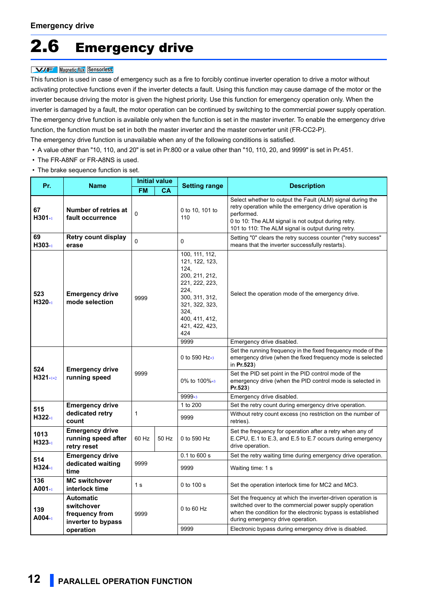# <span id="page-11-1"></span><span id="page-11-0"></span>2.6 Emergency drive

**This function is used in case of emergency such as a fire to forcibly continue inverter operation to drive a motor without This function is used in case of emergency such as a fire to forcibly continue inverter operation** activating protective functions even if the inverter detects a fault. Using this function may cause damage of the motor or the inverter because driving the motor is given the highest priority. Use this function for emergency operation only. When the inverter is damaged by a fault, the motor operation can be continued by switching to the commercial power supply operation. The emergency drive function is available only when the function is set in the master inverter. To enable the emergency drive function, the function must be set in both the master inverter and the master converter unit (FR-CC2-P). The emergency drive function is unavailable when any of the following conditions is satisfied.

• A value other than "10, 110, and 20" is set in Pr.800 or a value other than "10, 110, 20, and 9999" is set in Pr.451.

- The FR-A8NF or FR-A8NS is used.
- The brake sequence function is set.

| Pr.                       | <b>Name</b>                                                            | <b>Initial value</b> |       | <b>Setting range</b>                                                                                                                                                        | <b>Description</b>                                                                                                                                                                                                                              |  |
|---------------------------|------------------------------------------------------------------------|----------------------|-------|-----------------------------------------------------------------------------------------------------------------------------------------------------------------------------|-------------------------------------------------------------------------------------------------------------------------------------------------------------------------------------------------------------------------------------------------|--|
|                           |                                                                        | <b>FM</b>            | CA    |                                                                                                                                                                             |                                                                                                                                                                                                                                                 |  |
| 67<br>$H301_{*1}$         | Number of retries at<br>fault occurrence                               | 0                    |       | 0 to 10, 101 to<br>110                                                                                                                                                      | Select whether to output the Fault (ALM) signal during the<br>retry operation while the emergency drive operation is<br>performed.<br>0 to 10: The ALM signal is not output during retry.<br>101 to 110: The ALM signal is output during retry. |  |
| 69<br>H303*1              | <b>Retry count display</b><br>erase                                    | $\overline{0}$       |       | $\Omega$                                                                                                                                                                    | Setting "0" clears the retry success counter ("retry success"<br>means that the inverter successfully restarts).                                                                                                                                |  |
| 523<br>$H320_{*1}$        | <b>Emergency drive</b><br>mode selection                               | 9999                 |       | 100, 111, 112,<br>121, 122, 123,<br>124.<br>200, 211, 212,<br>221, 222, 223,<br>224,<br>300, 311, 312,<br>321, 322, 323,<br>324.<br>400, 411, 412,<br>421, 422, 423,<br>424 | Select the operation mode of the emergency drive.                                                                                                                                                                                               |  |
|                           |                                                                        |                      |       | 9999                                                                                                                                                                        | Emergency drive disabled.                                                                                                                                                                                                                       |  |
| 524                       |                                                                        | 9999                 |       | 0 to 590 Hz <sup>*3</sup>                                                                                                                                                   | Set the running frequency in the fixed frequency mode of the<br>emergency drive (when the fixed frequency mode is selected<br>in Pr.523)                                                                                                        |  |
| $H321**2$                 | <b>Emergency drive</b><br>running speed                                |                      |       | 0% to 100%*3                                                                                                                                                                | Set the PID set point in the PID control mode of the<br>emergency drive (when the PID control mode is selected in<br>Pr.523)                                                                                                                    |  |
|                           |                                                                        |                      |       | 9999*3                                                                                                                                                                      | Emergency drive disabled.                                                                                                                                                                                                                       |  |
| 515                       | <b>Emergency drive</b>                                                 |                      |       | 1 to 200                                                                                                                                                                    | Set the retry count during emergency drive operation.                                                                                                                                                                                           |  |
| H322*1                    | dedicated retry<br>count                                               | 1                    |       | 9999                                                                                                                                                                        | Without retry count excess (no restriction on the number of<br>retries).                                                                                                                                                                        |  |
| 1013<br>$H323*1$          | <b>Emergency drive</b><br>running speed after<br>retry reset           | 60 Hz                | 50 Hz | 0 to 590 Hz                                                                                                                                                                 | Set the frequency for operation after a retry when any of<br>E.CPU, E.1 to E.3, and E.5 to E.7 occurs during emergency<br>drive operation.                                                                                                      |  |
|                           | <b>Emergency drive</b>                                                 |                      |       | 0.1 to 600 s                                                                                                                                                                | Set the retry waiting time during emergency drive operation.                                                                                                                                                                                    |  |
| $H324*1$                  | 514<br>dedicated waiting<br>time                                       |                      |       | 9999                                                                                                                                                                        | Waiting time: 1 s                                                                                                                                                                                                                               |  |
| 136<br>A001 <sub>*1</sub> | <b>MC switchover</b><br>interlock time                                 | 1 s                  |       | 0 to 100 s                                                                                                                                                                  | Set the operation interlock time for MC2 and MC3.                                                                                                                                                                                               |  |
| 139<br>A004 <sub>*1</sub> | <b>Automatic</b><br>switchover<br>frequency from<br>inverter to bypass | 9999                 |       | 0 to 60 $Hz$                                                                                                                                                                | Set the frequency at which the inverter-driven operation is<br>switched over to the commercial power supply operation<br>when the condition for the electronic bypass is established<br>during emergency drive operation.                       |  |
|                           | operation                                                              |                      |       | 9999                                                                                                                                                                        | Electronic bypass during emergency drive is disabled.                                                                                                                                                                                           |  |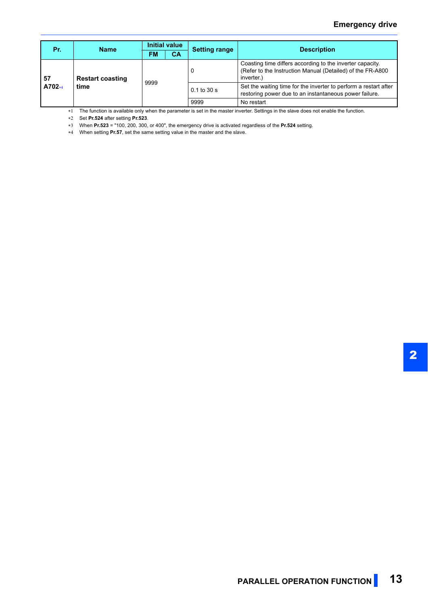### **Emergency drive**

| Pr.                           | <b>Name</b> | Initial value |    | <b>Setting range</b> | <b>Description</b>                                                                                                                    |  |
|-------------------------------|-------------|---------------|----|----------------------|---------------------------------------------------------------------------------------------------------------------------------------|--|
|                               |             | FM            | СA |                      |                                                                                                                                       |  |
| 57<br><b>Restart coasting</b> |             |               |    |                      | Coasting time differs according to the inverter capacity.<br>(Refer to the Instruction Manual (Detailed) of the FR-A800<br>inverter.) |  |
| A702 <sub>*4</sub><br>time    |             | 9999          |    | $0.1$ to 30 s        | Set the waiting time for the inverter to perform a restart after<br>restoring power due to an instantaneous power failure.            |  |
|                               |             |               |    | 9999                 | No restart                                                                                                                            |  |

<span id="page-12-0"></span>The function is available only when the parameter is set in the master inverter. Settings in the slave does not enable the function.

<span id="page-12-1"></span>Set **Pr.524** after setting **Pr.523**.

When **Pr.523** = "100, 200, 300, or 400", the emergency drive is activated regardless of the **Pr.524** setting.

<span id="page-12-3"></span><span id="page-12-2"></span>When setting **Pr.57**, set the same setting value in the master and the slave.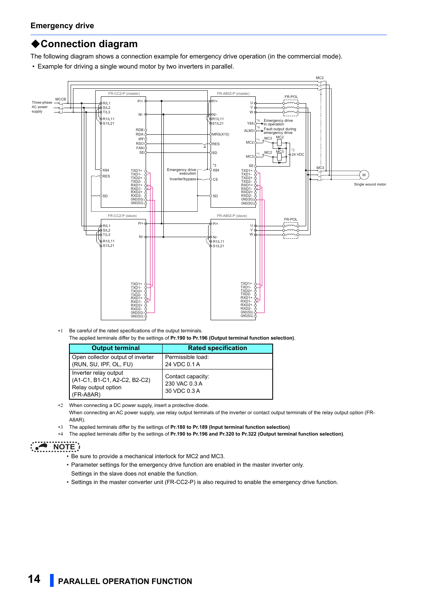## **Connection diagram**

The following diagram shows a connection example for emergency drive operation (in the commercial mode).

• Example for driving a single wound motor by two inverters in parallel.



\*1 Be careful of the rated specifications of the output terminals. The applied terminals differ by the settings of **Pr.190 to Pr.196 (Output terminal function selection)**.

| <b>Output terminal</b>                                                                      | <b>Rated specification</b>                         |
|---------------------------------------------------------------------------------------------|----------------------------------------------------|
| Open collector output of inverter<br>(RUN, SU, IPF, OL, FU)                                 | Permissible load:<br>24 VDC 0.1 A                  |
| Inverter relay output<br>(A1-C1, B1-C1, A2-C2, B2-C2)<br>Relay output option<br>$(FR-ABAR)$ | Contact capacity:<br>230 VAC 0.3 A<br>30 VDC 0.3 A |

- When connecting a DC power supply, insert a protective diode.
- When connecting an AC power supply, use relay output terminals of the inverter or contact output terminals of the relay output option (FR-A8AR).
- The applied terminals differ by the settings of **Pr.180 to Pr.189 (Input terminal function selection)**
- The applied terminals differ by the settings of **Pr.190 to Pr.196 and Pr.320 to Pr.322 (Output terminal function selection)**.

- **NOTE:**<br>
 Be sure to provide a mechanical interlock for MC2 and MC3.
	- Parameter settings for the emergency drive function are enabled in the master inverter only. Settings in the slave does not enable the function.
	- Settings in the master converter unit (FR-CC2-P) is also required to enable the emergency drive function.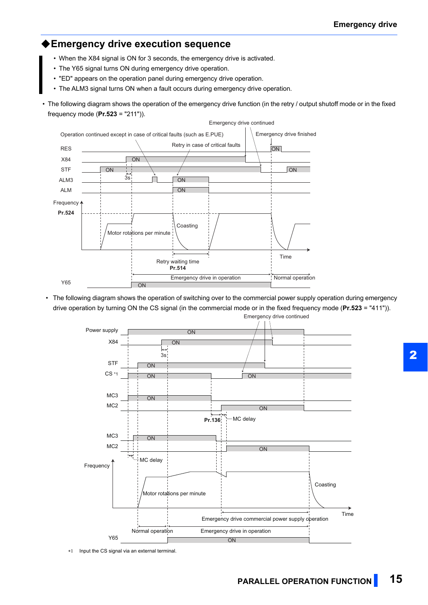## **Emergency drive execution sequence**

- When the X84 signal is ON for 3 seconds, the emergency drive is activated.
- The Y65 signal turns ON during emergency drive operation.
- "ED" appears on the operation panel during emergency drive operation.
- The ALM3 signal turns ON when a fault occurs during emergency drive operation.
- The following diagram shows the operation of the emergency drive function (in the retry / output shutoff mode or in the fixed frequency mode (**Pr.523** = "211")).



• The following diagram shows the operation of switching over to the commercial power supply operation during emergency drive operation by turning ON the CS signal (in the commercial mode or in the fixed frequency mode (**Pr.523** = "411")).



\*1 Input the CS signal via an external terminal.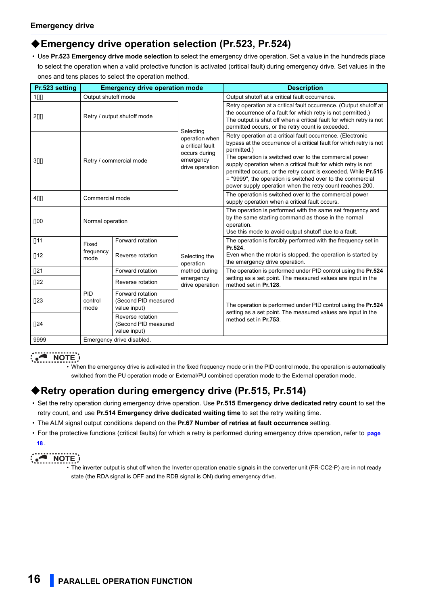## **Emergency drive operation selection (Pr.523, Pr.524)**

 • Use **Pr.523 Emergency drive mode selection** to select the emergency drive operation. Set a value in the hundreds place to select the operation when a valid protective function is activated (critical fault) during emergency drive. Set values in the ones and tens places to select the operation method.

| Pr.523 setting |                                                                                           | <b>Emergency drive operation mode</b>                    |                                                                                     | <b>Description</b>                                                                                                                                                                                                                                                                                                                                                                                                                                                       |  |  |
|----------------|-------------------------------------------------------------------------------------------|----------------------------------------------------------|-------------------------------------------------------------------------------------|--------------------------------------------------------------------------------------------------------------------------------------------------------------------------------------------------------------------------------------------------------------------------------------------------------------------------------------------------------------------------------------------------------------------------------------------------------------------------|--|--|
| $1$ [][]       | Output shutoff mode                                                                       |                                                          |                                                                                     | Output shutoff at a critical fault occurrence.                                                                                                                                                                                                                                                                                                                                                                                                                           |  |  |
| 200            |                                                                                           | Retry / output shutoff mode                              | Selecting                                                                           | Retry operation at a critical fault occurrence. (Output shutoff at<br>the occurrence of a fault for which retry is not permitted.)<br>The output is shut off when a critical fault for which retry is not<br>permitted occurs, or the retry count is exceeded.                                                                                                                                                                                                           |  |  |
| 3[             |                                                                                           | Retry / commercial mode                                  | operation when<br>a critical fault<br>occurs during<br>emergency<br>drive operation | Retry operation at a critical fault occurrence. (Electronic<br>bypass at the occurrence of a critical fault for which retry is not<br>permitted.)<br>The operation is switched over to the commercial power<br>supply operation when a critical fault for which retry is not<br>permitted occurs, or the retry count is exceeded. While Pr.515<br>= "9999", the operation is switched over to the commercial<br>power supply operation when the retry count reaches 200. |  |  |
| 400            | Commercial mode                                                                           |                                                          |                                                                                     | The operation is switched over to the commercial power<br>supply operation when a critical fault occurs.                                                                                                                                                                                                                                                                                                                                                                 |  |  |
| []00           | Normal operation                                                                          |                                                          |                                                                                     | The operation is performed with the same set frequency and<br>by the same starting command as those in the normal<br>operation.<br>Use this mode to avoid output shutoff due to a fault.                                                                                                                                                                                                                                                                                 |  |  |
| []11           | Fixed                                                                                     | Forward rotation                                         |                                                                                     | The operation is forcibly performed with the frequency set in                                                                                                                                                                                                                                                                                                                                                                                                            |  |  |
| []12           | frequency<br>mode                                                                         | Reverse rotation                                         | Selecting the<br>operation                                                          | Pr.524<br>Even when the motor is stopped, the operation is started by<br>the emergency drive operation.                                                                                                                                                                                                                                                                                                                                                                  |  |  |
| []21           |                                                                                           | Forward rotation                                         | method during                                                                       | The operation is performed under PID control using the Pr.524                                                                                                                                                                                                                                                                                                                                                                                                            |  |  |
| []22           |                                                                                           | Reverse rotation                                         | emergency<br>drive operation                                                        | setting as a set point. The measured values are input in the<br>method set in Pr.128.                                                                                                                                                                                                                                                                                                                                                                                    |  |  |
| $\P$ 23        | <b>PID</b><br>Forward rotation<br>(Second PID measured<br>control<br>value input)<br>mode |                                                          |                                                                                     | The operation is performed under PID control using the Pr.524<br>setting as a set point. The measured values are input in the                                                                                                                                                                                                                                                                                                                                            |  |  |
| $\P$ 24        |                                                                                           | Reverse rotation<br>(Second PID measured<br>value input) |                                                                                     | method set in Pr.753.                                                                                                                                                                                                                                                                                                                                                                                                                                                    |  |  |
| 9999           | Emergency drive disabled.                                                                 |                                                          |                                                                                     |                                                                                                                                                                                                                                                                                                                                                                                                                                                                          |  |  |

**NOTE** • When the emergency drive is activated in the fixed frequency mode or in the PID control mode, the operation is automatically switched from the PU operation mode or External/PU combined operation mode to the External operation mode.

## <span id="page-15-0"></span>◆ Retry operation during emergency drive (Pr.515, Pr.514)

- Set the retry operation during emergency drive operation. Use **Pr.515 Emergency drive dedicated retry count** to set the retry count, and use Pr.514 Emergency drive dedicated waiting time to set the retry waiting time.
- The ALM signal output conditions depend on the **Pr.67 Number of retries at fault occurrence** setting.
- For the protective functions (critical faults) for which a retry is performed during emergency drive operation, refer to **[page](#page-17-0)**

### **[18](#page-17-0)** .

**■ • The inverter output is shut off when the Inverter operation enable signals in the converter unit (FR-CC2-P) are in not ready<br>● The inverter output is shut off when the Inverter operation enable signals in the convert** state (the RDA signal is OFF and the RDB signal is ON) during emergency drive.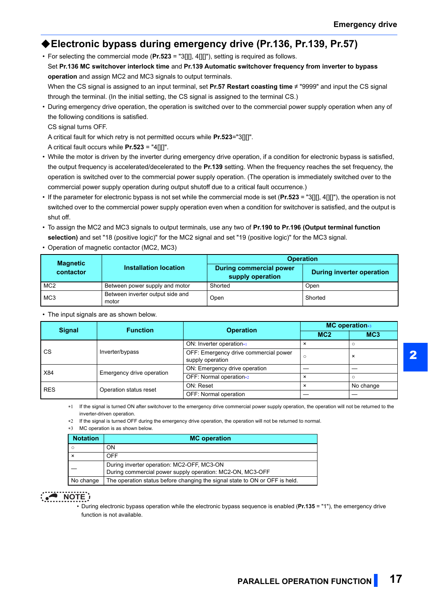## **Electronic bypass during emergency drive (Pr.136, Pr.139, Pr.57)**

• For selecting the commercial mode (**Pr.523** = "3[][], 4[][]"), setting is required as follows.

Set **Pr.136 MC switchover interlock time** and **Pr.139 Automatic switchover frequency from inverter to bypass operation** and assign MC2 and MC3 signals to output terminals.

When the CS signal is assigned to an input terminal, set **Pr.57 Restart coasting time** ≠ "9999" and input the CS signal through the terminal. (In the initial setting, the CS signal is assigned to the terminal CS.)

 • During emergency drive operation, the operation is switched over to the commercial power supply operation when any of the following conditions is satisfied.

CS signal turns OFF.

A critical fault for which retry is not permitted occurs while **Pr.523**="3[][]".

A critical fault occurs while **Pr.523** = "4[][]".

- While the motor is driven by the inverter during emergency drive operation, if a condition for electronic bypass is satisfied, the output frequency is accelerated/decelerated to the **Pr.139** setting. When the frequency reaches the set frequency, the operation is switched over to the commercial power supply operation. (The operation is immediately switched over to the commercial power supply operation during output shutoff due to a critical fault occurrence.)
- If the parameter for electronic bypass is not set while the commercial mode is set (**Pr.523** = "3[][], 4[][]"), the operation is not switched over to the commercial power supply operation even when a condition for switchover is satisfied, and the output is shut off.
- To assign the MC2 and MC3 signals to output terminals, use any two of **Pr.190 to Pr.196 (Output terminal function selection)** and set "18 (positive logic)" for the MC2 signal and set "19 (positive logic)" for the MC3 signal.
- Operation of magnetic contactor (MC2, MC3)

| <b>Magnetic</b> |                                           | <b>Operation</b>                            |                           |  |  |
|-----------------|-------------------------------------------|---------------------------------------------|---------------------------|--|--|
| contactor       | <b>Installation location</b>              | During commercial power<br>supply operation | During inverter operation |  |  |
| MC <sub>2</sub> | Between power supply and motor            | Shorted                                     | Open                      |  |  |
| MC <sub>3</sub> | Between inverter output side and<br>motor | Open                                        | Shorted                   |  |  |

• The input signals are as shown below.

| <b>Signal</b> | <b>Function</b>           | <b>Operation</b>                                          | <b>MC operation</b> <sup>8</sup> |                 |  |
|---------------|---------------------------|-----------------------------------------------------------|----------------------------------|-----------------|--|
|               |                           |                                                           | MC <sub>2</sub>                  | MC <sub>3</sub> |  |
|               |                           | ON: Inverter operation*1                                  | $\boldsymbol{\mathsf{x}}$        |                 |  |
| <b>CS</b>     | Inverter/bypass           | OFF: Emergency drive commercial power<br>supply operation | $\circ$                          | $\times$        |  |
| X84           | Emergency drive operation | ON: Emergency drive operation                             |                                  |                 |  |
|               |                           | OFF: Normal operation*2                                   | $\boldsymbol{\mathsf{x}}$        | O               |  |
| <b>RES</b>    | Operation status reset    | ON: Reset                                                 | $\boldsymbol{\mathsf{x}}$        | No change       |  |
|               |                           | OFF: Normal operation                                     |                                  |                 |  |

<span id="page-16-0"></span>\*1 If the signal is turned ON after switchover to the emergency drive commercial power supply operation, the operation will not be returned to the inverter-driven operation.

<span id="page-16-1"></span>\*2 If the signal is turned OFF during the emergency drive operation, the operation will not be returned to normal.

<span id="page-16-2"></span>MC operation is as shown below.

| <b>Notation</b> | <b>MC</b> operation                                                                                     |  |  |  |  |  |
|-----------------|---------------------------------------------------------------------------------------------------------|--|--|--|--|--|
|                 | ON                                                                                                      |  |  |  |  |  |
|                 | <b>OFF</b>                                                                                              |  |  |  |  |  |
|                 | During inverter operation: MC2-OFF, MC3-ON<br>During commercial power supply operation: MC2-ON, MC3-OFF |  |  |  |  |  |
| No change       | The operation status before changing the signal state to ON or OFF is held.                             |  |  |  |  |  |

**• • During electronic bypass operation while the electronic bypass sequence is enabled (Pr.135 = "1"), the emergency drive • During electronic bypass operation while the electronic bypass sequence is enabled (Pr.135 = "1"** function is not available.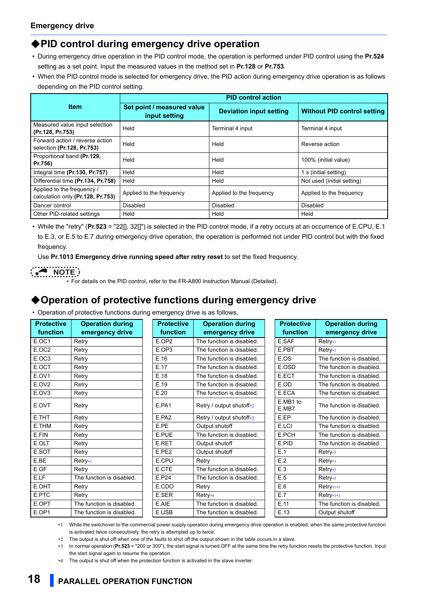## **PID control during emergency drive operation**

- During emergency drive operation in the PID control mode, the operation is performed under PID control using the **Pr.524** setting as a set point. Input the measured values in the method set in **Pr.128** or **Pr.753**.
- When the PID control mode is selected for emergency drive, the PID action during emergency drive operation is as follows depending on the PID control setting.

|                                                                 | <b>PID control action</b>                   |                                |                                    |  |  |  |  |
|-----------------------------------------------------------------|---------------------------------------------|--------------------------------|------------------------------------|--|--|--|--|
| <b>Item</b>                                                     | Set point / measured value<br>input setting | <b>Deviation input setting</b> | <b>Without PID control setting</b> |  |  |  |  |
| Measured value input selection<br>(Pr.128, Pr.753)              | Held                                        | Terminal 4 input               | Terminal 4 input                   |  |  |  |  |
| Forward action / reverse action<br>selection (Pr.128, Pr.753)   | Held                                        | Held                           | Reverse action                     |  |  |  |  |
| Proportional band (Pr.129,<br>Pr.756)                           | Held                                        | Held                           | 100% (initial value)               |  |  |  |  |
| Integral time (Pr.130, Pr.757)                                  | Held                                        | Held                           | 1 s (initial setting)              |  |  |  |  |
| Differential time (Pr.134, Pr.758)                              | Held                                        | Held                           | Not used (initial setting)         |  |  |  |  |
| Applied to the frequency /<br>calculation only (Pr.128, Pr.753) | Applied to the frequency                    | Applied to the frequency       | Applied to the frequency           |  |  |  |  |
| Dancer control                                                  | Disabled                                    | <b>Disabled</b>                | <b>Disabled</b>                    |  |  |  |  |
| Other PID-related settings                                      | Held                                        | Held                           | Held                               |  |  |  |  |

 • While the "retry" (**Pr.523** = "22[], 32[]") is selected in the PID control mode, if a retry occurs at an occurrence of E.CPU, E.1 to E.3, or E.5 to E.7 during emergency drive operation, the operation is performed not under PID control but with the fixed frequency.

Use **Pr.1013 Emergency drive running speed after retry reset** to set the fixed frequency.

**NOTE:**<br>• For details on the PID control, refer to the FR-A800 Instruction Manual (Detailed).

## <span id="page-17-0"></span>**Operation of protective functions during emergency drive**

• Operation of protective functions during emergency drive is as follows.

| <b>Protective</b><br>function | <b>Operation during</b><br>emergency drive | <b>Protective</b><br>function | <b>Operation during</b><br>emergency drive | <b>Protective</b><br>function | <b>Operation during</b><br>emergency drive |
|-------------------------------|--------------------------------------------|-------------------------------|--------------------------------------------|-------------------------------|--------------------------------------------|
| E.OC1                         | Retry                                      | E.OP <sub>2</sub>             | The function is disabled.                  | E.SAF                         | $Retry_{*1}$                               |
| E.OC <sub>2</sub>             | Retry                                      | E.OP3                         | The function is disabled.                  | E.PBT                         | $Retrv*1$                                  |
| E.OC3                         | Retry                                      | E.16                          | The function is disabled.                  | E.OS                          | The function is disabled.                  |
| E.OCT                         | Retry                                      | E.17                          | The function is disabled.                  | E.OSD                         | The function is disabled.                  |
| E.OV1                         | Retry                                      | E.18                          | The function is disabled.                  | E.ECT                         | The function is disabled.                  |
| E.OV <sub>2</sub>             | Retry                                      | E.19                          | The function is disabled.                  | E.OD                          | The function is disabled.                  |
| E.OV3                         | Retry                                      | E.20                          | The function is disabled.                  | E.ECA                         | The function is disabled.                  |
| E.OVT                         | Retry                                      | E.PA1                         | Retry / output shutoff*2                   | E.MB1 to<br>E.MB7             | The function is disabled.                  |
| E.THT                         | Retry                                      | E.PA2                         | Retry / output shutoff*2                   | E.EP                          | The function is disabled.                  |
| E.THM                         | Retry                                      | E.PE                          | Output shutoff                             | E.LCI                         | The function is disabled.                  |
| E.FIN                         | Retry                                      | E.PUE                         | The function is disabled.                  | E.PCH                         | The function is disabled.                  |
| E.OLT                         | Retry                                      | E.RET                         | Output shutoff                             | E.PID                         | The function is disabled.                  |
| E.SOT                         | Retry                                      | E.PE2                         | Output shutoff                             | E.1                           | $Retry_{*3}$                               |
| E.BE                          | $Retry_{*1}$                               | E.CPU                         | Retry                                      | E.2                           | $Retry_{*3}$                               |
| E.GF                          | Retry                                      | E.CTE                         | The function is disabled.                  | E.3                           | $Retrv*3$                                  |
| E.LF                          | The function is disabled.                  | E.P24                         | The function is disabled.                  | E.5                           | $Retry_{*3}$                               |
| E.OHT                         | Retry                                      | E.CDO                         | Retry                                      | E.6                           | $Retrv*1*3$                                |
| E.PTC                         | Retry                                      | E.SER                         | Retry <sub>*4</sub>                        | E.7                           | $Retry*1*3$                                |
| E.OPT                         | The function is disabled.                  | E.AIE                         | The function is disabled.                  | E.11                          | The function is disabled.                  |
| E.OP1                         | The function is disabled.                  | E.USB                         | The function is disabled.                  | E.13                          | Output shutoff                             |

<span id="page-17-2"></span> While the switchover to the commercial power supply operation during emergency drive operation is enabled, when the same protective function is activated twice consecutively, the retry is attempted up to twice.

<span id="page-17-3"></span>The output is shut off when one of the faults to shut off the output shown in the table occurs in a slave.

<span id="page-17-1"></span> In normal operation (**Pr.523** = "200 or 300"), the start signal is turned OFF at the same time the retry function resets the protective function. Input the start signal again to resume the operation.

<span id="page-17-4"></span>The output is shut off when the protection function is activated in the slave inverter.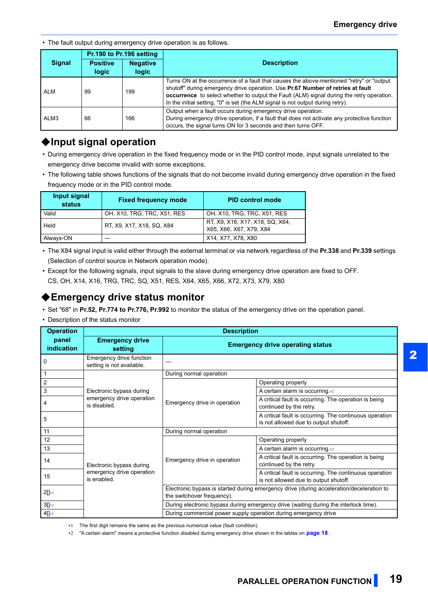• The fault output during emergency drive operation is as follows.

|               | Pr.190 to Pr.196 setting                                    |     |                                                                                                                                                                                                                                                                                                                                                             |  |
|---------------|-------------------------------------------------------------|-----|-------------------------------------------------------------------------------------------------------------------------------------------------------------------------------------------------------------------------------------------------------------------------------------------------------------------------------------------------------------|--|
| <b>Signal</b> | <b>Positive</b><br><b>Negative</b><br><b>logic</b><br>logic |     | <b>Description</b>                                                                                                                                                                                                                                                                                                                                          |  |
| ALM           | 99                                                          | 199 | Turns ON at the occurrence of a fault that causes the above-mentioned "retry" or "output<br>shutoff" during emergency drive operation. Use Pr.67 Number of retries at fault<br>occurrence to select whether to output the Fault (ALM) signal during the retry operation.<br>In the initial setting, "0" is set (the ALM signal is not output during retry). |  |
| ALM3          | 66                                                          | 166 | Output when a fault occurs during emergency drive operation.<br>During emergency drive operation, if a fault that does not activate any protective function<br>occurs, the signal turns ON for 3 seconds and then turns OFF.                                                                                                                                |  |

## **Input signal operation**

- During emergency drive operation in the fixed frequency mode or in the PID control mode, input signals unrelated to the emergency drive become invalid with some exceptions.
- The following table shows functions of the signals that do not become invalid during emergency drive operation in the fixed frequency mode or in the PID control mode.

| Input signal<br>status | <b>Fixed frequency mode</b> | <b>PID control mode</b>                                    |
|------------------------|-----------------------------|------------------------------------------------------------|
| Valid                  | OH, X10, TRG, TRC, X51, RES | OH, X10, TRG, TRC, X51, RES                                |
| Held                   | RT, X9, X17, X18, SQ, X84   | RT, X9, X16, X17, X18, SQ, X64,<br>X65, X66, X67, X79, X84 |
| Always-ON              |                             | X14, X77, X78, X80                                         |

 • The X84 signal input is valid either through the external terminal or via network regardless of the **Pr.338** and **Pr.339** settings (Selection of control source in Network operation mode).

 • Except for the following signals, input signals to the slave during emergency drive operation are fixed to OFF. CS, OH, X14, X16, TRG, TRC, SQ, X51, RES, X64, X65, X66, X72, X73, X79, X80

## **Emergency drive status monitor**

- Set "68" in **Pr.52, Pr.774 to Pr.776, Pr.992** to monitor the status of the emergency drive on the operation panel.
- Description of the status monitor

| <b>Operation</b>    |                                                       | <b>Description</b>                                                                                                     |                                                                                                  |  |  |  |
|---------------------|-------------------------------------------------------|------------------------------------------------------------------------------------------------------------------------|--------------------------------------------------------------------------------------------------|--|--|--|
| panel<br>indication | <b>Emergency drive</b><br>setting                     | <b>Emergency drive operating status</b>                                                                                |                                                                                                  |  |  |  |
| 0                   | Emergency drive function<br>setting is not available. |                                                                                                                        |                                                                                                  |  |  |  |
|                     |                                                       | During normal operation                                                                                                |                                                                                                  |  |  |  |
| $\overline{2}$      |                                                       |                                                                                                                        | Operating properly                                                                               |  |  |  |
| 3                   | Electronic bypass during                              |                                                                                                                        | A certain alarm is occurring. $*2$                                                               |  |  |  |
| 4                   | emergency drive operation<br>is disabled.             | Emergency drive in operation                                                                                           | A critical fault is occurring. The operation is being<br>continued by the retry.                 |  |  |  |
| 5                   |                                                       |                                                                                                                        | A critical fault is occurring. The continuous operation<br>is not allowed due to output shutoff. |  |  |  |
| 11                  |                                                       | During normal operation                                                                                                |                                                                                                  |  |  |  |
| 12                  |                                                       |                                                                                                                        | Operating properly                                                                               |  |  |  |
| 13                  |                                                       |                                                                                                                        | A certain alarm is occurring.*2                                                                  |  |  |  |
| 14                  | Electronic bypass during                              | Emergency drive in operation                                                                                           | A critical fault is occurring. The operation is being<br>continued by the retry.                 |  |  |  |
| 15                  | emergency drive operation<br>is enabled.              |                                                                                                                        | A critical fault is occurring. The continuous operation<br>is not allowed due to output shutoff. |  |  |  |
| $2[]*1$             |                                                       | Electronic bypass is started during emergency drive (during acceleration/deceleration to<br>the switchover frequency). |                                                                                                  |  |  |  |
| $3[]*1$             |                                                       |                                                                                                                        | During electronic bypass during emergency drive (waiting during the interlock time).             |  |  |  |
| $4[]*1$             |                                                       | During commercial power supply operation during emergency drive                                                        |                                                                                                  |  |  |  |

<span id="page-18-0"></span>The first digit remains the same as the previous numerical value (fault condition).

<span id="page-18-1"></span>"A certain alarm" means a protective function disabled during emergency drive shown in the tables on **[page 18](#page-17-0)** .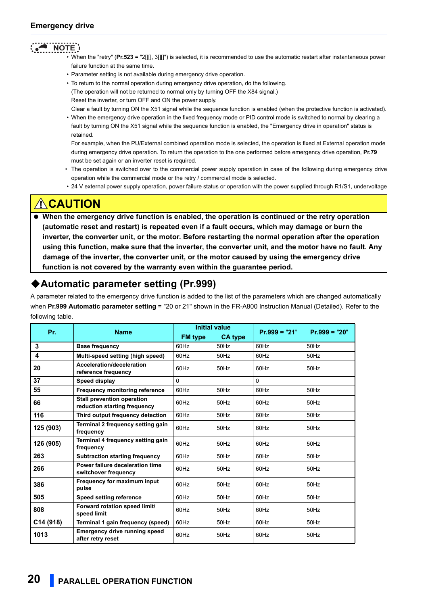### **Emergency drive**

- **NOTE** • When the "retry" (**Pr.523** = "2[][], 3[][]") is selected, it is recommended to use the automatic restart after instantaneous power failure function at the same time.
	- Parameter setting is not available during emergency drive operation.
	- To return to the normal operation during emergency drive operation, do the following. (The operation will not be returned to normal only by turning OFF the X84 signal.) Reset the inverter, or turn OFF and ON the power supply.

Clear a fault by turning ON the X51 signal while the sequence function is enabled (when the protective function is activated).

 • When the emergency drive operation in the fixed frequency mode or PID control mode is switched to normal by clearing a fault by turning ON the X51 signal while the sequence function is enabled, the "Emergency drive in operation" status is retained.

For example, when the PU/External combined operation mode is selected, the operation is fixed at External operation mode during emergency drive operation. To return the operation to the one performed before emergency drive operation, **Pr.79** must be set again or an inverter reset is required.

• The operation is switched over to the commercial power supply operation in case of the following during emergency drive operation while the commercial mode or the retry / commercial mode is selected.

• 24 V external power supply operation, power failure status or operation with the power supplied through R1/S1, undervoltage

# **CAUTION**

 **When the emergency drive function is enabled, the operation is continued or the retry operation (automatic reset and restart) is repeated even if a fault occurs, which may damage or burn the inverter, the converter unit, or the motor. Before restarting the normal operation after the operation using this function, make sure that the inverter, the converter unit, and the motor have no fault. Any damage of the inverter, the converter unit, or the motor caused by using the emergency drive function is not covered by the warranty even within the guarantee period.**

## **Automatic parameter setting (Pr.999)**

A parameter related to the emergency drive function is added to the list of the parameters which are changed automatically when **Pr.999 Automatic parameter setting** = "20 or 21" shown in the FR-A800 Instruction Manual (Detailed). Refer to the following table.

| Pr.       | <b>Name</b>                                                       | <b>Initial value</b> |                | $Pr.999 = "21"$ | $Pr.999 = "20"$ |
|-----------|-------------------------------------------------------------------|----------------------|----------------|-----------------|-----------------|
|           |                                                                   | <b>FM type</b>       | <b>CA type</b> |                 |                 |
| 3         | <b>Base frequency</b>                                             | 60Hz                 | $50$ Hz        | 60Hz            | 50Hz            |
| 4         | Multi-speed setting (high speed)                                  | 60Hz                 | 50Hz           | 60Hz            | 50Hz            |
| 20        | Acceleration/deceleration<br>reference frequency                  | 60Hz                 | 50Hz           | 60Hz            | 50Hz            |
| 37        | Speed display                                                     | $\Omega$             |                | $\Omega$        |                 |
| 55        | Frequency monitoring reference                                    | 60Hz                 | 50Hz           | 60Hz            | 50Hz            |
| 66        | <b>Stall prevention operation</b><br>reduction starting frequency | 60Hz                 | $50$ Hz        | 60Hz            | 50Hz            |
| 116       | Third output frequency detection                                  | 60Hz                 | 50Hz           | 60Hz            | 50Hz            |
| 125 (903) | Terminal 2 frequency setting gain<br>frequency                    | 60Hz                 | 50Hz           | 60Hz            | 50Hz            |
| 126 (905) | Terminal 4 frequency setting gain<br>frequency                    | 60Hz                 | 50Hz           | 60Hz            | 50Hz            |
| 263       | <b>Subtraction starting frequency</b>                             | 60Hz                 | 50Hz           | 60Hz            | 50Hz            |
| 266       | Power failure deceleration time<br>switchover frequency           | 60Hz                 | 50Hz           | 60Hz            | $50$ Hz         |
| 386       | Frequency for maximum input<br>pulse                              | 60Hz                 | 50Hz           | 60Hz            | 50Hz            |
| 505       | <b>Speed setting reference</b>                                    | 60Hz                 | 50Hz           | 60Hz            | 50Hz            |
| 808       | Forward rotation speed limit/<br>speed limit                      | 60Hz                 | 50Hz           | 60Hz            | 50Hz            |
| C14 (918) | Terminal 1 gain frequency (speed)                                 | 60Hz                 | 50Hz           | 60Hz            | 50Hz            |
| 1013      | <b>Emergency drive running speed</b><br>after retry reset         | 60Hz                 | 50Hz           | 60Hz            | 50Hz            |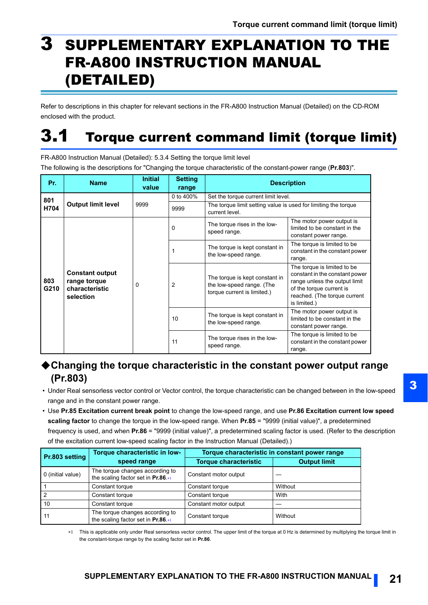# <span id="page-20-0"></span>3 SUPPLEMENTARY EXPLANATION TO THE FR-A800 INSTRUCTION MANUAL (DETAILED)

Refer to descriptions in this chapter for relevant sections in the FR-A800 Instruction Manual (Detailed) on the CD-ROM enclosed with the product.

# <span id="page-20-1"></span>3.1 Torque current command limit (torque limit)

FR-A800 Instruction Manual (Detailed): 5.3.4 Setting the torque limit level

The following is the descriptions for "Changing the torque characteristic of the constant-power range (**Pr.803**)".

| Pr.                                                                                  | <b>Name</b>               | <b>Initial</b><br>value | <b>Setting</b><br>range                                                                    | <b>Description</b>                                                                                                                                                         |                                                                                     |
|--------------------------------------------------------------------------------------|---------------------------|-------------------------|--------------------------------------------------------------------------------------------|----------------------------------------------------------------------------------------------------------------------------------------------------------------------------|-------------------------------------------------------------------------------------|
| 801                                                                                  |                           |                         | 0 to 400%                                                                                  | Set the torque current limit level.                                                                                                                                        |                                                                                     |
| H704                                                                                 | <b>Output limit level</b> | 9999                    | 9999                                                                                       | The torque limit setting value is used for limiting the torque<br>current level.                                                                                           |                                                                                     |
|                                                                                      |                           |                         | 0                                                                                          | The torque rises in the low-<br>speed range.                                                                                                                               | The motor power output is<br>limited to be constant in the<br>constant power range. |
| <b>Constant output</b><br>803<br>range torque<br>G210<br>characteristic<br>selection | 0                         | 1                       | The torque is kept constant in<br>the low-speed range.                                     | The torque is limited to be<br>constant in the constant power<br>range.                                                                                                    |                                                                                     |
|                                                                                      |                           | 2                       | The torque is kept constant in<br>the low-speed range. (The<br>torque current is limited.) | The torque is limited to be<br>constant in the constant power<br>range unless the output limit<br>of the torque current is<br>reached. (The torque current<br>is limited.) |                                                                                     |
|                                                                                      |                           |                         | 10                                                                                         | The torque is kept constant in<br>the low-speed range.                                                                                                                     | The motor power output is<br>limited to be constant in the<br>constant power range. |
|                                                                                      |                           | 11                      | The torque rises in the low-<br>speed range.                                               | The torque is limited to be<br>constant in the constant power<br>range.                                                                                                    |                                                                                     |

## **Changing the torque characteristic in the constant power output range (Pr.803)**

- Under Real sensorless vector control or Vector control, the torque characteristic can be changed between in the low-speed range and in the constant power range.
- Use **Pr.85 Excitation current break point** to change the low-speed range, and use **Pr.86 Excitation current low speed scaling factor** to change the torque in the low-speed range. When **Pr.85** = "9999 (initial value)", a predetermined frequency is used, and when **Pr.86** = "9999 (initial value)", a predetermined scaling factor is used. (Refer to the description of the excitation current low-speed scaling factor in the Instruction Manual (Detailed).)

| Pr.803 setting    | Torque characteristic in low-                                         | Torque characteristic in constant power range |                     |  |
|-------------------|-----------------------------------------------------------------------|-----------------------------------------------|---------------------|--|
|                   | speed range                                                           | <b>Torque characteristic</b>                  | <b>Output limit</b> |  |
| 0 (initial value) | The torque changes according to<br>the scaling factor set in Pr.86.*1 | Constant motor output                         |                     |  |
|                   | Constant torque                                                       | Constant torque                               | Without             |  |
| $\cdot$ 2         | Constant torque                                                       | Constant torque                               | With                |  |
| 10                | Constant torque                                                       | Constant motor output                         |                     |  |
| 11                | The torque changes according to<br>the scaling factor set in Pr.86.*1 | Constant torque                               | Without             |  |

<span id="page-20-2"></span> This is applicable only under Real sensorless vector control. The upper limit of the torque at 0 Hz is determined by multiplying the torque limit in the constant-torque range by the scaling factor set in **Pr.86**.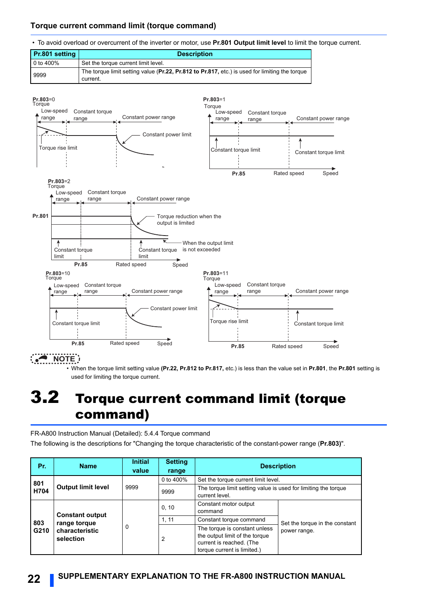### **Torque current command limit (torque command)**

• To avoid overload or overcurrent of the inverter or motor, use **Pr.801 Output limit level** to limit the torque current.



**NOTE** • When the torque limit setting value **(Pr.22, Pr.812 to Pr.817,** etc.) is less than the value set in **Pr.801**, the **Pr.801** setting is used for limiting the torque current.

# <span id="page-21-0"></span>3.2 Torque current command limit (torque command)

FR-A800 Instruction Manual (Detailed): 5.4.4 Torque command The following is the descriptions for "Changing the torque characteristic of the constant-power range (**Pr.803)**".

| Pr.                                 | <b>Name</b>                            | <b>Initial</b><br>value | <b>Setting</b><br>range                                                                                                    |                                                                                  | <b>Description</b>             |
|-------------------------------------|----------------------------------------|-------------------------|----------------------------------------------------------------------------------------------------------------------------|----------------------------------------------------------------------------------|--------------------------------|
| 801                                 |                                        |                         | 0 to 400%                                                                                                                  | Set the torque current limit level.                                              |                                |
| H704                                | <b>Output limit level</b><br>9999      |                         | 9999                                                                                                                       | The torque limit setting value is used for limiting the torque<br>current level. |                                |
|                                     |                                        | 0, 10                   | Constant motor output<br>command                                                                                           |                                                                                  |                                |
| 803                                 | <b>Constant output</b><br>range torque |                         | 1, 11                                                                                                                      | Constant torque command                                                          | Set the torque in the constant |
| G210<br>characteristic<br>selection | 0                                      | 2                       | The torque is constant unless<br>the output limit of the torque<br>current is reached. (The<br>torque current is limited.) | power range.                                                                     |                                |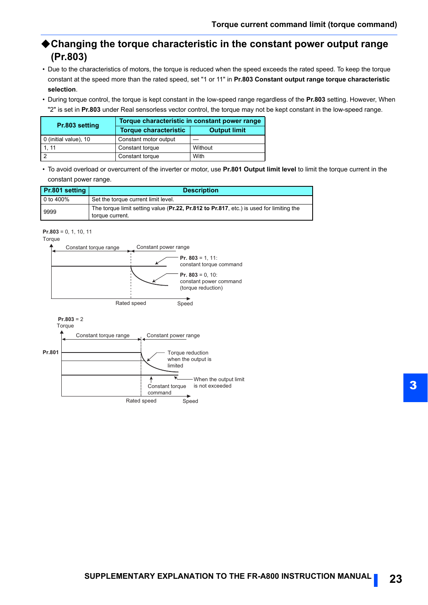## **Changing the torque characteristic in the constant power output range (Pr.803)**

- Due to the characteristics of motors, the torque is reduced when the speed exceeds the rated speed. To keep the torque constant at the speed more than the rated speed, set "1 or 11" in **Pr.803 Constant output range torque characteristic selection**.
- During torque control, the torque is kept constant in the low-speed range regardless of the **Pr.803** setting. However, When "2" is set in **Pr.803** under Real sensorless vector control, the torque may not be kept constant in the low-speed range.

| Pr.803 setting        | Torque characteristic in constant power range |                     |  |  |
|-----------------------|-----------------------------------------------|---------------------|--|--|
|                       | <b>Torque characteristic</b>                  | <b>Output limit</b> |  |  |
| 0 (initial value), 10 | Constant motor output                         |                     |  |  |
| 1.11                  | Constant torque                               | Without             |  |  |
|                       | Constant torque                               | With                |  |  |

 • To avoid overload or overcurrent of the inverter or motor, use **Pr.801 Output limit level** to limit the torque current in the constant power range.

| Pr.801 setting | <b>Description</b>                                                                                         |
|----------------|------------------------------------------------------------------------------------------------------------|
| 0 to 400%      | Set the torque current limit level.                                                                        |
| 9999           | The torque limit setting value (Pr.22, Pr.812 to Pr.817, etc.) is used for limiting the<br>torque current. |

Torque **Pr.803** = 0, 1, 10, 11



3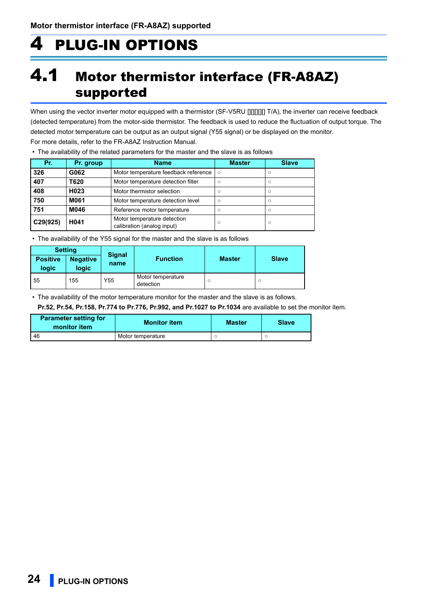# <span id="page-23-0"></span>4 PLUG-IN OPTIONS

# <span id="page-23-1"></span>4.1 Motor thermistor interface (FR-A8AZ) supported

When using the vector inverter motor equipped with a thermistor (SF-V5RU [][][][][] T/A), the inverter can receive feedback (detected temperature) from the motor-side thermistor. The feedback is used to reduce the fluctuation of output torque. The detected motor temperature can be output as an output signal (Y55 signal) or be displayed on the monitor. For more details, refer to the FR-A8AZ Instruction Manual.

**Pr. Pr. group Name Master Slave 326 G062** Motor temperature feedback reference only only only on the Second Second Second Second Second Second Second Second Second Second Second Second Second Second Second Second Second Second Second Second Second Seco **407 T620** Motor temperature detection filter  $\vert \circ \vert \circ \vert$ **408 H023** Motor thermistor selection **ONEX SOLUTE:** Note of No **750 M061** Motor temperature detection level ○ ○ ○ **751 M046** Reference motor temperature **○** ○ ○ **C29(925)** H041 Motor temperature detection  $\begin{array}{c|c}\n\text{ivloop term,} \\
\text{calibration (analog input)}\n\end{array}$ 

• The availability of the related parameters for the master and the slave is as follows

• The availability of the Y55 signal for the master and the slave is as follows

|                          | <b>Setting</b>           |                       |                                |               |              |
|--------------------------|--------------------------|-----------------------|--------------------------------|---------------|--------------|
| <b>Positive</b><br>logic | <b>Negative</b><br>logic | <b>Signal</b><br>name | <b>Function</b>                | <b>Master</b> | <b>Slave</b> |
| 55                       | 155                      | Y55                   | Motor temperature<br>detection | $\circ$       | $\circ$      |

• The availability of the motor temperature monitor for the master and the slave is as follows.

**Pr.52, Pr.54, Pr.158, Pr.774 to Pr.776, Pr.992, and Pr.1027 to Pr.1034** are available to set the monitor item.

| <b>Parameter setting for</b><br>monitor item | <b>Monitor item</b> | <b>Master</b> | <b>Slave</b> |
|----------------------------------------------|---------------------|---------------|--------------|
| 46                                           | Motor temperature   |               |              |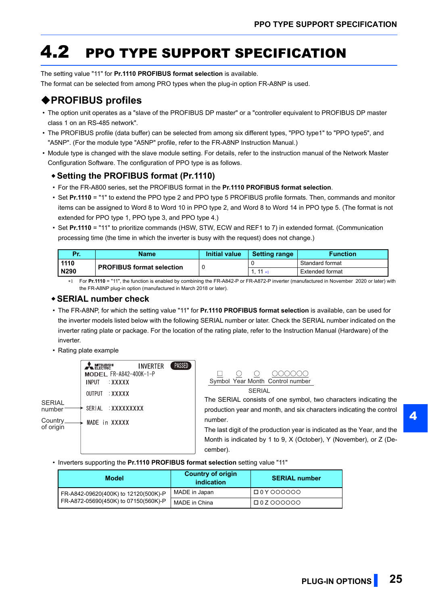# <span id="page-24-2"></span><span id="page-24-0"></span>4.2 PPO TYPE SUPPORT SPECIFICATION

The setting value "11" for **Pr.1110 PROFIBUS format selection** is available.

The format can be selected from among PRO types when the plug-in option FR-A8NP is used.

## **PROFIBUS profiles**

- The option unit operates as a "slave of the PROFIBUS DP master" or a "controller equivalent to PROFIBUS DP master class 1 on an RS-485 network".
- The PROFIBUS profile (data buffer) can be selected from among six different types, "PPO type1" to "PPO type5", and "A5NP". (For the module type "A5NP" profile, refer to the FR-A8NP Instruction Manual.)
- Module type is changed with the slave module setting. For details, refer to the instruction manual of the Network Master Configuration Software. The configuration of PPO type is as follows.

### **Setting the PROFIBUS format (Pr.1110)**

- For the FR-A800 series, set the PROFIBUS format in the **Pr.1110 PROFIBUS format selection**.
- Set **Pr.1110** = "1" to extend the PPO type 2 and PPO type 5 PROFIBUS profile formats. Then, commands and monitor items can be assigned to Word 8 to Word 10 in PPO type 2, and Word 8 to Word 14 in PPO type 5. (The format is not extended for PPO type 1, PPO type 3, and PPO type 4.)
- Set **Pr.1110** = "11" to prioritize commands (HSW, STW, ECW and REF1 to 7) in extended format. (Communication processing time (the time in which the inverter is busy with the request) does not change.)

| Pr.  | Name                             | Initial value | <b>Setting range</b> | <b>Function</b> |
|------|----------------------------------|---------------|----------------------|-----------------|
| 1110 | <b>PROFIBUS format selection</b> |               |                      | Standard format |
| N290 |                                  |               | -11                  | Extended format |

 For **Pr.1110** = "11", the function is enabled by combining the FR-A842-P or FR-A872-P inverter (manufactured in November 2020 or later) with the FR-A8NP plug-in option (manufactured in March 2018 or later).

### <span id="page-24-1"></span>**SERIAL number check**

- The FR-A8NP, for which the setting value "11" for **Pr.1110 PROFIBUS format selection** is available, can be used for the inverter models listed below with the following SERIAL number or later. Check the SERIAL number indicated on the inverter rating plate or package. For the location of the rating plate, refer to the Instruction Manual (Hardware) of the inverter.
- Rating plate example

|                         | <b>ELECTRIC</b><br>INPUT | <b>MODEL FR-A842-400K-1-P</b><br>∶xxxxx | <b>INVERTER</b> | <b>PASSED</b> |
|-------------------------|--------------------------|-----------------------------------------|-----------------|---------------|
|                         | <b>OUTPUT</b>            | ∶XXXXX                                  |                 |               |
| <b>SERIAL</b><br>number |                          | SERIAL XXXXXXXXX                        |                 |               |
| Country<br>of origin    |                          | MADE in XXXXX                           |                 |               |
|                         |                          |                                         |                 |               |

Г Symbol Year Month Control number

**SERIAL** 

The SERIAL consists of one symbol, two characters indicating the production year and month, and six characters indicating the control number.

The last digit of the production year is indicated as the Year, and the Month is indicated by 1 to 9, X (October), Y (November), or Z (December).

• Inverters supporting the **Pr.1110 PROFIBUS format selection** setting value "11"

| <b>Model</b>                         | <b>Country of origin</b><br>indication | <b>SERIAL number</b>      |
|--------------------------------------|----------------------------------------|---------------------------|
| FR-A842-09620(400K) to 12120(500K)-P | MADE in Japan                          | $\Box$ $0 \lor$ $0000000$ |
| FR-A872-05690(450K) to 07150(560K)-P | MADE in China                          |                           |

4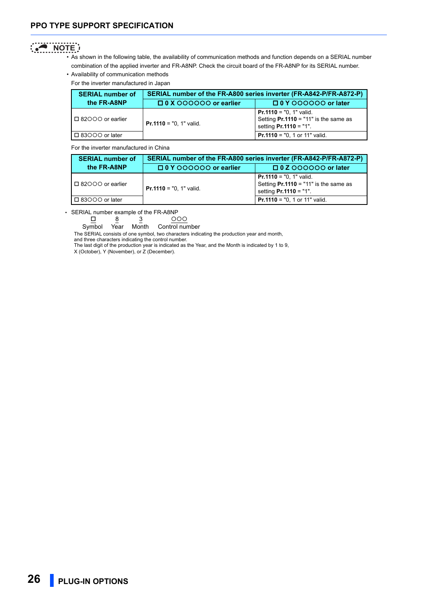- **NOTE** • As shown in the following table, the availability of communication methods and function depends on a SERIAL number combination of the applied inverter and FR-A8NP. Check the circuit board of the FR-A8NP for its SERIAL number.
	- Availability of communication methods
	- For the inverter manufactured in Japan

| <b>SERIAL number of</b> | SERIAL number of the FR-A800 series inverter (FR-A842-P/FR-A872-P) |                                                                                                       |  |  |  |  |  |  |
|-------------------------|--------------------------------------------------------------------|-------------------------------------------------------------------------------------------------------|--|--|--|--|--|--|
| the FR-A8NP             | □ 0 X 000000 or earlier                                            | □ 0 Y OOOOOO or later                                                                                 |  |  |  |  |  |  |
| □ 82000 or earlier      | <b>Pr.1110</b> = $"0$ , 1" valid.                                  | <b>Pr.1110</b> = "0, 1" valid.<br>Setting $Pr.1110 = "11"$ is the same as<br>setting $Pr.1110 = "1".$ |  |  |  |  |  |  |
| □ 83000 or later        |                                                                    | <b>Pr.1110</b> = $"0$ , 1 or 11" valid.                                                               |  |  |  |  |  |  |

For the inverter manufactured in China

| <b>SERIAL number of</b> | SERIAL number of the FR-A800 series inverter (FR-A842-P/FR-A872-P) |                                                                                                           |  |  |  |  |  |  |
|-------------------------|--------------------------------------------------------------------|-----------------------------------------------------------------------------------------------------------|--|--|--|--|--|--|
| the FR-A8NP             | DOY 000000 or earlier                                              | □ 0 Z OOOOOO or later                                                                                     |  |  |  |  |  |  |
| □ 82000 or earlier      | <b>Pr.1110</b> = $"0$ , 1" valid.                                  | <b>Pr.1110</b> = $"0$ , 1" valid.<br>Setting $Pr.1110 = "11"$ is the same as<br>setting $Pr.1110 = "1"$ . |  |  |  |  |  |  |
| □ 83000 or later        |                                                                    | <b>Pr.1110</b> = $"0$ , 1 or 11" valid.                                                                   |  |  |  |  |  |  |

• SERIAL number example of the FR-A8NP

8 3

Symbol Year Month Control number

The SERIAL consists of one symbol, two characters indicating the production year and month,

and three characters indicating the control number.

The last digit of the production year is indicated as the Year, and the Month is indicated by 1 to 9,

X (October), Y (November), or Z (December).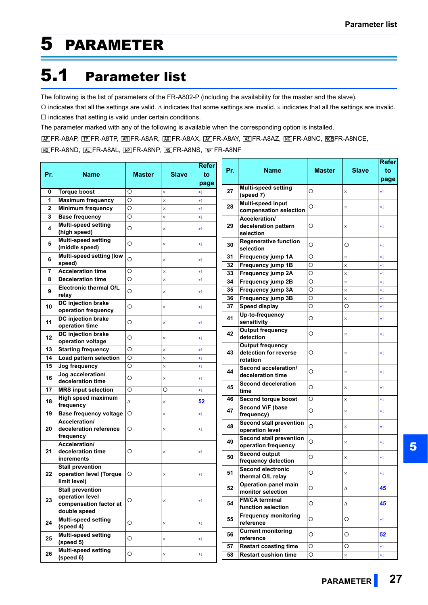# <span id="page-26-0"></span>5 PARAMETER

# <span id="page-26-2"></span><span id="page-26-1"></span>5.1 Parameter list

The following is the list of parameters of the FR-A802-P (including the availability for the master and the slave).

 $\circ$  indicates that all the settings are valid.  $\Delta$  indicates that some settings are invalid.  $\times$  indicates that all the settings are invalid.  $\square$  indicates that setting is valid under certain conditions.

The parameter marked with any of the following is available when the corresponding option is installed.

FR-A8AP, FR-A8TP, FR-A8AR, FR-A8AX, FR-A8AY, FR-A8AZ, FR-A8NC, FR-A8NCE,

FR-A8ND, FR-A8AL, FR-A8NP, FR-A8NS, FR-A8NF

| Pr.<br><b>Slave</b><br><b>Name</b><br><b>Master</b><br>to<br>page<br>page<br><b>Multi-speed setting</b><br>$\circ$<br>27<br>O<br>$\times$<br>$^*1$<br>0<br><b>Torque boost</b><br>$*1$<br>$\times$<br>(speed 7)<br>$\circ$<br>1<br><b>Maximum frequency</b><br>$\times$<br>$*1$<br>Multi-speed input<br>$\circ$<br>28<br>$\times$<br>$^*1$<br>2<br>O<br><b>Minimum frequency</b><br>$\times$<br>$*1$<br>compensation selection<br>$\circ$<br>3<br><b>Base frequency</b><br>$\times$<br>$*1$<br>Acceleration/<br><b>Multi-speed setting</b><br>29<br>O<br>deceleration pattern<br>$\times$<br>$*1$<br>$\circ$<br>4<br>$\times$<br>$*1$<br>(high speed)<br>selection<br><b>Multi-speed setting</b><br><b>Regenerative function</b><br>5<br>O<br>$\times$<br>$*1$<br>$\circ$<br>30<br>O<br>*1<br>(middle speed)<br>selection<br>Multi-speed setting (low<br>O<br>31<br>Frequency jump 1A<br>$\times$<br>$^*1$<br>O<br>6<br>$\times$<br>$*1$<br>speed)<br>O<br>32<br>Frequency jump 1B<br>$\times$<br>$*1$<br><b>Acceleration time</b><br>O<br>7<br>$\times$<br>$*1$<br>O<br>33<br>Frequency jump 2A<br>$\times$<br>$^*1$<br>$\circ$<br><b>Deceleration time</b><br>8<br>$\times$<br>$*1$<br>$\circ$<br>34<br>Frequency jump 2B<br>$\times$<br>$^*1$<br><b>Electronic thermal O/L</b><br>$\circ$<br>35<br>Frequency jump 3A<br>$\times$<br>$^*1$<br>9<br>O<br>$\times$<br>$*1$<br>relay<br>36<br>O<br>Frequency jump 3B<br>$\times$<br>$^*1$<br><b>DC</b> injection brake<br>O<br>O<br>Speed display<br>O<br>37<br>10<br>$^*1$<br>$\times$<br>$*1$<br>operation frequency<br>Up-to-frequency<br>$\circ$<br>DC injection brake<br>41<br>$\times$<br>$*1$<br>sensitivity<br>11<br>O<br>$\times$<br>$^*1$<br>operation time<br>Output frequency<br>$\circ$<br>42<br><b>DC</b> injection brake<br>$\times$<br>$*1$<br>detection<br>12<br>O<br>$\times$<br>$^*1$<br>operation voltage<br><b>Output frequency</b><br>O<br>13<br><b>Starting frequency</b><br>$\times$<br>$*1$<br>detection for reverse<br>43<br>O<br>$\times$<br>$*1$<br>Load pattern selection<br>O<br>14<br>$\times$<br>$*1$<br>rotation<br>$\overline{\circ}$<br>Jog frequency<br>15<br>$\times$<br>$*1$<br>Second acceleration/<br>$\circ$<br>44<br>$\times$<br>$^{\ast}1$<br>Jog acceleration/<br>deceleration time<br>16<br>O<br>$\times$<br>$*1$<br>deceleration time<br>Second deceleration<br>$\circ$<br>45<br>$\times$<br>*1<br>Ō<br><b>MRS</b> input selection<br>O<br>17<br>$*1$<br>time<br>High speed maximum<br>O<br>Second torque boost<br>$\times$<br>46<br>$^*1$<br>18<br>52<br>Δ<br>$\times$<br>frequency<br>Second V/F (base<br>$\bigcirc$<br>47<br>$\times$<br>*1<br><b>Base frequency voltage</b><br>O<br>19<br>$\times$<br>$*1$<br>frequency)<br>Acceleration/<br><b>Second stall prevention</b><br>O<br>48<br>$\times$<br>$*1$<br>deceleration reference<br>20<br>O<br>$*1$<br>$\times$<br>operation level<br>frequency<br><b>Second stall prevention</b><br>$\circ$<br>49<br>$\times$<br>$^*1$<br>Acceleration/<br>operation frequency<br>deceleration time<br>21<br>O<br>$\times$<br>*1<br><b>Second output</b><br>$\circ$<br>50<br>$\times$<br>*1<br>increments<br>frequency detection<br><b>Stall prevention</b><br><b>Second electronic</b><br>51<br>O<br>X<br>*1<br>operation level (Torque<br>22<br>O<br>$*1$<br>$\times$<br>thermal O/L relay<br>limit level)<br><b>Operation panel main</b><br>$\circ$<br>45<br>52<br>$\Delta$<br><b>Stall prevention</b><br>monitor selection<br>operation level<br><b>FM/CA terminal</b><br>23<br>O<br>$*1$<br>$\times$<br>$\bigcirc$<br>45<br>54<br>compensation factor at<br>Δ<br>function selection<br>double speed<br><b>Frequency monitoring</b><br>$\circ$<br>$\circ$<br>55<br><b>Multi-speed setting</b><br>$*1$<br>reference<br>24<br>O<br>$\times$<br>$*1$<br>(speed 4)<br><b>Current monitoring</b><br>$\circ$<br>$\circ$<br><b>Multi-speed setting</b><br>52<br>56<br>reference<br>$\circ$<br>25<br>$\times$<br>$*1$<br>(speed 5)<br>$\bigcirc$<br>$\bigcirc$<br><b>Restart coasting time</b><br>57<br>$^{\ast1}$<br><b>Multi-speed setting</b><br>26<br>$\circ$<br>$\times$<br>$\bigcirc$<br>$*1$<br><b>Restart cushion time</b><br>58<br>$\times$<br>$^{\ast}1$ |           |  | <b>Refer</b> |     |             |               |              | <b>Refer</b> |
|------------------------------------------------------------------------------------------------------------------------------------------------------------------------------------------------------------------------------------------------------------------------------------------------------------------------------------------------------------------------------------------------------------------------------------------------------------------------------------------------------------------------------------------------------------------------------------------------------------------------------------------------------------------------------------------------------------------------------------------------------------------------------------------------------------------------------------------------------------------------------------------------------------------------------------------------------------------------------------------------------------------------------------------------------------------------------------------------------------------------------------------------------------------------------------------------------------------------------------------------------------------------------------------------------------------------------------------------------------------------------------------------------------------------------------------------------------------------------------------------------------------------------------------------------------------------------------------------------------------------------------------------------------------------------------------------------------------------------------------------------------------------------------------------------------------------------------------------------------------------------------------------------------------------------------------------------------------------------------------------------------------------------------------------------------------------------------------------------------------------------------------------------------------------------------------------------------------------------------------------------------------------------------------------------------------------------------------------------------------------------------------------------------------------------------------------------------------------------------------------------------------------------------------------------------------------------------------------------------------------------------------------------------------------------------------------------------------------------------------------------------------------------------------------------------------------------------------------------------------------------------------------------------------------------------------------------------------------------------------------------------------------------------------------------------------------------------------------------------------------------------------------------------------------------------------------------------------------------------------------------------------------------------------------------------------------------------------------------------------------------------------------------------------------------------------------------------------------------------------------------------------------------------------------------------------------------------------------------------------------------------------------------------------------------------------------------------------------------------------------------------------------------------------------------------------------------------------------------------------------------------------------------------------------------------------------------------------------------------------------------------------------------------------------------------------------------------------------------------------------------------------------------------------------------------------------------|-----------|--|--------------|-----|-------------|---------------|--------------|--------------|
|                                                                                                                                                                                                                                                                                                                                                                                                                                                                                                                                                                                                                                                                                                                                                                                                                                                                                                                                                                                                                                                                                                                                                                                                                                                                                                                                                                                                                                                                                                                                                                                                                                                                                                                                                                                                                                                                                                                                                                                                                                                                                                                                                                                                                                                                                                                                                                                                                                                                                                                                                                                                                                                                                                                                                                                                                                                                                                                                                                                                                                                                                                                                                                                                                                                                                                                                                                                                                                                                                                                                                                                                                                                                                                                                                                                                                                                                                                                                                                                                                                                                                                                                                                                                      |           |  |              | Pr. | <b>Name</b> | <b>Master</b> | <b>Slave</b> | to           |
|                                                                                                                                                                                                                                                                                                                                                                                                                                                                                                                                                                                                                                                                                                                                                                                                                                                                                                                                                                                                                                                                                                                                                                                                                                                                                                                                                                                                                                                                                                                                                                                                                                                                                                                                                                                                                                                                                                                                                                                                                                                                                                                                                                                                                                                                                                                                                                                                                                                                                                                                                                                                                                                                                                                                                                                                                                                                                                                                                                                                                                                                                                                                                                                                                                                                                                                                                                                                                                                                                                                                                                                                                                                                                                                                                                                                                                                                                                                                                                                                                                                                                                                                                                                                      |           |  |              |     |             |               |              |              |
|                                                                                                                                                                                                                                                                                                                                                                                                                                                                                                                                                                                                                                                                                                                                                                                                                                                                                                                                                                                                                                                                                                                                                                                                                                                                                                                                                                                                                                                                                                                                                                                                                                                                                                                                                                                                                                                                                                                                                                                                                                                                                                                                                                                                                                                                                                                                                                                                                                                                                                                                                                                                                                                                                                                                                                                                                                                                                                                                                                                                                                                                                                                                                                                                                                                                                                                                                                                                                                                                                                                                                                                                                                                                                                                                                                                                                                                                                                                                                                                                                                                                                                                                                                                                      |           |  |              |     |             |               |              |              |
|                                                                                                                                                                                                                                                                                                                                                                                                                                                                                                                                                                                                                                                                                                                                                                                                                                                                                                                                                                                                                                                                                                                                                                                                                                                                                                                                                                                                                                                                                                                                                                                                                                                                                                                                                                                                                                                                                                                                                                                                                                                                                                                                                                                                                                                                                                                                                                                                                                                                                                                                                                                                                                                                                                                                                                                                                                                                                                                                                                                                                                                                                                                                                                                                                                                                                                                                                                                                                                                                                                                                                                                                                                                                                                                                                                                                                                                                                                                                                                                                                                                                                                                                                                                                      |           |  |              |     |             |               |              |              |
|                                                                                                                                                                                                                                                                                                                                                                                                                                                                                                                                                                                                                                                                                                                                                                                                                                                                                                                                                                                                                                                                                                                                                                                                                                                                                                                                                                                                                                                                                                                                                                                                                                                                                                                                                                                                                                                                                                                                                                                                                                                                                                                                                                                                                                                                                                                                                                                                                                                                                                                                                                                                                                                                                                                                                                                                                                                                                                                                                                                                                                                                                                                                                                                                                                                                                                                                                                                                                                                                                                                                                                                                                                                                                                                                                                                                                                                                                                                                                                                                                                                                                                                                                                                                      |           |  |              |     |             |               |              |              |
|                                                                                                                                                                                                                                                                                                                                                                                                                                                                                                                                                                                                                                                                                                                                                                                                                                                                                                                                                                                                                                                                                                                                                                                                                                                                                                                                                                                                                                                                                                                                                                                                                                                                                                                                                                                                                                                                                                                                                                                                                                                                                                                                                                                                                                                                                                                                                                                                                                                                                                                                                                                                                                                                                                                                                                                                                                                                                                                                                                                                                                                                                                                                                                                                                                                                                                                                                                                                                                                                                                                                                                                                                                                                                                                                                                                                                                                                                                                                                                                                                                                                                                                                                                                                      |           |  |              |     |             |               |              |              |
|                                                                                                                                                                                                                                                                                                                                                                                                                                                                                                                                                                                                                                                                                                                                                                                                                                                                                                                                                                                                                                                                                                                                                                                                                                                                                                                                                                                                                                                                                                                                                                                                                                                                                                                                                                                                                                                                                                                                                                                                                                                                                                                                                                                                                                                                                                                                                                                                                                                                                                                                                                                                                                                                                                                                                                                                                                                                                                                                                                                                                                                                                                                                                                                                                                                                                                                                                                                                                                                                                                                                                                                                                                                                                                                                                                                                                                                                                                                                                                                                                                                                                                                                                                                                      |           |  |              |     |             |               |              |              |
|                                                                                                                                                                                                                                                                                                                                                                                                                                                                                                                                                                                                                                                                                                                                                                                                                                                                                                                                                                                                                                                                                                                                                                                                                                                                                                                                                                                                                                                                                                                                                                                                                                                                                                                                                                                                                                                                                                                                                                                                                                                                                                                                                                                                                                                                                                                                                                                                                                                                                                                                                                                                                                                                                                                                                                                                                                                                                                                                                                                                                                                                                                                                                                                                                                                                                                                                                                                                                                                                                                                                                                                                                                                                                                                                                                                                                                                                                                                                                                                                                                                                                                                                                                                                      |           |  |              |     |             |               |              |              |
|                                                                                                                                                                                                                                                                                                                                                                                                                                                                                                                                                                                                                                                                                                                                                                                                                                                                                                                                                                                                                                                                                                                                                                                                                                                                                                                                                                                                                                                                                                                                                                                                                                                                                                                                                                                                                                                                                                                                                                                                                                                                                                                                                                                                                                                                                                                                                                                                                                                                                                                                                                                                                                                                                                                                                                                                                                                                                                                                                                                                                                                                                                                                                                                                                                                                                                                                                                                                                                                                                                                                                                                                                                                                                                                                                                                                                                                                                                                                                                                                                                                                                                                                                                                                      |           |  |              |     |             |               |              |              |
|                                                                                                                                                                                                                                                                                                                                                                                                                                                                                                                                                                                                                                                                                                                                                                                                                                                                                                                                                                                                                                                                                                                                                                                                                                                                                                                                                                                                                                                                                                                                                                                                                                                                                                                                                                                                                                                                                                                                                                                                                                                                                                                                                                                                                                                                                                                                                                                                                                                                                                                                                                                                                                                                                                                                                                                                                                                                                                                                                                                                                                                                                                                                                                                                                                                                                                                                                                                                                                                                                                                                                                                                                                                                                                                                                                                                                                                                                                                                                                                                                                                                                                                                                                                                      |           |  |              |     |             |               |              |              |
|                                                                                                                                                                                                                                                                                                                                                                                                                                                                                                                                                                                                                                                                                                                                                                                                                                                                                                                                                                                                                                                                                                                                                                                                                                                                                                                                                                                                                                                                                                                                                                                                                                                                                                                                                                                                                                                                                                                                                                                                                                                                                                                                                                                                                                                                                                                                                                                                                                                                                                                                                                                                                                                                                                                                                                                                                                                                                                                                                                                                                                                                                                                                                                                                                                                                                                                                                                                                                                                                                                                                                                                                                                                                                                                                                                                                                                                                                                                                                                                                                                                                                                                                                                                                      |           |  |              |     |             |               |              |              |
|                                                                                                                                                                                                                                                                                                                                                                                                                                                                                                                                                                                                                                                                                                                                                                                                                                                                                                                                                                                                                                                                                                                                                                                                                                                                                                                                                                                                                                                                                                                                                                                                                                                                                                                                                                                                                                                                                                                                                                                                                                                                                                                                                                                                                                                                                                                                                                                                                                                                                                                                                                                                                                                                                                                                                                                                                                                                                                                                                                                                                                                                                                                                                                                                                                                                                                                                                                                                                                                                                                                                                                                                                                                                                                                                                                                                                                                                                                                                                                                                                                                                                                                                                                                                      |           |  |              |     |             |               |              |              |
|                                                                                                                                                                                                                                                                                                                                                                                                                                                                                                                                                                                                                                                                                                                                                                                                                                                                                                                                                                                                                                                                                                                                                                                                                                                                                                                                                                                                                                                                                                                                                                                                                                                                                                                                                                                                                                                                                                                                                                                                                                                                                                                                                                                                                                                                                                                                                                                                                                                                                                                                                                                                                                                                                                                                                                                                                                                                                                                                                                                                                                                                                                                                                                                                                                                                                                                                                                                                                                                                                                                                                                                                                                                                                                                                                                                                                                                                                                                                                                                                                                                                                                                                                                                                      |           |  |              |     |             |               |              |              |
|                                                                                                                                                                                                                                                                                                                                                                                                                                                                                                                                                                                                                                                                                                                                                                                                                                                                                                                                                                                                                                                                                                                                                                                                                                                                                                                                                                                                                                                                                                                                                                                                                                                                                                                                                                                                                                                                                                                                                                                                                                                                                                                                                                                                                                                                                                                                                                                                                                                                                                                                                                                                                                                                                                                                                                                                                                                                                                                                                                                                                                                                                                                                                                                                                                                                                                                                                                                                                                                                                                                                                                                                                                                                                                                                                                                                                                                                                                                                                                                                                                                                                                                                                                                                      |           |  |              |     |             |               |              |              |
|                                                                                                                                                                                                                                                                                                                                                                                                                                                                                                                                                                                                                                                                                                                                                                                                                                                                                                                                                                                                                                                                                                                                                                                                                                                                                                                                                                                                                                                                                                                                                                                                                                                                                                                                                                                                                                                                                                                                                                                                                                                                                                                                                                                                                                                                                                                                                                                                                                                                                                                                                                                                                                                                                                                                                                                                                                                                                                                                                                                                                                                                                                                                                                                                                                                                                                                                                                                                                                                                                                                                                                                                                                                                                                                                                                                                                                                                                                                                                                                                                                                                                                                                                                                                      |           |  |              |     |             |               |              |              |
|                                                                                                                                                                                                                                                                                                                                                                                                                                                                                                                                                                                                                                                                                                                                                                                                                                                                                                                                                                                                                                                                                                                                                                                                                                                                                                                                                                                                                                                                                                                                                                                                                                                                                                                                                                                                                                                                                                                                                                                                                                                                                                                                                                                                                                                                                                                                                                                                                                                                                                                                                                                                                                                                                                                                                                                                                                                                                                                                                                                                                                                                                                                                                                                                                                                                                                                                                                                                                                                                                                                                                                                                                                                                                                                                                                                                                                                                                                                                                                                                                                                                                                                                                                                                      |           |  |              |     |             |               |              |              |
|                                                                                                                                                                                                                                                                                                                                                                                                                                                                                                                                                                                                                                                                                                                                                                                                                                                                                                                                                                                                                                                                                                                                                                                                                                                                                                                                                                                                                                                                                                                                                                                                                                                                                                                                                                                                                                                                                                                                                                                                                                                                                                                                                                                                                                                                                                                                                                                                                                                                                                                                                                                                                                                                                                                                                                                                                                                                                                                                                                                                                                                                                                                                                                                                                                                                                                                                                                                                                                                                                                                                                                                                                                                                                                                                                                                                                                                                                                                                                                                                                                                                                                                                                                                                      |           |  |              |     |             |               |              |              |
|                                                                                                                                                                                                                                                                                                                                                                                                                                                                                                                                                                                                                                                                                                                                                                                                                                                                                                                                                                                                                                                                                                                                                                                                                                                                                                                                                                                                                                                                                                                                                                                                                                                                                                                                                                                                                                                                                                                                                                                                                                                                                                                                                                                                                                                                                                                                                                                                                                                                                                                                                                                                                                                                                                                                                                                                                                                                                                                                                                                                                                                                                                                                                                                                                                                                                                                                                                                                                                                                                                                                                                                                                                                                                                                                                                                                                                                                                                                                                                                                                                                                                                                                                                                                      |           |  |              |     |             |               |              |              |
|                                                                                                                                                                                                                                                                                                                                                                                                                                                                                                                                                                                                                                                                                                                                                                                                                                                                                                                                                                                                                                                                                                                                                                                                                                                                                                                                                                                                                                                                                                                                                                                                                                                                                                                                                                                                                                                                                                                                                                                                                                                                                                                                                                                                                                                                                                                                                                                                                                                                                                                                                                                                                                                                                                                                                                                                                                                                                                                                                                                                                                                                                                                                                                                                                                                                                                                                                                                                                                                                                                                                                                                                                                                                                                                                                                                                                                                                                                                                                                                                                                                                                                                                                                                                      |           |  |              |     |             |               |              |              |
|                                                                                                                                                                                                                                                                                                                                                                                                                                                                                                                                                                                                                                                                                                                                                                                                                                                                                                                                                                                                                                                                                                                                                                                                                                                                                                                                                                                                                                                                                                                                                                                                                                                                                                                                                                                                                                                                                                                                                                                                                                                                                                                                                                                                                                                                                                                                                                                                                                                                                                                                                                                                                                                                                                                                                                                                                                                                                                                                                                                                                                                                                                                                                                                                                                                                                                                                                                                                                                                                                                                                                                                                                                                                                                                                                                                                                                                                                                                                                                                                                                                                                                                                                                                                      |           |  |              |     |             |               |              |              |
|                                                                                                                                                                                                                                                                                                                                                                                                                                                                                                                                                                                                                                                                                                                                                                                                                                                                                                                                                                                                                                                                                                                                                                                                                                                                                                                                                                                                                                                                                                                                                                                                                                                                                                                                                                                                                                                                                                                                                                                                                                                                                                                                                                                                                                                                                                                                                                                                                                                                                                                                                                                                                                                                                                                                                                                                                                                                                                                                                                                                                                                                                                                                                                                                                                                                                                                                                                                                                                                                                                                                                                                                                                                                                                                                                                                                                                                                                                                                                                                                                                                                                                                                                                                                      |           |  |              |     |             |               |              |              |
|                                                                                                                                                                                                                                                                                                                                                                                                                                                                                                                                                                                                                                                                                                                                                                                                                                                                                                                                                                                                                                                                                                                                                                                                                                                                                                                                                                                                                                                                                                                                                                                                                                                                                                                                                                                                                                                                                                                                                                                                                                                                                                                                                                                                                                                                                                                                                                                                                                                                                                                                                                                                                                                                                                                                                                                                                                                                                                                                                                                                                                                                                                                                                                                                                                                                                                                                                                                                                                                                                                                                                                                                                                                                                                                                                                                                                                                                                                                                                                                                                                                                                                                                                                                                      |           |  |              |     |             |               |              |              |
|                                                                                                                                                                                                                                                                                                                                                                                                                                                                                                                                                                                                                                                                                                                                                                                                                                                                                                                                                                                                                                                                                                                                                                                                                                                                                                                                                                                                                                                                                                                                                                                                                                                                                                                                                                                                                                                                                                                                                                                                                                                                                                                                                                                                                                                                                                                                                                                                                                                                                                                                                                                                                                                                                                                                                                                                                                                                                                                                                                                                                                                                                                                                                                                                                                                                                                                                                                                                                                                                                                                                                                                                                                                                                                                                                                                                                                                                                                                                                                                                                                                                                                                                                                                                      |           |  |              |     |             |               |              |              |
|                                                                                                                                                                                                                                                                                                                                                                                                                                                                                                                                                                                                                                                                                                                                                                                                                                                                                                                                                                                                                                                                                                                                                                                                                                                                                                                                                                                                                                                                                                                                                                                                                                                                                                                                                                                                                                                                                                                                                                                                                                                                                                                                                                                                                                                                                                                                                                                                                                                                                                                                                                                                                                                                                                                                                                                                                                                                                                                                                                                                                                                                                                                                                                                                                                                                                                                                                                                                                                                                                                                                                                                                                                                                                                                                                                                                                                                                                                                                                                                                                                                                                                                                                                                                      |           |  |              |     |             |               |              |              |
|                                                                                                                                                                                                                                                                                                                                                                                                                                                                                                                                                                                                                                                                                                                                                                                                                                                                                                                                                                                                                                                                                                                                                                                                                                                                                                                                                                                                                                                                                                                                                                                                                                                                                                                                                                                                                                                                                                                                                                                                                                                                                                                                                                                                                                                                                                                                                                                                                                                                                                                                                                                                                                                                                                                                                                                                                                                                                                                                                                                                                                                                                                                                                                                                                                                                                                                                                                                                                                                                                                                                                                                                                                                                                                                                                                                                                                                                                                                                                                                                                                                                                                                                                                                                      |           |  |              |     |             |               |              |              |
|                                                                                                                                                                                                                                                                                                                                                                                                                                                                                                                                                                                                                                                                                                                                                                                                                                                                                                                                                                                                                                                                                                                                                                                                                                                                                                                                                                                                                                                                                                                                                                                                                                                                                                                                                                                                                                                                                                                                                                                                                                                                                                                                                                                                                                                                                                                                                                                                                                                                                                                                                                                                                                                                                                                                                                                                                                                                                                                                                                                                                                                                                                                                                                                                                                                                                                                                                                                                                                                                                                                                                                                                                                                                                                                                                                                                                                                                                                                                                                                                                                                                                                                                                                                                      |           |  |              |     |             |               |              |              |
|                                                                                                                                                                                                                                                                                                                                                                                                                                                                                                                                                                                                                                                                                                                                                                                                                                                                                                                                                                                                                                                                                                                                                                                                                                                                                                                                                                                                                                                                                                                                                                                                                                                                                                                                                                                                                                                                                                                                                                                                                                                                                                                                                                                                                                                                                                                                                                                                                                                                                                                                                                                                                                                                                                                                                                                                                                                                                                                                                                                                                                                                                                                                                                                                                                                                                                                                                                                                                                                                                                                                                                                                                                                                                                                                                                                                                                                                                                                                                                                                                                                                                                                                                                                                      |           |  |              |     |             |               |              |              |
|                                                                                                                                                                                                                                                                                                                                                                                                                                                                                                                                                                                                                                                                                                                                                                                                                                                                                                                                                                                                                                                                                                                                                                                                                                                                                                                                                                                                                                                                                                                                                                                                                                                                                                                                                                                                                                                                                                                                                                                                                                                                                                                                                                                                                                                                                                                                                                                                                                                                                                                                                                                                                                                                                                                                                                                                                                                                                                                                                                                                                                                                                                                                                                                                                                                                                                                                                                                                                                                                                                                                                                                                                                                                                                                                                                                                                                                                                                                                                                                                                                                                                                                                                                                                      |           |  |              |     |             |               |              |              |
|                                                                                                                                                                                                                                                                                                                                                                                                                                                                                                                                                                                                                                                                                                                                                                                                                                                                                                                                                                                                                                                                                                                                                                                                                                                                                                                                                                                                                                                                                                                                                                                                                                                                                                                                                                                                                                                                                                                                                                                                                                                                                                                                                                                                                                                                                                                                                                                                                                                                                                                                                                                                                                                                                                                                                                                                                                                                                                                                                                                                                                                                                                                                                                                                                                                                                                                                                                                                                                                                                                                                                                                                                                                                                                                                                                                                                                                                                                                                                                                                                                                                                                                                                                                                      |           |  |              |     |             |               |              |              |
|                                                                                                                                                                                                                                                                                                                                                                                                                                                                                                                                                                                                                                                                                                                                                                                                                                                                                                                                                                                                                                                                                                                                                                                                                                                                                                                                                                                                                                                                                                                                                                                                                                                                                                                                                                                                                                                                                                                                                                                                                                                                                                                                                                                                                                                                                                                                                                                                                                                                                                                                                                                                                                                                                                                                                                                                                                                                                                                                                                                                                                                                                                                                                                                                                                                                                                                                                                                                                                                                                                                                                                                                                                                                                                                                                                                                                                                                                                                                                                                                                                                                                                                                                                                                      |           |  |              |     |             |               |              |              |
|                                                                                                                                                                                                                                                                                                                                                                                                                                                                                                                                                                                                                                                                                                                                                                                                                                                                                                                                                                                                                                                                                                                                                                                                                                                                                                                                                                                                                                                                                                                                                                                                                                                                                                                                                                                                                                                                                                                                                                                                                                                                                                                                                                                                                                                                                                                                                                                                                                                                                                                                                                                                                                                                                                                                                                                                                                                                                                                                                                                                                                                                                                                                                                                                                                                                                                                                                                                                                                                                                                                                                                                                                                                                                                                                                                                                                                                                                                                                                                                                                                                                                                                                                                                                      |           |  |              |     |             |               |              |              |
|                                                                                                                                                                                                                                                                                                                                                                                                                                                                                                                                                                                                                                                                                                                                                                                                                                                                                                                                                                                                                                                                                                                                                                                                                                                                                                                                                                                                                                                                                                                                                                                                                                                                                                                                                                                                                                                                                                                                                                                                                                                                                                                                                                                                                                                                                                                                                                                                                                                                                                                                                                                                                                                                                                                                                                                                                                                                                                                                                                                                                                                                                                                                                                                                                                                                                                                                                                                                                                                                                                                                                                                                                                                                                                                                                                                                                                                                                                                                                                                                                                                                                                                                                                                                      |           |  |              |     |             |               |              |              |
|                                                                                                                                                                                                                                                                                                                                                                                                                                                                                                                                                                                                                                                                                                                                                                                                                                                                                                                                                                                                                                                                                                                                                                                                                                                                                                                                                                                                                                                                                                                                                                                                                                                                                                                                                                                                                                                                                                                                                                                                                                                                                                                                                                                                                                                                                                                                                                                                                                                                                                                                                                                                                                                                                                                                                                                                                                                                                                                                                                                                                                                                                                                                                                                                                                                                                                                                                                                                                                                                                                                                                                                                                                                                                                                                                                                                                                                                                                                                                                                                                                                                                                                                                                                                      |           |  |              |     |             |               |              |              |
|                                                                                                                                                                                                                                                                                                                                                                                                                                                                                                                                                                                                                                                                                                                                                                                                                                                                                                                                                                                                                                                                                                                                                                                                                                                                                                                                                                                                                                                                                                                                                                                                                                                                                                                                                                                                                                                                                                                                                                                                                                                                                                                                                                                                                                                                                                                                                                                                                                                                                                                                                                                                                                                                                                                                                                                                                                                                                                                                                                                                                                                                                                                                                                                                                                                                                                                                                                                                                                                                                                                                                                                                                                                                                                                                                                                                                                                                                                                                                                                                                                                                                                                                                                                                      |           |  |              |     |             |               |              |              |
|                                                                                                                                                                                                                                                                                                                                                                                                                                                                                                                                                                                                                                                                                                                                                                                                                                                                                                                                                                                                                                                                                                                                                                                                                                                                                                                                                                                                                                                                                                                                                                                                                                                                                                                                                                                                                                                                                                                                                                                                                                                                                                                                                                                                                                                                                                                                                                                                                                                                                                                                                                                                                                                                                                                                                                                                                                                                                                                                                                                                                                                                                                                                                                                                                                                                                                                                                                                                                                                                                                                                                                                                                                                                                                                                                                                                                                                                                                                                                                                                                                                                                                                                                                                                      |           |  |              |     |             |               |              |              |
|                                                                                                                                                                                                                                                                                                                                                                                                                                                                                                                                                                                                                                                                                                                                                                                                                                                                                                                                                                                                                                                                                                                                                                                                                                                                                                                                                                                                                                                                                                                                                                                                                                                                                                                                                                                                                                                                                                                                                                                                                                                                                                                                                                                                                                                                                                                                                                                                                                                                                                                                                                                                                                                                                                                                                                                                                                                                                                                                                                                                                                                                                                                                                                                                                                                                                                                                                                                                                                                                                                                                                                                                                                                                                                                                                                                                                                                                                                                                                                                                                                                                                                                                                                                                      |           |  |              |     |             |               |              |              |
|                                                                                                                                                                                                                                                                                                                                                                                                                                                                                                                                                                                                                                                                                                                                                                                                                                                                                                                                                                                                                                                                                                                                                                                                                                                                                                                                                                                                                                                                                                                                                                                                                                                                                                                                                                                                                                                                                                                                                                                                                                                                                                                                                                                                                                                                                                                                                                                                                                                                                                                                                                                                                                                                                                                                                                                                                                                                                                                                                                                                                                                                                                                                                                                                                                                                                                                                                                                                                                                                                                                                                                                                                                                                                                                                                                                                                                                                                                                                                                                                                                                                                                                                                                                                      |           |  |              |     |             |               |              |              |
|                                                                                                                                                                                                                                                                                                                                                                                                                                                                                                                                                                                                                                                                                                                                                                                                                                                                                                                                                                                                                                                                                                                                                                                                                                                                                                                                                                                                                                                                                                                                                                                                                                                                                                                                                                                                                                                                                                                                                                                                                                                                                                                                                                                                                                                                                                                                                                                                                                                                                                                                                                                                                                                                                                                                                                                                                                                                                                                                                                                                                                                                                                                                                                                                                                                                                                                                                                                                                                                                                                                                                                                                                                                                                                                                                                                                                                                                                                                                                                                                                                                                                                                                                                                                      |           |  |              |     |             |               |              |              |
|                                                                                                                                                                                                                                                                                                                                                                                                                                                                                                                                                                                                                                                                                                                                                                                                                                                                                                                                                                                                                                                                                                                                                                                                                                                                                                                                                                                                                                                                                                                                                                                                                                                                                                                                                                                                                                                                                                                                                                                                                                                                                                                                                                                                                                                                                                                                                                                                                                                                                                                                                                                                                                                                                                                                                                                                                                                                                                                                                                                                                                                                                                                                                                                                                                                                                                                                                                                                                                                                                                                                                                                                                                                                                                                                                                                                                                                                                                                                                                                                                                                                                                                                                                                                      |           |  |              |     |             |               |              |              |
|                                                                                                                                                                                                                                                                                                                                                                                                                                                                                                                                                                                                                                                                                                                                                                                                                                                                                                                                                                                                                                                                                                                                                                                                                                                                                                                                                                                                                                                                                                                                                                                                                                                                                                                                                                                                                                                                                                                                                                                                                                                                                                                                                                                                                                                                                                                                                                                                                                                                                                                                                                                                                                                                                                                                                                                                                                                                                                                                                                                                                                                                                                                                                                                                                                                                                                                                                                                                                                                                                                                                                                                                                                                                                                                                                                                                                                                                                                                                                                                                                                                                                                                                                                                                      |           |  |              |     |             |               |              |              |
|                                                                                                                                                                                                                                                                                                                                                                                                                                                                                                                                                                                                                                                                                                                                                                                                                                                                                                                                                                                                                                                                                                                                                                                                                                                                                                                                                                                                                                                                                                                                                                                                                                                                                                                                                                                                                                                                                                                                                                                                                                                                                                                                                                                                                                                                                                                                                                                                                                                                                                                                                                                                                                                                                                                                                                                                                                                                                                                                                                                                                                                                                                                                                                                                                                                                                                                                                                                                                                                                                                                                                                                                                                                                                                                                                                                                                                                                                                                                                                                                                                                                                                                                                                                                      |           |  |              |     |             |               |              |              |
|                                                                                                                                                                                                                                                                                                                                                                                                                                                                                                                                                                                                                                                                                                                                                                                                                                                                                                                                                                                                                                                                                                                                                                                                                                                                                                                                                                                                                                                                                                                                                                                                                                                                                                                                                                                                                                                                                                                                                                                                                                                                                                                                                                                                                                                                                                                                                                                                                                                                                                                                                                                                                                                                                                                                                                                                                                                                                                                                                                                                                                                                                                                                                                                                                                                                                                                                                                                                                                                                                                                                                                                                                                                                                                                                                                                                                                                                                                                                                                                                                                                                                                                                                                                                      |           |  |              |     |             |               |              |              |
|                                                                                                                                                                                                                                                                                                                                                                                                                                                                                                                                                                                                                                                                                                                                                                                                                                                                                                                                                                                                                                                                                                                                                                                                                                                                                                                                                                                                                                                                                                                                                                                                                                                                                                                                                                                                                                                                                                                                                                                                                                                                                                                                                                                                                                                                                                                                                                                                                                                                                                                                                                                                                                                                                                                                                                                                                                                                                                                                                                                                                                                                                                                                                                                                                                                                                                                                                                                                                                                                                                                                                                                                                                                                                                                                                                                                                                                                                                                                                                                                                                                                                                                                                                                                      |           |  |              |     |             |               |              |              |
|                                                                                                                                                                                                                                                                                                                                                                                                                                                                                                                                                                                                                                                                                                                                                                                                                                                                                                                                                                                                                                                                                                                                                                                                                                                                                                                                                                                                                                                                                                                                                                                                                                                                                                                                                                                                                                                                                                                                                                                                                                                                                                                                                                                                                                                                                                                                                                                                                                                                                                                                                                                                                                                                                                                                                                                                                                                                                                                                                                                                                                                                                                                                                                                                                                                                                                                                                                                                                                                                                                                                                                                                                                                                                                                                                                                                                                                                                                                                                                                                                                                                                                                                                                                                      |           |  |              |     |             |               |              |              |
|                                                                                                                                                                                                                                                                                                                                                                                                                                                                                                                                                                                                                                                                                                                                                                                                                                                                                                                                                                                                                                                                                                                                                                                                                                                                                                                                                                                                                                                                                                                                                                                                                                                                                                                                                                                                                                                                                                                                                                                                                                                                                                                                                                                                                                                                                                                                                                                                                                                                                                                                                                                                                                                                                                                                                                                                                                                                                                                                                                                                                                                                                                                                                                                                                                                                                                                                                                                                                                                                                                                                                                                                                                                                                                                                                                                                                                                                                                                                                                                                                                                                                                                                                                                                      |           |  |              |     |             |               |              |              |
|                                                                                                                                                                                                                                                                                                                                                                                                                                                                                                                                                                                                                                                                                                                                                                                                                                                                                                                                                                                                                                                                                                                                                                                                                                                                                                                                                                                                                                                                                                                                                                                                                                                                                                                                                                                                                                                                                                                                                                                                                                                                                                                                                                                                                                                                                                                                                                                                                                                                                                                                                                                                                                                                                                                                                                                                                                                                                                                                                                                                                                                                                                                                                                                                                                                                                                                                                                                                                                                                                                                                                                                                                                                                                                                                                                                                                                                                                                                                                                                                                                                                                                                                                                                                      | (speed 6) |  |              |     |             |               |              |              |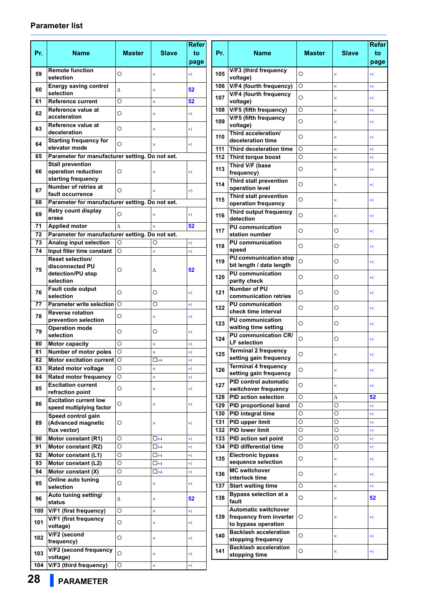| Pr. | Name                                                                         | Master   | Slave        | <b>Refer</b><br>to<br>page |             |
|-----|------------------------------------------------------------------------------|----------|--------------|----------------------------|-------------|
| 59  | <b>Remote function</b><br>selection                                          | $\Omega$ | $\times$     | $*1$                       |             |
| 60  | <b>Energy saving control</b><br>selection                                    | Δ        | $\times$     | 52                         |             |
| 61  | <b>Reference current</b>                                                     | O        | $\times$     | 52                         |             |
| 62  | Reference value at<br>acceleration                                           | O        | $\times$     | $*1$                       |             |
| 63  | Reference value at<br>deceleration                                           | O        | $\times$     | $*1$                       |             |
| 64  | <b>Starting frequency for</b><br>elevator mode                               | O        | $\times$     | $*1$                       |             |
| 65  | Parameter for manufacturer setting. Do not set.                              |          |              |                            |             |
| 66  | <b>Stall prevention</b><br>operation reduction<br>starting frequency         | O        | $\times$     | $*1$                       |             |
| 67  | <b>Number of retries at</b><br>fault occurrence                              | O        | $\times$     | $*3$                       |             |
| 68  | Parameter for manufacturer setting. Do not set.                              |          |              |                            |             |
| 69  | Retry count display<br>erase                                                 | O        | $\times$     | $*1$                       |             |
| 71  | <b>Applied motor</b>                                                         | Λ        | $\times$     | 52                         |             |
| 72  | Parameter for manufacturer setting. Do not set.                              |          |              |                            |             |
| 73  | Analog input selection                                                       | O        | $\circ$      | $*1$                       |             |
| 74  | Input filter time constant                                                   | Ο        | $\times$     | $*1$                       |             |
| 75  | <b>Reset selection/</b><br>disconnected PU<br>detection/PU stop<br>selection | O        | Δ            | 52                         |             |
| 76  | Fault code output<br>selection                                               | O        | O            | $*1$                       |             |
| 77  | <b>Parameter write selection</b>                                             | O        | О            | $*1$                       |             |
| 78  | <b>Reverse rotation</b><br>prevention selection                              | O        | $\times$     | $*1$                       |             |
| 79  | <b>Operation mode</b><br>selection                                           | O        | O            | $*1$                       |             |
| 80  | <b>Motor capacity</b>                                                        | O        | $\times$     | $*1$                       |             |
| 81  | Number of motor poles                                                        | O        | X            | $*1$                       |             |
| 82  | <b>Motor excitation current</b>                                              | $\circ$  | $\square$ *4 | $*1$                       |             |
| 83  | Rated motor voltage                                                          | $\circ$  | $\times$     | $*1$                       | 1           |
| 84  | <b>Rated motor frequency</b>                                                 | O        | ×            | $*1$                       |             |
| 85  | <b>Excitation current</b><br>refraction point                                | O        | ×            | $*1$                       | 1<br>1      |
| 86  | <b>Excitation current low</b><br>speed multiplying factor                    | O        | $\times$     | $*1$                       | 1           |
| 89  | Speed control gain<br>(Advanced magnetic<br>flux vector)                     | O        | ×            | $*1$                       | 1<br>1<br>1 |
| 90  | Motor constant (R1)                                                          | O        | $\n  4\n$    | $*1$                       | 1           |
| 91  | Motor constant (R2)                                                          | O        | $\square$ *4 | $*1$                       | 1           |
| 92  | Motor constant (L1)                                                          | O        | $\square$ *4 | $*1$                       | 1           |
| 93  | Motor constant (L2)                                                          | $\circ$  | $\square$ *4 | $*1$                       |             |
| 94  | Motor constant (X)                                                           | O        | $\square$ *4 | $*1$                       | 1           |
| 95  | Online auto tuning<br>selection                                              | O        | ×            | $*1$                       | 1           |
| 96  | Auto tuning setting/<br>status                                               | Δ        | $\times$     | 52                         |             |
| 100 | V/F1 (first frequency)                                                       | O        | ×            | $*1$                       |             |
| 101 | V/F1 (first frequency<br>voltage)                                            | O        | ×            | $*1$                       |             |
| 102 | V/F2 (second<br>frequency)                                                   | O        | $\times$     | $*1$                       |             |
| 103 | V/F2 (second frequency<br>voltage)                                           | O        | ×            | $*1$                       |             |
| 104 | V/F3 (third frequency)                                                       | O        | $\times$     | $*1$                       |             |

| Pr.        | <b>Name</b>                                                                   | <b>Master</b> | <b>Slave</b> | <b>Refer</b><br>to<br>page |
|------------|-------------------------------------------------------------------------------|---------------|--------------|----------------------------|
| 105        | V/F3 (third frequency<br>voltage)                                             | O             | $\times$     | $*1$                       |
| 106        | V/F4 (fourth frequency)                                                       | O             | ×            | *1                         |
| 107        | V/F4 (fourth frequency<br>voltage)                                            | O             | $\times$     | $*1$                       |
| 108        | V/F5 (fifth frequency)                                                        | O             | ×            | $*1$                       |
| 109        | V/F5 (fifth frequency                                                         | O             |              | $*1$                       |
|            | voltage)<br>Third acceleration/                                               |               | $\times$     |                            |
| 110        | deceleration time                                                             | O             | $\times$     | *1                         |
| 111        | <b>Third deceleration time</b>                                                | O             | $\times$     | $*1$                       |
| 112        | Third torque boost                                                            | O             | ×            | $*1$                       |
| 113        | Third V/F (base<br>frequency)                                                 | O             | $\times$     | $*1$                       |
| 114        | Third stall prevention<br>operation level                                     | O             | $\times$     | $*1$                       |
| 115        | <b>Third stall prevention</b><br>operation frequency                          | O             | $\times$     | $*1$                       |
| 116        | Third output frequency<br>detection                                           | O             | ×            | $*1$                       |
| 117        | <b>PU</b> communication<br>station number                                     | O             | O            | $*1$                       |
| 118        | <b>PU communication</b><br>speed                                              | O             | O            | $*1$                       |
| 119        | PU communication stop<br>bit length / data length                             | O             | O            | $*1$                       |
| 120        | <b>PU communication</b><br>parity check                                       | O             | O            | $*1$                       |
| 121        | <b>Number of PU</b><br>communication retries                                  | O             | O            | *1                         |
| 122        | <b>PU communication</b><br>check time interval                                | O             | O            | $*1$                       |
| 123        | <b>PU communication</b><br>waiting time setting                               | O             | O            | $*1$                       |
| 124        | <b>PU communication CR/</b><br><b>LF</b> selection                            | $\circ$       | O            | $*1$                       |
| 125        | <b>Terminal 2 frequency</b><br>setting gain frequency                         | Ō             | X            | $*1$                       |
| 126        | <b>Terminal 4 frequency</b><br>setting gain frequency                         | Ο             | ×            | $*1$                       |
| 127        | <b>PID control automatic</b><br>switchover frequency                          | O             | X            | $*1$                       |
| 128        | <b>PID action selection</b>                                                   | O             | Δ            | 52                         |
| 129        | PID proportional band                                                         | O             | O            | $*1$                       |
| 130        | PID integral time                                                             | O             | O            | $*1$                       |
| 131<br>132 | <b>PID</b> upper limit<br><b>PID lower limit</b>                              | O<br>O        | O<br>O       | $*1$                       |
| 133        | PID action set point                                                          | O             | O            | $*1$<br>*1                 |
| 134        | <b>PID differential time</b>                                                  | O             | O            | *1                         |
| 135        | <b>Electronic bypass</b>                                                      | O             | X            | $*1$                       |
| 136        | sequence selection<br><b>MC switchover</b>                                    | O             | ×            | $*1$                       |
| 137        | interlock time<br><b>Start waiting time</b>                                   | O             | X            | *1                         |
| 138        | <b>Bypass selection at a</b><br>fault                                         | O             | ×            | 52                         |
| 139        | <b>Automatic switchover</b><br>frequency from inverter<br>to bypass operation | О             | $\times$     | $*1$                       |
| 140        | <b>Backlash acceleration</b><br>stopping frequency                            | O             | $\times$     | $*1$                       |
| 141        | <b>Backlash acceleration</b><br>stopping time                                 | O             | ×            | $*1$                       |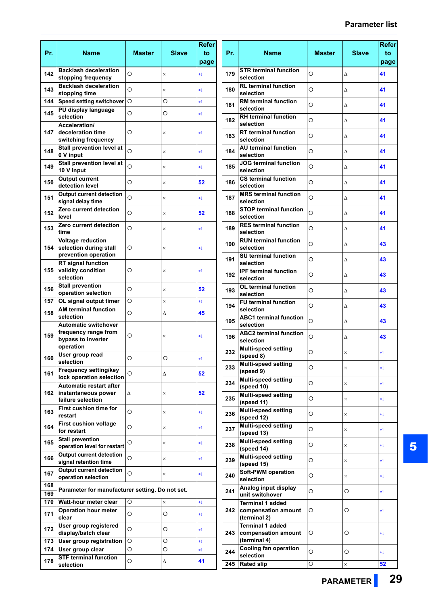| Pr.        | <b>Name</b>                                              | <b>Master</b>      | <b>Slave</b>  | <b>Refer</b><br>to<br>page | Pr. | <b>Name</b>                                                    | <b>Master</b> | <b>Slave</b> | <b>Refer</b><br>to<br>page |
|------------|----------------------------------------------------------|--------------------|---------------|----------------------------|-----|----------------------------------------------------------------|---------------|--------------|----------------------------|
| 142        | <b>Backlash deceleration</b><br>stopping frequency       | $\circ$            | $\times$      | $*1$                       | 179 | <b>STR terminal function</b><br>selection                      | O             | Δ            | 41                         |
| 143        | <b>Backlash deceleration</b><br>stopping time            | $\circ$            | $\times$      | $*1$                       | 180 | <b>RL</b> terminal function<br>selection                       | O             | Δ            | 41                         |
| 144        | Speed setting switchover O                               |                    | Ó             | $*1$                       | 181 | <b>RM</b> terminal function<br>selection                       | $\circ$       | Δ            | 41                         |
| 145        | PU display language<br>selection                         | $\circ$            | O             | $*1$                       | 182 | <b>RH</b> terminal function                                    | $\circ$       | Δ            | 41                         |
| 147        | Acceleration/<br>deceleration time                       | O                  | ×             | $*1$                       | 183 | selection<br><b>RT</b> terminal function                       | O             | Δ            | 41                         |
| 148        | switching frequency<br>Stall prevention level at         | $\circ$            | $\times$      | $*1$                       | 184 | selection<br><b>AU terminal function</b><br>selection          | O             | Δ            | 41                         |
| 149        | 0 V input<br>Stall prevention level at<br>10 V input     | $\circ$            | $\times$      | $*1$                       | 185 | <b>JOG</b> terminal function<br>selection                      | O             | Δ            | 41                         |
| 150        | <b>Output current</b><br>detection level                 | $\circ$            | $\times$      | 52                         | 186 | <b>CS terminal function</b><br>selection                       | $\circ$       | Δ            | 41                         |
| 151        | <b>Output current detection</b><br>signal delay time     | O                  | $\times$      | $*1$                       | 187 | <b>MRS</b> terminal function<br>selection                      | $\circ$       | Δ            | 41                         |
| 152        | Zero current detection<br>level                          | $\circ$            | $\times$      | 52                         | 188 | <b>STOP terminal function</b><br>selection                     | $\circ$       | Δ            | 41                         |
| 153        | Zero current detection<br>time                           | $\circ$            | $\times$      | $*1$                       | 189 | <b>RES</b> terminal function<br>selection                      | $\circ$       | Δ            | 41                         |
| 154        | <b>Voltage reduction</b><br>selection during stall       | O                  | ×             | $*1$                       | 190 | <b>RUN terminal function</b><br>selection                      | O             | Δ            | 43                         |
|            | prevention operation<br><b>RT</b> signal function        |                    |               |                            | 191 | <b>SU terminal function</b><br>selection                       | $\circ$       | Δ            | 43                         |
| 155        | validity condition<br>selection                          | O                  | ×             | $*1$                       | 192 | <b>IPF terminal function</b><br>selection                      | $\circ$       | Δ            | 43                         |
| 156        | <b>Stall prevention</b><br>operation selection           | $\circ$            | $\times$      | 52                         | 193 | <b>OL terminal function</b><br>selection                       | O             | Δ            | 43                         |
| 157        | OL signal output timer<br><b>AM terminal function</b>    | O                  | $\times$      | $*1$                       | 194 | <b>FU terminal function</b><br>selection                       | O             | Δ            | 43                         |
| 158        | selection<br><b>Automatic switchover</b>                 | $\circ$            | Δ             | 45                         | 195 | <b>ABC1</b> terminal function<br>selection                     | $\circ$       | Δ            | 43                         |
| 159        | frequency range from<br>bypass to inverter<br>operation  | $\circ$            | $\times$      | $*1$                       | 196 | <b>ABC2 terminal function</b><br>selection                     | $\circ$       | Δ            | 43                         |
| 160        | User group read<br>selection                             | O                  | O             | *1                         | 232 | <b>Multi-speed setting</b><br>(speed 8)                        | O             | $\times$     | $^*1$                      |
| 161        | Frequency setting/key                                    | O                  | Δ             | 52                         | 233 | <b>Multi-speed setting</b><br>(speed 9)                        | O             | $\times$     | $^{\ast1}$                 |
|            | lock operation selection<br>Automatic restart after      |                    |               |                            | 234 | <b>Multi-speed setting</b><br>(speed 10)                       | O             | $\times$     | $^{\ast1}$                 |
| 162        | instantaneous power<br>failure selection                 | Δ                  | $\times$      | 52                         | 235 | <b>Multi-speed setting</b><br>(speed 11)                       | $\circ$       | $\times$     | $*1$                       |
| 163        | First cushion time for<br>restart                        | $\circ$            | $\times$      | $*1$                       | 236 | <b>Multi-speed setting</b><br>(speed 12)                       | O             | $\times$     | * 1                        |
| 164        | <b>First cushion voltage</b><br>for restart              | $\circ$            | $\times$      | $*1$                       | 237 | <b>Multi-speed setting</b><br>(speed 13)                       | O             | $\times$     | *1                         |
| 165        | <b>Stall prevention</b><br>operation level for restart   | $\bigcirc$         | $\times$      | $*1$                       | 238 | <b>Multi-speed setting</b><br>(speed 14)                       | $\circ$       | $\times$     | $^{\ast}1$                 |
| 166        | <b>Output current detection</b><br>signal retention time | $\circ$            | $\times$      | $*1$                       | 239 | <b>Multi-speed setting</b><br>(speed 15)                       | O             | $\times$     | *1                         |
| 167        | <b>Output current detection</b><br>operation selection   | O                  | $\times$      | $*1$                       | 240 | <b>Soft-PWM</b> operation<br>selection                         | O             | $\times$     | $^{\ast}1$                 |
| 168<br>169 | Parameter for manufacturer setting. Do not set.          |                    |               |                            | 241 | Analog input display<br>unit switchover                        | $\circ$       | O            | $^{\ast}1$                 |
| 170<br>171 | Watt-hour meter clear<br><b>Operation hour meter</b>     | $\circ$<br>$\circ$ | $\times$<br>O | $*1$<br>$*1$               | 242 | <b>Terminal 1 added</b><br>compensation amount                 | O             | O            | $^{\ast}1$                 |
| 172        | clear<br>User group registered<br>display/batch clear    | $\circ$            | $\circ$       | *1                         | 243 | (terminal 2)<br><b>Terminal 1 added</b><br>compensation amount | O             | O            |                            |
| 173        | <b>User group registration</b>                           | $\circ$            | O             | $*1$                       |     | (terminal 4)                                                   |               |              | $^{\ast}1$                 |
| 174        | <b>User group clear</b>                                  | $\overline{\circ}$ | Ō             | $*1$                       | 244 | <b>Cooling fan operation</b><br>selection                      | O             | $\circ$      | $^*1$                      |
| 178        | <b>STF terminal function</b><br>selection                | $\circ$            | Δ             | 41                         | 245 | <b>Rated slip</b>                                              | O             | $\times$     | 52                         |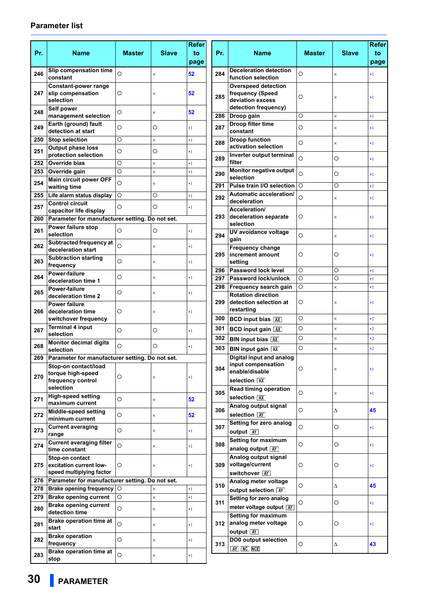| Pr. | <b>Name</b>                                                               | Master  | <b>Slave</b> | Refer<br>to | Pr.        | Name                                                                                       | Master       | <b>Slave</b>         | <b>Refer</b><br>to |
|-----|---------------------------------------------------------------------------|---------|--------------|-------------|------------|--------------------------------------------------------------------------------------------|--------------|----------------------|--------------------|
|     | <b>Slip compensation time</b>                                             |         |              | page        |            | <b>Deceleration detection</b>                                                              |              |                      | page               |
| 246 | constant                                                                  | O       | $\times$     | 52          | 284        | function selection                                                                         | O            | ×                    | $*1$               |
| 247 | Constant-power range<br>slip compensation<br>selection                    | O       | ×            | 52          | 285        | <b>Overspeed detection</b><br>frequency (Speed<br>deviation excess<br>detection frequency) | O            | $\times$             | $*1$               |
| 248 | Self power<br>management selection                                        | O       | $\times$     | 52          |            | 286 Droop gain                                                                             | O            | ×                    | $*1$               |
| 249 | Earth (ground) fault                                                      | O       | $\circ$      | $*1$        | 287        | Droop filter time                                                                          | O            | ×                    | *1                 |
| 250 | detection at start<br>Stop selection                                      | O       | $\times$     | $*1$        |            | constant<br><b>Droop function</b>                                                          |              |                      |                    |
| 251 | <b>Output phase loss</b>                                                  | O       | $\circ$      | $*1$        | 288        | activation selection                                                                       | O            | ×                    | $*1$               |
| 252 | protection selection<br><b>Override bias</b>                              | O       | $\times$     | $*1$        | 289        | Inverter output terminal<br>filter                                                         | $\circ$      | O                    | $*1$               |
|     | 253 Override gain                                                         | O       | $\times$     | $*1$        | 290        | Monitor negative output                                                                    | O            | O                    | $*1$               |
| 254 | Main circuit power OFF                                                    | O       | $\times$     | $*1$        |            | selection                                                                                  |              |                      |                    |
| 255 | waiting time<br>Life alarm status display                                 | O       | $\circ$      | $*1$        | 291        | Pulse train I/O selection<br>Automatic acceleration/                                       | $\circ$      | O                    | $*1$               |
| 257 | <b>Control circuit</b>                                                    | O       | O            | $*1$        | 292        | deceleration                                                                               | O            | ×                    | $*1$               |
|     | capacitor life display                                                    |         |              |             | 293        | Acceleration/<br>deceleration separate                                                     | O            | ×                    | *1                 |
|     | 260 Parameter for manufacturer setting. Do not set.<br>Power failure stop |         |              |             |            | selection                                                                                  |              |                      |                    |
| 261 | selection                                                                 | O       | O            | $*1$        | 294        | UV avoidance voltage<br>gain                                                               | $\circ$      | ×                    | $*1$               |
| 262 | Subtracted frequency at<br>deceleration start                             | $\circ$ | $\times$     | $*1$        |            | Frequency change                                                                           |              |                      |                    |
| 263 | Subtraction starting                                                      | $\circ$ | $\times$     |             | 295        | increment amount                                                                           | O            | O                    | $*1$               |
|     | frequency                                                                 |         |              | $*1$        | 296        | setting<br><b>Password lock level</b>                                                      | $\circ$      | O                    | $*1$               |
| 264 | <b>Power-failure</b><br>deceleration time 1                               | O       | $\times$     | *1          | 297        | Password lock/unlock                                                                       | $\circ$      | O                    | $*1$               |
| 265 | <b>Power-failure</b>                                                      | O       | ×            | $*1$        | 298        | Frequency search gain                                                                      | $\circ$      | $\times$             | $*1$               |
|     | deceleration time 2<br><b>Power failure</b>                               |         |              |             | 299        | <b>Rotation direction</b><br>detection selection at                                        | O            | ×                    | *1                 |
| 266 | deceleration time                                                         | O       | ×            | *1          |            | restarting                                                                                 |              |                      |                    |
|     | switchover frequency                                                      |         |              |             | 300        | <b>BCD input bias AX</b>                                                                   | $\circ$      | $\times$             | $*2$               |
| 267 | <b>Terminal 4 input</b><br>selection                                      | $\circ$ | O            | $*1$        | 301        | <b>BCD input gain [AX]</b>                                                                 | $\circ$      | $\times$             | $*2$               |
| 268 | <b>Monitor decimal digits</b>                                             | O       | O            | *1          | 302<br>303 | <b>BIN input bias AX</b>                                                                   | O<br>$\circ$ | $\times$<br>$\times$ | $*2$<br>$*2$       |
|     | selection<br>269 Parameter for manufacturer setting. Do not set.          |         |              |             |            | <b>BIN input gain AX</b><br>Digital input and analog                                       |              |                      |                    |
|     | Stop-on contact/load                                                      |         |              |             | 304        | input compensation<br>enable/disable                                                       | O            | $\times$             | *1                 |
| 270 | torque high-speed<br>frequency control                                    | O       | $\times$     | $*1$        |            | selection [AX]                                                                             |              |                      |                    |
|     | selection                                                                 |         |              |             | 305        | Read timing operation                                                                      | $\circ$      | $\times$             | $*1$               |
| 271 | <b>High-speed setting</b><br>maximum current                              | $\circ$ | $\times$     | 52          |            | selection [AX]<br>Analog output signal                                                     |              |                      |                    |
| 272 | Middle-speed setting                                                      | $\circ$ | $\times$     | 52          | 306        | selection <b>AY</b>                                                                        | $\circ$      | Δ                    | 45                 |
|     | minimum current<br><b>Current averaging</b>                               |         |              |             | 307        | Setting for zero analog                                                                    | O            | O                    | $*1$               |
| 273 | range                                                                     | O       | $\times$     | $*1$        |            | output <b>M</b>                                                                            |              |                      |                    |
| 274 | <b>Current averaging filter</b><br>time constant                          | O       | $\times$     | $*1$        | 308        | <b>Setting for maximum</b><br>analog output <b>AY</b>                                      | $\circ$      | O                    | $*1$               |
|     | Stop-on contact                                                           |         |              |             |            | Analog output signal                                                                       |              |                      |                    |
|     | 275 excitation current low-<br>speed multiplying factor                   | O       | ×            | *1          | 309        | voltage/current<br>switchover <b>AY</b>                                                    | O            | O                    | *1                 |
|     | 276 Parameter for manufacturer setting. Do not set.                       |         |              |             |            | Analog meter voltage                                                                       |              |                      |                    |
| 278 | Brake opening frequency O                                                 |         | ×            | $*1$        | 310        | output selection <b>AY</b>                                                                 | O            | Δ                    | 45                 |
| 279 | <b>Brake opening current</b><br><b>Brake opening current</b>              | $\circ$ | $\times$     | $*1$        | 311        | Setting for zero analog                                                                    | O            | O                    | $^{\ast}1$         |
| 280 | detection time                                                            | $\circ$ | $\times$     | *1          |            | meter voltage output AY<br>Setting for maximum                                             |              |                      |                    |
| 281 | <b>Brake operation time at</b><br>start                                   | O       | $\times$     | $*1$        | 312        | analog meter voltage<br>output <b>AY</b>                                                   | O            | O                    | $*1$               |
| 282 | <b>Brake operation</b>                                                    | $\circ$ | $\times$     | *1          |            | DO0 output selection                                                                       |              |                      |                    |
| 283 | frequency<br><b>Brake operation time at</b>                               | O       |              |             | 313        | AY NC NCE                                                                                  | O            | Δ                    | 43                 |
|     | stop                                                                      |         | $\times$     | *1          |            |                                                                                            |              |                      |                    |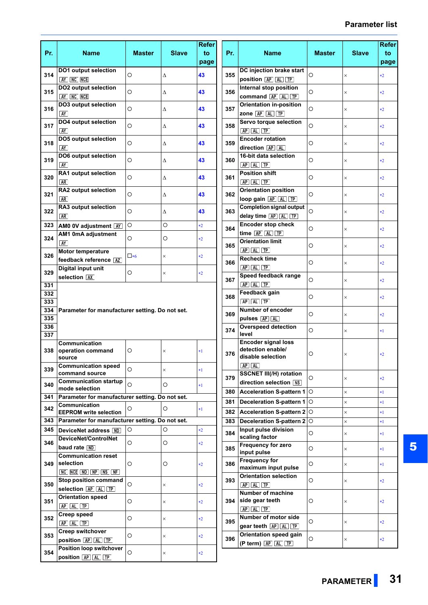| Pr.        | <b>Name</b>                                                                      | <b>Master</b> | <b>Slave</b>        | <b>Refer</b><br>to<br>page | Pr.        | <b>Name</b>                                                                   | <b>Master</b>         | <b>Slave</b> | <b>Refer</b><br>to<br>page |
|------------|----------------------------------------------------------------------------------|---------------|---------------------|----------------------------|------------|-------------------------------------------------------------------------------|-----------------------|--------------|----------------------------|
| 314        | DO1 output selection<br>AY NC NCE                                                | O             | Δ                   | 43                         | 355        | DC injection brake start<br>position <b>AP AL</b> TP                          | O                     | ×            | $*2$                       |
| 315        | DO2 output selection<br>AY NC NCE                                                | O             | Δ                   | 43                         | 356        | Internal stop position<br>command AP AL TP                                    | O                     | ×            | $*2$                       |
| 316        | DO3 output selection<br>AY                                                       | O             | Δ                   | 43                         | 357        | <b>Orientation in-position</b><br>ZONe AP AL TP                               | O                     | ×            | $*2$                       |
| 317        | DO4 output selection<br>AY                                                       | O             | Δ                   | 43                         | 358        | Servo torque selection<br>AP AL TP                                            | O                     | ×            | $*2$                       |
| 318        | DO5 output selection<br>AY                                                       | O             | Δ                   | 43                         | 359        | <b>Encoder rotation</b><br>direction <b>AP</b> AL                             | O                     | X            | *2                         |
| 319        | DO6 output selection<br>AY                                                       | O             | Δ                   | 43                         | 360        | 16-bit data selection<br>$AP$ $AL$ $TP$                                       | O                     | ×            | $\ast 2$                   |
| 320        | RA1 output selection<br>AR                                                       | O             | Δ                   | 43                         | 361        | <b>Position shift</b><br>AP AL TP                                             | O                     | ×            | $*2$                       |
| 321        | RA2 output selection<br>AR                                                       | O             | Δ                   | 43                         | 362        | <b>Orientation position</b><br>loop gain AP AL TP                             | O                     | $\times$     | *2                         |
| 322        | RA3 output selection<br>AR                                                       | O             | Δ                   | 43                         | 363        | <b>Completion signal output</b><br>delay time <b>AP</b> AL TP                 | O                     | X            | $*2$                       |
| 323        | AM0 0V adjustment AY<br>AM1 0mA adjustment                                       | $\circ$       | O                   | $*2$                       | 364        | Encoder stop check<br>time AP AL TP                                           | O                     | $\times$     | $*2$                       |
| 324        | AY<br>Motor temperature                                                          | $\circ$       | $\circ$             | $*2$                       | 365        | <b>Orientation limit</b><br>$AP$ $AL$ $TP$                                    | O                     | ×            | $*2$                       |
| 326        | feedback reference [AZ]<br>Digital input unit                                    | $\square*6$   | $\times$            | $*2$                       | 366        | <b>Recheck time</b><br>AP AL TP                                               | O                     | ×            | $*2$                       |
| 329<br>331 | selection AX                                                                     | O             | $\times$            | $*2$                       | 367        | Speed feedback range<br>AP AL TP                                              | O                     | ×            | $\ast 2$                   |
| 332<br>333 |                                                                                  |               |                     |                            | 368        | Feedback gain<br>$AP$ $AL$ $TP$                                               | O                     | ×            | *2                         |
| 334<br>335 | Parameter for manufacturer setting. Do not set.                                  |               |                     |                            | 369        | <b>Number of encoder</b><br>pulses AP AL                                      | O                     | ×            | $*2$                       |
| 336<br>337 |                                                                                  |               |                     |                            | 374        | <b>Overspeed detection</b><br>level                                           | $\circ$               | $\times$     | $^*1$                      |
| 338        | Communication<br>operation command<br>source                                     | O             | $\times$            | *1                         | 376        | <b>Encoder signal loss</b><br>detection enable/<br>disable selection<br>AP AL | O                     | ×            | $*2$                       |
| 339<br>340 | <b>Communication speed</b><br>command source<br><b>Communication startup</b>     | O<br>O        | $\times$<br>$\circ$ | $*1$                       | 379        | <b>SSCNET III(/H) rotation</b><br>direction selection NS                      | $\circ$               | ×            | $*2$                       |
| 341        | mode selection<br>Parameter for manufacturer setting. Do not set.                |               |                     | $*1$                       | 380        | Acceleration S-pattern 1 0                                                    |                       | $\times$     | $^*1$                      |
| 342        | Communication                                                                    | O             | $\circ$             | $*1$                       | 381        | Deceleration S-pattern 1   O                                                  |                       | $\times$     | $^*1$                      |
| 343        | <b>EEPROM write selection</b><br>Parameter for manufacturer setting. Do not set. |               |                     |                            | 382        | Acceleration S-pattern 2 O                                                    |                       | $\times$     | $*1$                       |
| 345        | <b>DeviceNet address ND</b>                                                      | O             | $\circ$             | $*2$                       | 383        | <b>Deceleration S-pattern 2</b><br>Input pulse division                       | $\circ$               | $\times$     | $^*1$                      |
| 346        | DeviceNet/ControlNet                                                             | O             | $\circ$             | $*2$                       | 384        | scaling factor<br>Frequency for zero                                          | $\circ$               | $\times$     | *1                         |
| 349        | baud rate ND<br><b>Communication reset</b><br>selection                          |               |                     |                            | 385        | input pulse<br><b>Frequency for</b>                                           | O                     | ×            | *1                         |
|            | NC NCE ND NP NS NF<br><b>Stop position command</b>                               | O             | O                   | $*2$                       | 386<br>393 | maximum input pulse<br><b>Orientation selection</b>                           | $\bigcirc$<br>$\circ$ | $\times$     | $^*1$                      |
| 350        | selection AP AL TP                                                               | O             | $\times$            | $*2$                       |            | AP AL TP<br><b>Number of machine</b>                                          |                       | ×            | $*2$                       |
| 351        | <b>Orientation speed</b><br>AP AL TP                                             | O             | $\times$            | $*2$                       | 394        | side gear teeth<br>AP AL TP                                                   | O                     | ×            | *2                         |
| 352        | Creep speed<br>AP AL TP                                                          | O             | $\times$            | $*2$                       | 395        | Number of motor side<br>gear teeth AP AL TP                                   | O                     | ×            | $*2$                       |
| 353        | Creep switchover<br>position AP AL TP                                            | O             | $\times$            | $*2$                       | 396        | Orientation speed gain<br>(P term) AP AL TP                                   | $\circ$               | ×            | $*2$                       |
| 354        | <b>Position loop switchover</b><br>position [AP] [AL] [TP]                       | O             | $\times$            | $*2$                       |            |                                                                               |                       |              |                            |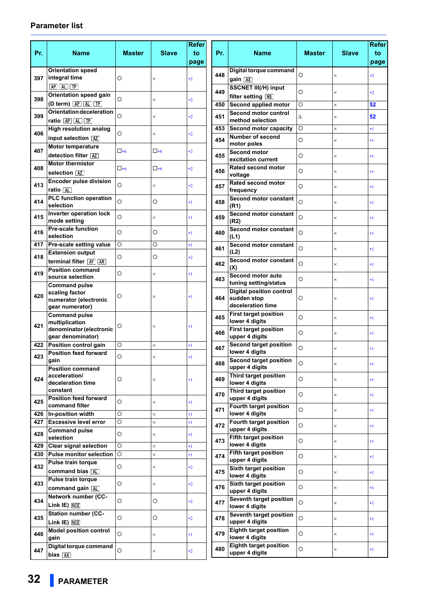| Pr. | <b>Name</b>                                             | <b>Master</b> | <b>Slave</b>  | <b>Refer</b><br>to<br>page | Pr. | <b>Name</b>                                     | <b>Master</b> | <b>Slave</b> | <b>Refer</b><br>to<br>page |
|-----|---------------------------------------------------------|---------------|---------------|----------------------------|-----|-------------------------------------------------|---------------|--------------|----------------------------|
|     | <b>Orientation speed</b>                                |               |               |                            | 448 | Digital torque command                          | O             |              |                            |
| 397 | integral time                                           | O             | ×             | $*2$                       |     | gain AX                                         |               | $\times$     | $*2$                       |
|     | $AP$ $AL$ $TP$                                          |               |               |                            | 449 | <b>SSCNET III(/H) input</b>                     | O             | $\times$     | $*2$                       |
| 398 | Orientation speed gain                                  | O             | ×             | $*2$                       |     | filter setting NS                               |               |              |                            |
|     | (D term) AP AL TP<br>Orientation deceleration           |               |               |                            | 450 | Second applied motor<br>Second motor control    | O             | $\times$     | 52                         |
| 399 | ratio <b>AP</b> AL <b>TP</b>                            | O             | ×             | $*2$                       | 451 | method selection                                | Δ             | $\times$     | 52                         |
|     | <b>High resolution analog</b>                           |               |               |                            | 453 | Second motor capacity                           | O             | $\times$     | $*1$                       |
| 406 | input selection [AZ]                                    | $\circ$       | ×             | $*2$                       | 454 | <b>Number of second</b>                         | O             | $\times$     | $*1$                       |
|     | <b>Motor temperature</b>                                |               |               |                            |     | motor poles                                     |               |              |                            |
| 407 | detection filter [AZ]                                   | $\square * 6$ | $\square * 6$ | $*2$                       | 455 | Second motor<br>excitation current              | O             | $\times$     | $*1$                       |
| 408 | <b>Motor thermistor</b>                                 | $\square * 6$ | $\square * 6$ | $*2$                       |     | <b>Rated second motor</b>                       |               |              |                            |
|     | selection   AZ                                          |               |               |                            | 456 | voltage                                         | O             | $\times$     | $*1$                       |
| 413 | <b>Encoder pulse division</b>                           | O             | ×             | $*2$                       | 457 | Rated second motor                              | O             | $\times$     | $*1$                       |
|     | ratio AL                                                |               |               |                            |     | frequency                                       |               |              |                            |
| 414 | <b>PLC</b> function operation<br>selection              | O             | O             | $*1$                       | 458 | <b>Second motor constant</b><br>(R1)            | $\circ$       | $\times$     | $*1$                       |
| 415 | Inverter operation lock<br>mode setting                 | $\circ$       | ×             | $*1$                       | 459 | <b>Second motor constant</b><br>(R2)            | O             | $\times$     | $*1$                       |
| 416 | <b>Pre-scale function</b><br>selection                  | $\circ$       | O             | $*1$                       | 460 | Second motor constant<br>(L1)                   | O             | $\times$     | *1                         |
| 417 | Pre-scale setting value                                 | $\circ$       | O             | $*1$                       | 461 | <b>Second motor constant</b>                    | O             | $\times$     | $*1$                       |
| 418 | <b>Extension output</b><br>terminal filter <b>AY</b> AR | O             | O             | $*2$                       | 462 | (L2)<br><b>Second motor constant</b>            | O             | $\times$     | $*1$                       |
| 419 | <b>Position command</b>                                 | O             | ×             | $*1$                       |     | (X)                                             |               |              |                            |
|     | source selection                                        |               |               |                            | 463 | Second motor auto<br>tuning setting/status      | O             | $\times$     | $*1$                       |
|     | <b>Command pulse</b><br>scaling factor                  |               |               |                            |     | <b>Digital position control</b>                 |               |              |                            |
| 420 | numerator (electronic                                   | O             | $\times$      | *1                         | 464 | sudden stop                                     | O             | $\times$     | *1                         |
|     | gear numerator)                                         |               |               |                            |     | deceleration time                               |               |              |                            |
|     | <b>Command pulse</b>                                    |               |               |                            | 465 | <b>First target position</b><br>lower 4 digits  | O             | $\times$     | $*1$                       |
| 421 | multiplication<br>denominator (electronic               | O             | $\times$      | $*1$                       |     | <b>First target position</b>                    |               |              |                            |
|     | gear denominator)                                       |               |               |                            | 466 | upper 4 digits                                  | O             | $\times$     | $*1$                       |
| 422 | Position control gain                                   | O             | $\times$      | $*1$                       | 467 | Second target position                          | O             | $\times$     | $*1$                       |
| 423 | <b>Position feed forward</b>                            | $\circ$       | ×             | *1                         |     | lower 4 digits<br><b>Second target position</b> |               |              |                            |
|     | gain<br>Position command                                |               |               |                            | 468 | upper 4 digits                                  | O             | $\times$     | $*1$                       |
| 424 | acceleration/                                           | O             |               | $*1$                       | 469 | Third target position                           | O             | $\times$     | *1                         |
|     | deceleration time                                       |               | ×             |                            |     | lower 4 digits                                  |               |              |                            |
|     | constant<br><b>Position feed forward</b>                |               |               |                            | 470 | Third target position<br>upper 4 digits         | O             | $\times$     | $*1$                       |
| 425 | command filter                                          | $\circ$       | ×             | *1                         |     | Fourth target position                          |               |              |                            |
|     | 426   In-position width                                 | O             | $\times$      | $*1$                       | 471 | lower 4 digits                                  | O             | $\times$     | $*1$                       |
| 427 | <b>Excessive level error</b>                            | $\bigcirc$    | $\times$      | $*1$                       | 472 | <b>Fourth target position</b>                   | O             | $\times$     | $*1$                       |
| 428 | <b>Command pulse</b><br>selection                       | $\circ$       | ×             | *1                         |     | upper 4 digits<br><b>Fifth target position</b>  |               |              |                            |
| 429 | <b>Clear signal selection</b>                           | $\circ$       | $\times$      | *1                         | 473 | lower 4 digits                                  | O             | $\times$     | $*1$                       |
|     | 430 Pulse monitor selection                             | $\circ$       | ×             | *1                         | 474 | <b>Fifth target position</b>                    | O             | $\times$     | $*1$                       |
|     | <b>Pulse train torque</b>                               |               |               |                            |     | upper 4 digits                                  |               |              |                            |
| 432 | command bias AL                                         | O             | ×             | $*2$                       | 475 | Sixth target position<br>lower 4 digits         | O             | $\times$     | $*1$                       |
| 433 | <b>Pulse train torque</b><br>command gain AL            | $\circ$       | ×             | $*2$                       | 476 | Sixth target position                           | O             | $\times$     | $*1$                       |
|     | Network number (CC-                                     |               |               |                            |     | upper 4 digits<br>Seventh target position       |               |              |                            |
| 434 | Link IE) NCE                                            | O             | O             | $*2$                       | 477 | lower 4 digits                                  | O             | $\times$     | $*1$                       |
| 435 | <b>Station number (CC-</b><br>Link IE) NCE              | O             | O             | $*2$                       | 478 | Seventh target position<br>upper 4 digits       | O             | $\times$     | $*1$                       |
| 446 | <b>Model position control</b><br>gain                   | $\circ$       | ×             | *1                         | 479 | <b>Eighth target position</b><br>lower 4 digits | O             | $\times$     | $*1$                       |
| 447 | Digital torque command<br>bias <b>AX</b>                | O             | ×             | $*2$                       | 480 | <b>Eighth target position</b><br>upper 4 digits | $\bigcirc$    | $\times$     | $*1$                       |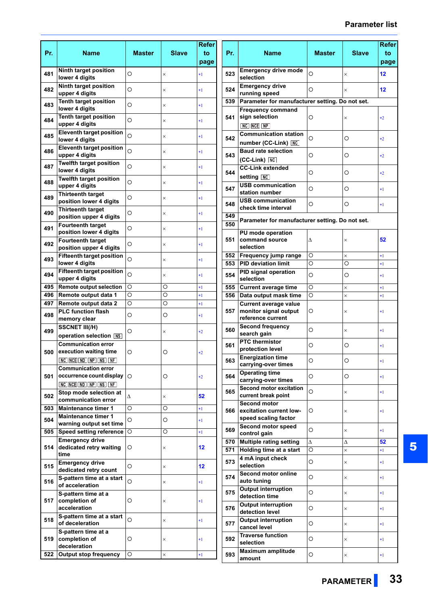| Pr.        | <b>Name</b>                                                       | Master       | <b>Slave</b> | <b>Refer</b><br>to<br>page | Pr.        | <b>Name</b>                                                                 | Master     | <b>Slave</b>  | <b>Refer</b><br>to<br>page |
|------------|-------------------------------------------------------------------|--------------|--------------|----------------------------|------------|-----------------------------------------------------------------------------|------------|---------------|----------------------------|
| 481        | Ninth target position<br>lower 4 digits                           | O            | $\times$     | *1                         | 523        | <b>Emergency drive mode</b><br>selection                                    | O          | X             | 12                         |
| 482        | Ninth target position<br>upper 4 digits                           | O            | $\times$     | *1                         | 524        | <b>Emergency drive</b><br>running speed                                     | O          | $\times$      | 12                         |
| 483        | <b>Tenth target position</b><br>lower 4 digits                    | O            | $\times$     | *1                         | 539        | Parameter for manufacturer setting. Do not set.<br><b>Frequency command</b> |            |               |                            |
| 484        | <b>Tenth target position</b><br>upper 4 digits                    | $\circ$      | $\times$     | *1                         | 541        | sign selection<br>NC NCE NP                                                 | O          | $\times$      | $*2$                       |
| 485        | <b>Eleventh target position</b><br>lower 4 digits                 | O            | $\times$     | *1                         | 542        | <b>Communication station</b><br>number (CC-Link) NC                         | O          | O             | $*2$                       |
| 486        | <b>Eleventh target position</b><br>upper 4 digits                 | O            | $\times$     | *1                         | 543        | <b>Baud rate selection</b><br>$(CC-Link)$ $NC$                              | O          | O             | $*2$                       |
| 487        | <b>Twelfth target position</b><br>lower 4 digits                  | O            | $\times$     | *1                         | 544        | <b>CC-Link extended</b><br>setting NC                                       | O          | O             | $*2$                       |
| 488        | <b>Twelfth target position</b><br>upper 4 digits                  | $\circ$      | $\times$     | *1                         | 547        | <b>USB communication</b><br>station number                                  | O          | O             | *1                         |
| 489        | <b>Thirteenth target</b><br>position lower 4 digits               | O            | $\times$     | *1                         | 548        | <b>USB communication</b><br>check time interval                             | O          | O             | *1                         |
| 490        | <b>Thirteenth target</b><br>position upper 4 digits               | O            | $\times$     | *1                         | 549        | Parameter for manufacturer setting. Do not set.                             |            |               |                            |
| 491        | <b>Fourteenth target</b><br>position lower 4 digits               | O            | $\times$     | *1                         | 550        | PU mode operation                                                           |            |               |                            |
| 492        | <b>Fourteenth target</b><br>position upper 4 digits               | O            | $\times$     | *1                         | 551        | command source<br>selection                                                 | Δ          | $\times$      | 52                         |
| 493        | <b>Fifteenth target position</b><br>lower 4 digits                | O            | $\times$     | *1                         | 552<br>553 | Frequency jump range<br><b>PID deviation limit</b>                          | O<br>O     | $\times$<br>Ō | $*1$<br>*1                 |
| 494        | <b>Fifteenth target position</b><br>upper 4 digits                | O            | $\times$     | *1                         | 554        | PID signal operation<br>selection                                           | $\circ$    | O             | *1                         |
| 495        | <b>Remote output selection</b>                                    | $\circ$      | O            | $*1$                       | 555        | <b>Current average time</b>                                                 | O          | $\times$      | $*1$                       |
| 496        | Remote output data 1                                              | $\circ$      | O            | $*1$                       | 556        | Data output mask time                                                       | Ō          | $\times$      | *1                         |
| 497<br>498 | Remote output data 2<br><b>PLC function flash</b><br>memory clear | $\circ$<br>O | O<br>O       | $*1$<br>*1                 | 557        | <b>Current average value</b><br>monitor signal output<br>reference current  | O          | $\times$      | *1                         |
| 499        | <b>SSCNET III(/H)</b><br>operation selection [NS]                 | O            | $\times$     | $\ast 2$                   | 560        | <b>Second frequency</b><br>search gain                                      | O          | $\times$      | *1                         |
| 500        | <b>Communication error</b><br>execution waiting time              | O            | O            | *2                         | 561        | <b>PTC</b> thermistor<br>protection level                                   | O          | O             | $*1$                       |
|            | NC NCE ND NP NS NF<br><b>Communication error</b>                  |              |              |                            | 563        | <b>Energization time</b><br>carrying-over times                             | O          | О             | ٠ı                         |
| 501        | occurrence count display $\overline{\circ}$<br>NC NCE ND NP NS NF |              | O            | $*2$                       | 564        | <b>Operating time</b><br>carrying-over times                                | $\circ$    | O             | $*1$                       |
| 502        | Stop mode selection at<br>communication error                     | $\Delta$     | $\times$     | 52                         | 565        | <b>Second motor excitation</b><br>current break point                       | $\circ$    | $\times$      | $*1$                       |
| 503        | Maintenance timer 1                                               | $\circ$      | O            | $^*1$                      | 566        | <b>Second motor</b><br>excitation current low-                              | O          | $\times$      | $*1$                       |
| 504        | <b>Maintenance timer 1</b><br>warning output set time             | O            | $\circ$      | $*1$                       | 569        | speed scaling factor<br>Second motor speed                                  | $\circ$    | $\times$      | $*1$                       |
| 505        | Speed setting reference<br><b>Emergency drive</b>                 | $\circ$      | O            | $^*1$                      | 570        | control gain<br><b>Multiple rating setting</b>                              | Δ          | Δ             | 52                         |
| 514        | dedicated retry waiting<br>time                                   | O            | $\times$     | 12                         | 571        | Holding time at a start                                                     | $\circ$    | $\times$      | $*1$                       |
| 515        | <b>Emergency drive</b><br>dedicated retry count                   | O            | $\times$     | 12                         | 573        | 4 mA input check<br>selection                                               | $\circ$    | $\times$      | $*1$                       |
| 516        | S-pattern time at a start<br>of acceleration                      | $\circ$      | $\times$     | $^*1$                      | 574        | Second motor online<br>auto tuning                                          | O          | $\times$      | $*1$                       |
| 517        | S-pattern time at a<br>completion of                              | O            | ×            | *1                         | 575        | Output interruption<br>detection time                                       | O          | $\times$      | $*1$                       |
|            | acceleration<br>S-pattern time at a start                         |              |              |                            | 576        | <b>Output interruption</b><br>detection level                               | O          | $\times$      | $*1$                       |
| 518        | of deceleration<br>S-pattern time at a                            | O            | $\times$     | $^*1$                      | 577        | <b>Output interruption</b><br>cancel level                                  | $\circ$    | $\times$      | $*1$                       |
| 519        | completion of<br>deceleration                                     | O            | $\times$     | $^*1$                      | 592        | <b>Traverse function</b><br>selection                                       | $\circ$    | $\times$      | $*1$                       |
| 522        | Output stop frequency                                             | $\circ$      | $\times$     | *1                         | 593        | Maximum amplitude<br>amount                                                 | $\bigcirc$ | ×             | $*1$                       |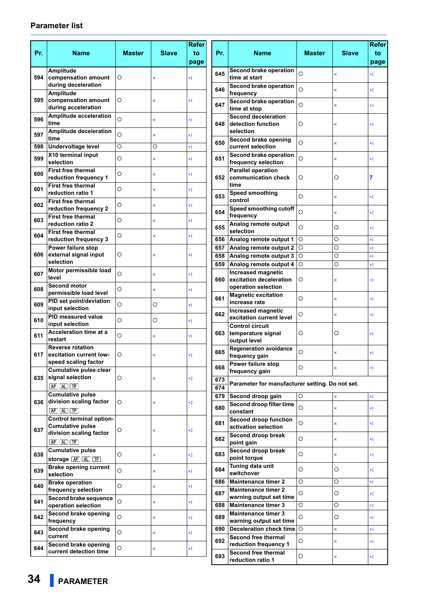| Pr. | Name                                                | Master     | <b>Slave</b> | Refer<br>to | Pr.        | Name                                                         | Master  | <b>Slave</b> | <b>Refer</b><br>to |
|-----|-----------------------------------------------------|------------|--------------|-------------|------------|--------------------------------------------------------------|---------|--------------|--------------------|
|     |                                                     |            |              | page        |            |                                                              |         |              | page               |
| 594 | <b>Amplitude</b><br>compensation amount             | O          | $\times$     | $*1$        | 645        | Second brake operation<br>time at start                      | $\circ$ | ×            | $*1$               |
|     | during deceleration<br><b>Amplitude</b>             |            |              |             | 646        | Second brake operation<br>frequency                          | O       | ×            | *1                 |
| 595 | compensation amount<br>during acceleration          | O          | ×            | *1          | 647        | Second brake operation<br>time at stop                       | O       | ×            | $*1$               |
| 596 | <b>Amplitude acceleration</b><br>time               | $\circ$    | $\times$     | *1          | 648        | <b>Second deceleration</b><br>detection function             |         |              |                    |
| 597 | <b>Amplitude deceleration</b>                       | O          | $\times$     | *1          |            | selection                                                    | O       | ×            | *1                 |
| 598 | time<br><b>Undervoltage level</b>                   | O          | $\circ$      | $*1$        | 650        | Second brake opening<br>current selection                    | $\circ$ | ×            | $*1$               |
| 599 | X10 terminal input<br>selection                     | O          | $\times$     | $*1$        | 651        | Second brake operation<br>frequency selection                | O       | ×            | *1                 |
| 600 | <b>First free thermal</b>                           | O          | $\times$     | $*1$        | 652        | <b>Parallel operation</b><br>communication check             | O       | O            | 7                  |
| 601 | reduction frequency 1<br>First free thermal         | O          | $\times$     | $*1$        |            | time                                                         |         |              |                    |
|     | reduction ratio 1<br><b>First free thermal</b>      |            |              |             | 653        | <b>Speed smoothing</b><br>control                            | $\circ$ | $\times$     | $*1$               |
| 602 | reduction frequency 2<br><b>First free thermal</b>  | O          | $\times$     | $*1$        | 654        | Speed smoothing cutoff<br>frequency                          | O       | ×            | $*1$               |
| 603 | reduction ratio 2                                   | $\circ$    | $\times$     | $*1$        | 655        | Analog remote output                                         | O       | O            | $*1$               |
| 604 | <b>First free thermal</b><br>reduction frequency 3  | O          | $\times$     | *1          | 656        | selection<br>Analog remote output 1                          | $\circ$ | O            | $*1$               |
|     | Power failure stop                                  |            |              |             | 657        | Analog remote output 2                                       | $\circ$ | O            | $*1$               |
| 606 | external signal input<br>selection                  | O          | ×            | *1          | 658        | Analog remote output 3                                       | O       | O            | $*1$               |
|     | Motor permissible load                              | O          |              |             | 659        | Analog remote output 4<br><b>Increased magnetic</b>          | $\circ$ | O            | $*1$               |
| 607 | level<br>Second motor                               |            | $\times$     | $*1$        | 660        | excitation deceleration                                      | O       | ×            | $*1$               |
| 608 | permissible load level                              | O          | $\times$     | $*1$        | 661        | operation selection<br><b>Magnetic excitation</b>            | O       | ×            | $*1$               |
| 609 | PID set point/deviation<br>input selection          | $\circ$    | O            | $*1$        |            | increase rate<br>Increased magnetic                          |         |              |                    |
| 610 | PID measured value<br>input selection               | O          | O            | $*1$        | 662        | excitation current level                                     | O       | ×            | $*1$               |
| 611 | Acceleration time at a<br>restart                   | O          | $\times$     | $*1$        | 663        | <b>Control circuit</b><br>temperature signal<br>output level | O       | O            | $*1$               |
| 617 | <b>Reverse rotation</b><br>excitation current low-  | O          | $\times$     | *1          | 665        | <b>Regeneration avoidance</b><br>frequency gain              | O       | $\times$     | *1                 |
|     | speed scaling factor<br>Cumulative pulse clear      |            |              |             | 668        | Power failure stop<br>frequency gain                         | $\circ$ | ×            | $*1$               |
| 635 | signal selection<br>$AP$ $AL$ $TP$                  | O          | $\times$     | $*2$        | 673<br>674 | Parameter for manufacturer setting. Do not set.              |         |              |                    |
|     | <b>Cumulative pulse</b>                             |            |              |             | 679        | Second droop gain                                            | O       | $\times$     | $*1$               |
| 636 | division scaling factor<br>$AP$ $AL$ $TP$           | O          | $\times$     | $*2$        | 680        | Second droop filter time<br>constant                         | $\circ$ | $\times$     | $*1$               |
|     | Control terminal option-<br><b>Cumulative pulse</b> |            |              |             | 681        | Second droop function<br>activation selection                | $\circ$ | ×            | $*1$               |
| 637 | division scaling factor<br>$AP$ $AL$ $TP$           | O          | $\times$     | $*2$        | 682        | Second droop break<br>point gain                             | $\circ$ | ×            | $*1$               |
| 638 | <b>Cumulative pulse</b><br>storage <b>AP AL</b> TP  | $\circ$    | $\times$     | $*2$        | 683        | Second droop break<br>point torque                           | $\circ$ | $\times$     | $*1$               |
| 639 | <b>Brake opening current</b><br>selection           | O          | $\times$     | $*1$        | 684        | Tuning data unit<br>switchover                               | O       | O            | *1                 |
| 640 | <b>Brake operation</b>                              | $\circ$    | $\times$     | *1          | 686        | <b>Maintenance timer 2</b>                                   | $\circ$ | O            | $*1$               |
|     | frequency selection<br>Second brake sequence        |            |              |             | 687        | <b>Maintenance timer 2</b><br>warning output set time        | O       | O            | $*1$               |
| 641 | operation selection                                 | O          | $\times$     | $*1$        | 688        | <b>Maintenance timer 3</b>                                   | O       | $\circ$      | $*1$               |
| 642 | Second brake opening<br>frequency                   | O          | $\times$     | $*1$        | 689        | <b>Maintenance timer 3</b><br>warning output set time        | O       | O            | *1                 |
| 643 | Second brake opening<br>current                     | $\circ$    | $\times$     | $*1$        | 690        | Deceleration check time O<br>Second free thermal             |         | $\times$     | $*1$               |
| 644 | Second brake opening<br>current detection time      | $\bigcirc$ | $\times$     | *1          | 692        | reduction frequency 1<br>Second free thermal                 | O       | $\times$     | $^{\ast1}$         |
|     |                                                     |            |              |             | 693        | reduction ratio 1                                            | O       | ×            | *1                 |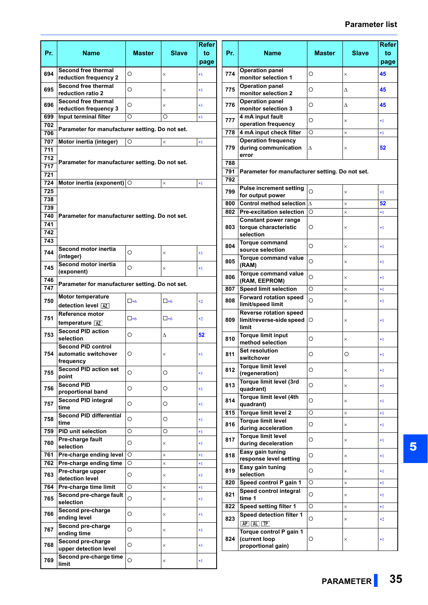|            |                                                                    |               |               | Refer      |            |                                                                    |               |              | <b>Refer</b> |
|------------|--------------------------------------------------------------------|---------------|---------------|------------|------------|--------------------------------------------------------------------|---------------|--------------|--------------|
| Pr.        | <b>Name</b>                                                        | Master        | <b>Slave</b>  | to<br>page | Pr.        | <b>Name</b>                                                        | <b>Master</b> | <b>Slave</b> | to<br>page   |
| 694        | <b>Second free thermal</b><br>reduction frequency 2                | O             | $\times$      | *1         | 774        | <b>Operation panel</b><br>monitor selection 1                      | O             | $\times$     | 45           |
| 695        | <b>Second free thermal</b><br>reduction ratio 2                    | O             | X             | *1         | 775        | <b>Operation panel</b><br>monitor selection 2                      | O             | Δ            | 45           |
| 696        | Second free thermal<br>reduction frequency 3                       | O             | ×             | *1         | 776        | <b>Operation panel</b><br>monitor selection 3                      | O             | Δ            | 45           |
| 699<br>702 | Input terminal filter                                              | O             | O             | *1         | 777        | 4 mA input fault<br>operation frequency                            | O             | $\times$     | $*1$         |
| 706        | Parameter for manufacturer setting. Do not set.                    |               |               |            | 778        | 4 mA input check filter                                            | O             | $\times$     | $*1$         |
| 707<br>711 | Motor inertia (integer)                                            | O             | $\times$      | $*1$       | 779        | <b>Operation frequency</b><br>during communication                 | Δ             | ×            | 52           |
| 712        | Parameter for manufacturer setting. Do not set.                    |               |               |            | 788        | error                                                              |               |              |              |
| 717<br>721 |                                                                    |               |               |            | 791        | Parameter for manufacturer setting. Do not set.                    |               |              |              |
| 724        | Motor inertia (exponent) $\circ$                                   |               | $\times$      | $*1$       | 792        |                                                                    |               |              |              |
| 725<br>738 |                                                                    |               |               |            | 799        | <b>Pulse increment setting</b><br>for output power                 | O             | $\times$     | $*1$         |
| 739        |                                                                    |               |               |            | 800        | Control method selection $ \Delta $                                |               | $\times$     | 52           |
| 740        | Parameter for manufacturer setting. Do not set.                    |               |               |            | 802        | <b>Pre-excitation selection</b>                                    | $\circ$       | $\times$     | $*1$         |
| 741<br>742 |                                                                    |               |               |            | 803        | <b>Constant power range</b><br>torque characteristic<br>selection  | O             | X            | $*1$         |
| 743<br>744 | Second motor inertia                                               | O             | $\times$      | *1         | 804        | <b>Torque command</b><br>source selection                          | $\circ$       | $\times$     | $*1$         |
| 745        | (integer)<br>Second motor inertia                                  | $\circ$       | $\times$      | *1         | 805        | <b>Torque command value</b><br>(RAM)                               | $\circ$       | $\times$     | $*1$         |
| 746        | (exponent)<br>Parameter for manufacturer setting. Do not set.      |               |               |            | 806        | <b>Torque command value</b><br>(RAM, EEPROM)                       | $\circ$       | ×            | $*1$         |
| 747        |                                                                    |               |               |            | 807        | <b>Speed limit selection</b>                                       | O             | $\times$     | $*1$         |
| 750        | <b>Motor temperature</b><br>detection level AZ                     | $\square * 6$ | $\square * 6$ | $\ast 2$   | 808        | <b>Forward rotation speed</b><br>limit/speed limit                 | $\circ$       | $\times$     | $*1$         |
| 751        | Reference motor<br>temperature AZ                                  | $\n  •6\n$    | $\square * 6$ | $*2$       | 809        | <b>Reverse rotation speed</b><br>limit/reverse-side speed<br>limit | O             | $\times$     | $*1$         |
| 753        | <b>Second PID action</b><br>selection                              | O             | Δ             | 52         | 810        | <b>Torque limit input</b><br>method selection                      | $\circ$       | ×            | $*1$         |
|            | <b>Second PID control</b><br>754 automatic switchover<br>frequency | O             | ×             | *1         | 811        | Set resolution<br>switchover                                       | O             | Ο            | $*1$         |
| 755        | <b>Second PID action set</b><br>point                              | O             | O             | *1         | 812        | <b>Torque limit level</b><br>(regeneration)                        | $\circ$       | ×            | $*1$         |
| 756        | <b>Second PID</b><br>proportional band                             | O             | $\circ$       | $^*1$      | 813        | Torque limit level (3rd<br>quadrant)                               | $\circ$       | $\times$     | $*1$         |
| 757        | <b>Second PID integral</b><br>time                                 | O             | O             | *1         | 814        | Torque limit level (4th<br>quadrant)                               | $\circ$       | $\times$     | $*1$         |
| 758        | <b>Second PID differential</b>                                     | O             | O             | *1         | 815        | <b>Torque limit level 2</b>                                        | $\circ$       | $\times$     | $*1$         |
| 759        | time<br><b>PID unit selection</b>                                  | O             | O             | $^*1$      | 816        | <b>Torque limit level</b><br>during acceleration                   | O             | $\times$     | $*1$         |
| 760        | Pre-charge fault<br>selection                                      | O             | ×             | *1         | 817        | <b>Torque limit level</b><br>during deceleration                   | O             | $\times$     | $*1$         |
| 761        | Pre-charge ending level                                            | $\circ$       | $\times$      | $*1$       | 818        | Easy gain tuning                                                   | O             | ×            | $*1$         |
| 762        | Pre-charge ending time                                             | O             | $\times$      | *1         |            | response level setting                                             |               |              |              |
| 763        | Pre-charge upper<br>detection level                                | $\circ$       | $\times$      | *1         | 819        | Easy gain tuning<br>selection                                      | O             | $\times$     | $*1$         |
| 764        | Pre-charge time limit                                              | O             | $\times$      | $^*1$      | 820        | Speed control P gain 1                                             | O             | $\times$     | $*1$         |
| 765        | Second pre-charge fault<br>selection                               | $\circ$       | $\times$      | *1         | 821        | Speed control integral<br>time 1                                   | $\circ$       | ×            | $*1$         |
| 766        | Second pre-charge<br>ending level                                  | $\circ$       | ×             | *1         | 822<br>823 | Speed setting filter 1<br>Speed detection filter 1                 | $\circ$<br>O  | $\times$     | $*1$         |
| 767        | Second pre-charge<br>ending time                                   | O             | $\times$      | *1         |            | AP AL TP<br>Torque control P gain 1                                |               | ×            | $*2$         |
| 768        | Second pre-charge<br>upper detection level                         | O             | ×             | *1         | 824        | (current loop<br>proportional gain)                                | O             | $\times$     | $^*1$        |
| 769        | Second pre-charge time<br>limit                                    | O             | $\times$      | *1         |            |                                                                    |               |              |              |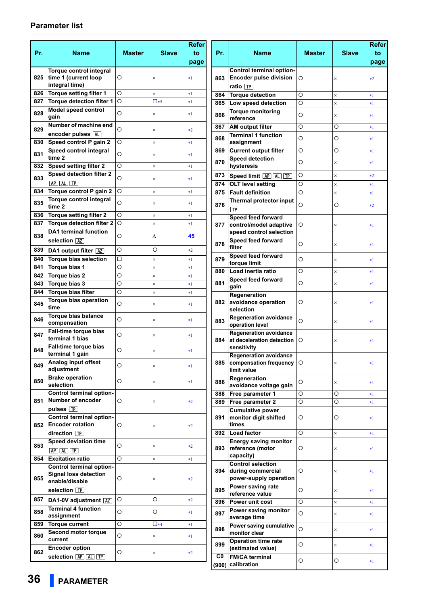| Pr. | <b>Name</b>                                                       | Master  | <b>Slave</b>  | <b>Refer</b><br>to<br>page | Pr.                   | <b>Name</b>                                                                  | Master  | <b>Slave</b>         | <b>Refer</b><br>to<br>page |
|-----|-------------------------------------------------------------------|---------|---------------|----------------------------|-----------------------|------------------------------------------------------------------------------|---------|----------------------|----------------------------|
| 825 | Torque control integral<br>time 1 (current loop<br>integral time) | O       | ×             | $*1$                       | 863                   | <b>Control terminal option-</b><br><b>Encoder pulse division</b><br>ratio TP | O       | $\times$             | $*2$                       |
| 826 | Torque setting filter 1                                           | O       | ×             | $*1$                       | 864                   | <b>Torque detection</b>                                                      | $\circ$ | $\times$             | $*1$                       |
| 827 | Torque detection filter 1                                         | $\circ$ | $\square$ *5  | $*1$                       | 865                   | Low speed detection                                                          | O       | $\times$             | $*1$                       |
| 828 | Model speed control<br>gain                                       | O       | ×             | $*1$                       | 866                   | <b>Torque monitoring</b><br>reference                                        | O       | $\times$             | $*1$                       |
| 829 | Number of machine end                                             | O       | $\times$      | $*2$                       | 867                   | <b>AM output filter</b>                                                      | O       | O                    | $*1$                       |
| 830 | encoder pulses AL<br>Speed control P gain 2                       | O       | $\times$      | $*1$                       | 868                   | <b>Terminal 1 function</b><br>assignment                                     | O       | O                    | $*1$                       |
| 831 | Speed control integral                                            | O       |               |                            | 869                   | <b>Current output filter</b>                                                 | O       | O                    | $*1$                       |
| 832 | time <sub>2</sub><br><b>Speed setting filter 2</b>                | O       | ×<br>$\times$ | $*1$<br>$*1$               | 870                   | <b>Speed detection</b><br>hysteresis                                         | O       | $\times$             | $*1$                       |
|     | Speed detection filter 2                                          |         |               |                            | 873                   | Speed limit AP AL TP                                                         | O       | $\times$             | $*2$                       |
| 833 | AP AL TP                                                          | O       | $\times$      | $*1$                       | 874                   | <b>OLT level setting</b>                                                     | O       | $\times$             | *1                         |
| 834 | Torque control P gain 2                                           | O       | $\times$      | $*1$                       | 875                   | <b>Fault definition</b>                                                      | O       | $\times$             | *1                         |
| 835 | Torque control integral<br>time 2                                 | Ō       | ×             | $*1$                       | 876                   | Thermal protector input                                                      | O       | O                    | $*2$                       |
| 836 | Torque setting filter 2                                           | O       | $\times$      | $*1$                       |                       | $\boxed{TP}$<br>Speed feed forward                                           |         |                      |                            |
|     | 837 Torque detection filter 2<br><b>DA1</b> terminal function     | O       | $\times$      | *1                         | 877                   | control/model adaptive<br>speed control selection                            | О       | $\times$             | *1                         |
| 838 | selection AZ                                                      | O       | Δ             | 45                         | 878                   | Speed feed forward<br>filter                                                 | $\circ$ | $\times$             | $*1$                       |
| 839 | DA1 output filter AZ                                              | $\circ$ | O             | $*2$                       |                       | Speed feed forward                                                           |         |                      |                            |
| 840 | <b>Torque bias selection</b>                                      | $\Box$  | ×             | $*1$                       | 879                   | torque limit                                                                 | O       | $\times$             | *1                         |
| 841 | Torque bias 1                                                     | O       | $\times$      | $*1$                       | 880                   | Load inertia ratio                                                           | O       | $\times$             | $*1$                       |
| 842 | Torque bias 2                                                     | O       | $\times$      | $*1$                       |                       | Speed feed forward                                                           |         |                      |                            |
| 843 | Torque bias 3                                                     | Ō       | $\times$      | $*1$                       | 881                   | gain                                                                         | O       | $\times$             | *1                         |
| 844 | <b>Torque bias filter</b>                                         | Ō       | $\times$      | $*1$                       |                       | Regeneration                                                                 |         |                      |                            |
| 845 | Torque bias operation<br>time                                     | O       | $\times$      | $*1$                       | 882                   | avoidance operation<br>selection                                             | O       | $\times$             | *1                         |
| 846 | <b>Torque bias balance</b><br>compensation                        | O       | $\times$      | $*1$                       | 883                   | <b>Regeneration avoidance</b><br>operation level                             | O       | $\times$             | $*1$                       |
| 847 | Fall-time torque bias<br>terminal 1 bias                          | $\circ$ | $\times$      | $*1$                       | 884                   | <b>Regeneration avoidance</b><br>at deceleration detection                   | $\circ$ | ×                    | *1                         |
| 848 | Fall-time torque bias<br>terminal 1 gain                          | O       | $\times$      | $*1$                       |                       | sensitivity<br><b>Regeneration avoidance</b>                                 |         |                      |                            |
| 849 | Analog input offset<br>adjustment                                 | O       | $\times$      | $*1$                       | 885                   | compensation frequency   O<br>limit value                                    |         | $\times$             | *1                         |
| 850 | <b>Brake operation</b><br>selection                               | O       | $\times$      | $*1$                       | 886                   | Regeneration<br>avoidance voltage gain                                       | O       | $\times$             | $^{\ast}1$                 |
|     | Control terminal option-                                          |         |               |                            | 888                   | Free parameter 1                                                             | O       | O                    | $*1$                       |
| 851 | Number of encoder                                                 | O       | X             | $*2$                       | 889                   | Free parameter 2                                                             | O       | O                    | $*1$                       |
|     | pulses TP<br>Control terminal option-<br><b>Encoder rotation</b>  |         |               |                            | 891                   | <b>Cumulative power</b><br>monitor digit shifted<br>times                    | O       | O                    | *1                         |
| 852 | direction [TP]                                                    | O       | ×             | $*2$                       | 892                   | <b>Load factor</b>                                                           | $\circ$ | $\times$             | $*1$                       |
| 853 | <b>Speed deviation time</b><br>AP AL TP                           | $\circ$ | ×             | $*2$                       |                       | <b>Energy saving monitor</b><br>893   reference (motor                       | O       | $\times$             | $^{\ast}1$                 |
| 854 | <b>Excitation ratio</b>                                           | O       | $\times$      | $*1$                       |                       | capacity)                                                                    |         |                      |                            |
|     | Control terminal option-<br><b>Signal loss detection</b>          |         |               |                            | 894                   | <b>Control selection</b><br>during commercial                                | O       | $\times$             | $^{\ast}1$                 |
| 855 | enable/disable                                                    | O       | ×             | $*2$                       |                       | power-supply operation<br>Power saving rate                                  |         |                      |                            |
| 857 | selection [TP]<br>DA1-0V adjustment AZ                            | $\circ$ | O             | $*2$                       | 895<br>896            | reference value<br>Power unit cost                                           | O<br>O  | $\times$<br>$\times$ | $^{\ast}1$<br>$*1$         |
| 858 | <b>Terminal 4 function</b><br>assignment                          | $\circ$ | O             | $*1$                       | 897                   | Power saving monitor<br>average time                                         | $\circ$ | $\times$             | $*1$                       |
| 859 | <b>Torque current</b>                                             | O       | $\square$ *4  | $*1$                       |                       | Power saving cumulative                                                      |         |                      |                            |
| 860 | Second motor torque<br>current                                    | $\circ$ | $\times$      | $*1$                       | 898                   | monitor clear<br><b>Operation time rate</b>                                  | O       | $\times$             | *1                         |
| 862 | <b>Encoder option</b><br>selection AP AL TP                       | O       | X             | $*2$                       | 899<br>C <sub>0</sub> | (estimated value)<br><b>FM/CA terminal</b>                                   | O       | $\times$             | *1                         |
|     |                                                                   |         |               |                            |                       | (900) calibration                                                            | O       | O                    | $^{\ast}1$                 |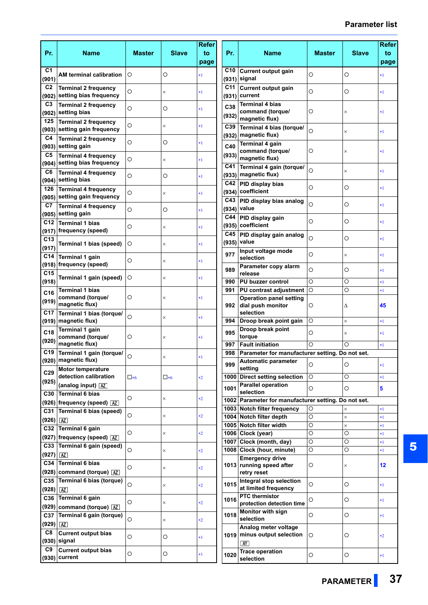| Pr.                       | <b>Name</b>                                                                | Master      | <b>Slave</b>         | <b>Refer</b><br>to<br>page | Pr.                      | <b>Name</b>                                                                         | Master       | <b>Slave</b>         | <b>Refer</b><br>to<br>page |
|---------------------------|----------------------------------------------------------------------------|-------------|----------------------|----------------------------|--------------------------|-------------------------------------------------------------------------------------|--------------|----------------------|----------------------------|
| C1<br>(901)               | <b>AM terminal calibration</b>                                             | $\circ$     | O                    | *1                         | C <sub>10</sub><br>(931) | <b>Current output gain</b><br>signal                                                | O            | O                    | $*1$                       |
| C <sub>2</sub><br>(902)   | <b>Terminal 2 frequency</b><br>setting bias frequency                      | O           | X                    | *1                         | C <sub>11</sub><br>(931) | <b>Current output gain</b><br>current                                               | O            | O                    | $*1$                       |
| C3<br>(902)               | <b>Terminal 2 frequency</b><br>setting bias                                | O           | O                    | *1                         | C38<br>(932)             | Terminal 4 bias<br>command (torque/                                                 | O            | ×                    | *1                         |
| 125<br>(903)              | <b>Terminal 2 frequency</b><br>setting gain frequency                      | O           | ×                    | *1                         | C39<br>(932)             | magnetic flux)<br>Terminal 4 bias (torque/<br>magnetic flux)                        | O            | $\times$             | $*1$                       |
| C4<br>(903)<br>C5         | <b>Terminal 2 frequency</b><br>setting gain<br><b>Terminal 4 frequency</b> | O           | O                    | *1                         | C40<br>(933)             | <b>Terminal 4 gain</b><br>command (torque/                                          | O            | $\times$             | *1                         |
| (904)<br>C6               | setting bias frequency                                                     | O           | ×                    | *1                         | C41                      | magnetic flux)<br>Terminal 4 gain (torque/                                          | O            | $\times$             | *1                         |
| 126                       | <b>Terminal 4 frequency</b><br>(904) setting bias                          | O           | O                    | *1                         | C42                      | (933) magnetic flux)<br>PID display bias                                            | O            | O                    | $*1$                       |
| C7                        | <b>Terminal 4 frequency</b><br>(905) setting gain frequency                | O           | $\times$             | *1                         | C43                      | (934) coefficient<br>PID display bias analog                                        | O            | O                    | *1                         |
| (905)<br>C <sub>12</sub>  | <b>Terminal 4 frequency</b><br>setting gain<br><b>Terminal 1 bias</b>      | O           | O                    | *1                         | (934)<br>C44             | value<br>PID display gain                                                           | O            | O                    | *1                         |
| (917)<br>C <sub>13</sub>  | frequency (speed)                                                          | O           | $\times$             | *1                         | (935)<br>C45<br>(935)    | coefficient<br>PID display gain analog<br>value                                     | O            | O                    | $*1$                       |
| (917)<br>C14              | Terminal 1 bias (speed)<br><b>Terminal 1 gain</b>                          | O<br>O      | $\times$             | *1                         | 977                      | Input voltage mode<br>selection                                                     | O            | $\times$             | *1                         |
| (918)<br>C <sub>15</sub>  | frequency (speed)<br>Terminal 1 gain (speed)                               | O           | $\times$<br>$\times$ | *1<br>*1                   | 989                      | Parameter copy alarm<br>release                                                     | O            | O                    | *1                         |
| (918)<br>C16              | <b>Terminal 1 bias</b>                                                     |             |                      |                            | 990<br>991               | PU buzzer control<br><b>PU contrast adjustment</b>                                  | O<br>O       | O<br>O               | $*1$<br>*1                 |
| (919)<br>C17              | command (torque/<br>magnetic flux)<br>Terminal 1 bias (torque/             | O           | $\times$             | *1                         | 992                      | <b>Operation panel setting</b><br>dial push monitor<br>selection                    | O            | Δ                    | 45                         |
|                           | (919) magnetic flux)<br><b>Terminal 1 gain</b>                             | O           | $\times$             | *1                         | 994                      | Droop break point gain<br>Droop break point                                         | O            | $\times$             | $*1$                       |
| C <sub>18</sub><br>(920)  | command (torque/<br>magnetic flux)                                         | O           | $\times$             | *1                         | 995<br>997               | torque<br><b>Fault initiation</b>                                                   | O<br>O       | $\times$<br>O        | *1<br>$*1$                 |
|                           | C19 Terminal 1 gain (torque/<br>(920) magnetic flux)                       | O           | $\times$             | *1                         | 998                      | Parameter for manufacturer setting. Do not set.<br>Automatic parameter              |              |                      |                            |
| C <sub>29</sub><br>(925)  | Motor temperature<br>detection calibration                                 | $\square*6$ | $\square * 6$        | $*2$                       | 999                      | setting<br>1000 Direct setting selection                                            | $\circ$<br>O | $\circ$<br>O         | *1<br>$*1$                 |
| C30                       | (analog input) $\sqrt{AZ}$<br><b>Terminal 6 bias</b>                       | O           | $\times$             | $*2$                       | 1001                     | <b>Parallel operation</b><br>selection                                              | O            | $\circ$              | 5                          |
| C31                       | (926) <sup> </sup> frequency (speed) <u>AZ</u><br>Terminal 6 bias (speed)  |             |                      |                            |                          | 1002 Parameter for manufacturer setting. Do not set.<br>1003 Notch filter frequency | O            | $\times$             | * 1                        |
| $(926)$ $\overline{AZ}$   | C32 Terminal 6 gain                                                        | O           | $\times$             | $*2$                       |                          | 1004 Notch filter depth<br>1005 Notch filter width                                  | $\circ$<br>O | $\times$<br>$\times$ | $*1$<br>$*1$               |
| C33                       | (927) frequency (speed) <b>AZ</b><br>Terminal 6 gain (speed)               | O           | $\times$             | $*2$                       |                          | 1006 Clock (year)<br>1007 Clock (month, day)                                        | O<br>O       | O<br>O               | $*1$<br>$*1$               |
| (927)                     | $\sqrt{AZ}$<br>C34 Terminal 6 bias                                         | O           | $\times$             | $*2$                       |                          | 1008 Clock (hour, minute)<br><b>Emergency drive</b>                                 | O            | O                    | $*1$                       |
|                           | (928) command (torque) [AZ]<br>C35 Terminal 6 bias (torque)                | O           | $\times$             | $\ast 2$                   |                          | 1013 running speed after<br>retry reset<br>Integral stop selection                  | O            | $\times$             | $12 \,$                    |
| $(928)$ $\sqrt{2}$<br>C36 | <b>Terminal 6 gain</b>                                                     | O           | $\times$             | $*2$                       | 1015                     | at limited frequency<br><b>PTC</b> thermistor                                       | $\circ$      | O                    | *1                         |
|                           | (929) command (torque) [AZ]<br>C37 Terminal 6 gain (torque)                | O           | ×                    | $*2$                       | 1016<br>1018             | protection detection time<br>Monitor with sign                                      | O<br>$\circ$ | O<br>O               | *1<br>$*1$                 |
| $(929)$ $\sqrt{2}$<br>C8  | <b>Current output bias</b>                                                 | O           | ×                    | $*2$                       |                          | selection<br>Analog meter voltage<br>1019 minus output selection                    | O            | O                    | $*2$                       |
| C9                        | $(930)$ signal<br><b>Current output bias</b>                               | O           | O                    | $^*1$                      |                          | AY<br><b>Trace operation</b>                                                        |              |                      |                            |
|                           | $(930)$ current                                                            | O           | O                    | *1                         | 1020                     | selection                                                                           | O            | O                    | $*1$                       |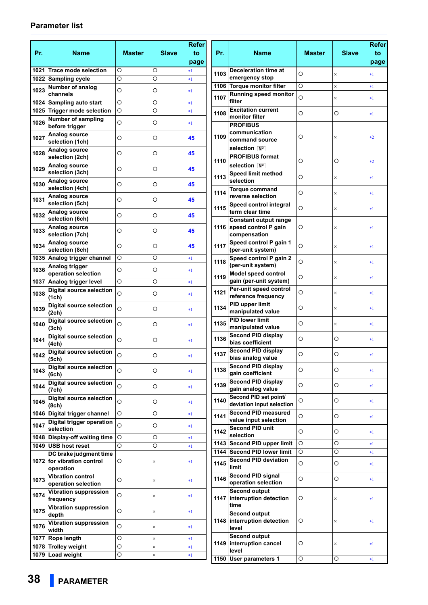|      |                                                           |               |                 | <b>Refer</b> |      |                                                                           |               |              | <b>Refer</b> |
|------|-----------------------------------------------------------|---------------|-----------------|--------------|------|---------------------------------------------------------------------------|---------------|--------------|--------------|
| Pr.  | <b>Name</b>                                               | <b>Master</b> | <b>Slave</b>    | to.<br>page  | Pr.  | <b>Name</b>                                                               | <b>Master</b> | <b>Slave</b> | to<br>page   |
| 1021 | l Trace mode selection                                    | O             | O               | $*1$         | 1103 | <b>Deceleration time at</b>                                               | O             | ×            | $*1$         |
| 1022 | <b>Sampling cycle</b>                                     | $\circ$       | $\circ$         | $*1$         |      | emergency stop                                                            |               |              |              |
| 1023 | Number of analog<br>channels                              | $\circ$       | O               | $*1$         | 1107 | 1106 Torque monitor filter<br><b>Running speed monitor</b>                | O<br>$\circ$  | ×<br>×       | $*1$<br>$*1$ |
|      | 1024 Sampling auto start                                  | $\circ$       | O               | $*1$         |      | filter                                                                    |               |              |              |
|      | 1025 Trigger mode selection                               | O             | O               | $*1$         | 1108 | <b>Excitation current</b>                                                 | O             | O            | $*1$         |
| 1026 | <b>Number of sampling</b><br>before trigger               | $\circ$       | O               | $*1$         |      | monitor filter<br><b>PROFIBUS</b>                                         |               |              |              |
| 1027 | Analog source<br>selection (1ch)                          | O             | O               | 45           | 1109 | communication<br>command source                                           | O             | ×            | $*2$         |
| 1028 | Analog source<br>selection (2ch)                          | O             | O               | 45           |      | selection NP<br><b>PROFIBUS format</b>                                    |               |              |              |
| 1029 | Analog source<br>selection (3ch)                          | O             | O               | 45           | 1110 | selection NP<br><b>Speed limit method</b>                                 | O             | O            | $*2$         |
| 1030 | Analog source<br>selection (4ch)                          | O             | O               | 45           | 1113 | selection<br><b>Torque command</b>                                        | $\circ$       | ×            | *1           |
| 1031 | Analog source<br>selection (5ch)                          | O             | O               | 45           | 1114 | reverse selection                                                         | O             | ×            | *1           |
| 1032 | Analog source<br>selection (6ch)                          | O             | O               | 45           | 1115 | Speed control integral<br>term clear time                                 | O             | ×            | $*1$         |
| 1033 | Analog source<br>selection (7ch)                          | O             | O               | 45           |      | <b>Constant output range</b><br>1116 speed control P gain<br>compensation | O             | ×            | *1           |
| 1034 | Analog source<br>selection (8ch)                          | O             | O               | 45           | 1117 | Speed control P gain 1<br>(per-unit system)                               | O             | ×            | *1           |
|      | 1035 Analog trigger channel                               | O             | O               | $*1$         | 1118 | Speed control P gain 2                                                    | $\circ$       | ×            | *1           |
| 1036 | Analog trigger<br>operation selection                     | O             | O               | *1           | 1119 | (per-unit system)<br>Model speed control                                  | O             | $\times$     | $*1$         |
|      | 1037 Analog trigger level                                 | O             | O               | $*1$         |      | gain (per-unit system)                                                    |               |              |              |
| 1038 | <b>Digital source selection</b><br>(1ch)                  | O             | O               | $*1$         | 1121 | Per-unit speed control<br>reference frequency                             | O             | ×            | *1           |
| 1039 | <b>Digital source selection</b><br>(2ch)                  | Ō             | O               | $*1$         | 1134 | PID upper limit<br>manipulated value                                      | $\circ$       | ×            | $*1$         |
| 1040 | <b>Digital source selection</b><br>(3ch)                  | O             | O               | $*1$         | 1135 | <b>PID lower limit</b><br>manipulated value                               | O             | ×            | *1           |
| 1041 | <b>Digital source selection</b><br>(4ch)                  | O             | O               | $*1$         | 1136 | Second PID display<br>bias coefficient                                    | $\circ$       | $\bigcirc$   | $*1$         |
| 1042 | <b>Digital source selection</b><br>(5ch)                  | Ó             | $\circ$         | $*1$         | 1137 | <b>Second PID display</b><br>bias analog value                            | O             | O            | $*1$         |
| 1043 | <b>Digital source selection</b><br>(6ch)                  | O             | O               | $*1$         | 1138 | <b>Second PID display</b><br>gain coefficient                             | O             | O            | *1           |
| 1044 | <b>Digital source selection</b><br>(7ch)                  | $\circ$       | $\bigcirc$      | $*1$         | 1139 | <b>Second PID display</b><br>gain analog value                            | O             | $\bigcirc$   | $^{\ast}1$   |
| 1045 | <b>Digital source selection</b><br>(8ch)                  | $\circ$       | $\circ$         | $*1$         | 1140 | Second PID set point/<br>deviation input selection                        | $\circ$       | O            | $^{\ast}1$   |
|      | 1046 Digital trigger channel<br>Digital trigger operation | O             | $\bigcirc$      | *1           | 1141 | <b>Second PID measured</b><br>value input selection                       | $\circ$       | O            | *1           |
| 1047 | selection<br>1048 Display-off waiting time                | O<br>$\circ$  | O<br>$\bigcirc$ | *1<br>*1     | 1142 | Second PID unit<br>selection                                              | O             | O            | *1           |
|      | 1049 USB host reset                                       | $\circ$       | $\circ$         | $*1$         |      | 1143 Second PID upper limit                                               | O             | O            | $*1$         |
|      | DC brake judgment time                                    |               |                 |              |      | 1144 Second PID lower limit                                               | O             | O            | *1           |
|      | 1072 for vibration control<br>operation                   | O             | ×               | *1           | 1145 | <b>Second PID deviation</b><br>limit                                      | $\circ$       | O            | *1           |
| 1073 | <b>Vibration control</b><br>operation selection           | $\circ$       | $\times$        | $*1$         | 1146 | <b>Second PID signal</b><br>operation selection                           | O             | O            | *1           |
| 1074 | <b>Vibration suppression</b><br>frequency                 | $\circ$       | $\times$        | *1           |      | Second output<br>1147 interruption detection                              | O             | ×            | *1           |
| 1075 | <b>Vibration suppression</b><br>depth                     | $\circ$       | $\times$        | *1           |      | time<br>Second output                                                     |               |              |              |
| 1076 | <b>Vibration suppression</b><br>width                     | O             | $\times$        | *1           |      | 1148 interruption detection<br>level                                      | O             | ×            | *1           |
|      | 1077 Rope length                                          | $\circ$       | $\times$        | $*1$         | 1149 | <b>Second output</b><br>interruption cancel                               | O             | ×            | *1           |
|      | 1078 Trolley weight                                       | O             | $\times$        | *1           |      | level                                                                     |               |              |              |
|      | 1079 Load weight                                          | $\circ$       | $\times$        | *1           |      | 1150 User parameters 1                                                    | $\circ$       | $\bigcirc$   | $*1$         |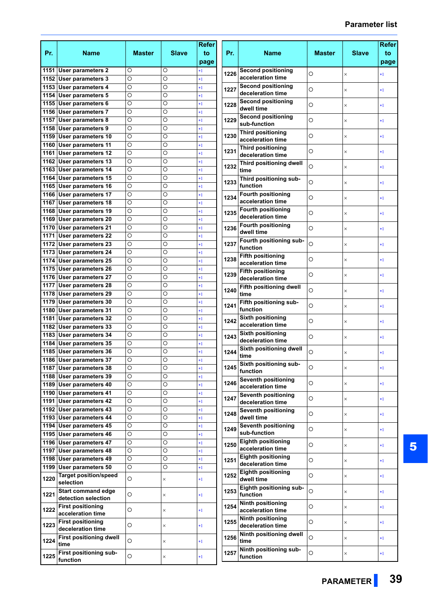| Pr.          | <b>Name</b>                                            | Master       | <b>Slave</b>        | Refer<br>to<br>page | Pr.  | <b>Name</b>                                     | Master  | <b>Slave</b> | Refer<br>to<br>page |
|--------------|--------------------------------------------------------|--------------|---------------------|---------------------|------|-------------------------------------------------|---------|--------------|---------------------|
| 1151         | User parameters 2                                      | O            | O                   | $*1$                | 1226 | <b>Second positioning</b>                       |         |              |                     |
| 1152         | <b>User parameters 3</b>                               | O            | O                   | $*1$                |      | acceleration time                               | O       | $\times$     | $^*1$               |
| 1153         | <b>User parameters 4</b>                               | O            | O                   | $*1$                | 1227 | <b>Second positioning</b>                       | O       | $\times$     | *1                  |
| 1154         | User parameters 5                                      | O            | O                   | $^*1$               |      | deceleration time<br><b>Second positioning</b>  |         |              |                     |
| 1155         | User parameters 6                                      | O            | O<br>O              | *1                  | 1228 | dwell time                                      | O       | $\times$     | *1                  |
| 1156         | <b>User parameters 7</b><br>1157 User parameters 8     | O<br>O       | O                   | *1<br>$*1$          | 1229 | <b>Second positioning</b>                       | O       | $\times$     | *1                  |
| 1158         | <b>User parameters 9</b>                               | O            | O                   | $*1$                |      | sub-function                                    |         |              |                     |
|              | 1159 User parameters 10                                | O            | O                   | *1                  | 1230 | <b>Third positioning</b><br>acceleration time   | O       | $\times$     | $*1$                |
|              | 1160 User parameters 11                                | O            | O                   | *1                  |      | <b>Third positioning</b>                        |         |              |                     |
|              | 1161 User parameters 12                                | O            | O                   | *1                  | 1231 | deceleration time                               | O       | $\times$     | *1                  |
|              | 1162 User parameters 13                                | O            | O                   | $*1$                | 1232 | Third positioning dwell                         | O       | $\times$     | *1                  |
|              | 1163 User parameters 14<br>1164 User parameters 15     | O<br>Ō       | O<br>O              | $^*1$               |      | time                                            |         |              |                     |
|              | 1165 User parameters 16                                | Ō            | O                   | $*1$<br>$*1$        | 1233 | Third positioning sub-<br>function              | O       | $\times$     | $^*1$               |
| 1166         | <b>User parameters 17</b>                              | O            | O                   | *1                  |      | <b>Fourth positioning</b>                       |         |              |                     |
| 1167         | <b>User parameters 18</b>                              | O            | O                   | $*1$                | 1234 | acceleration time                               | O       | $\times$     | *1                  |
| 1168         | <b>User parameters 19</b>                              | O            | O                   | *1                  | 1235 | <b>Fourth positioning</b>                       | O       | $\times$     | $*1$                |
| 1169         | <b>User parameters 20</b>                              | O            | O                   | $*1$                |      | deceleration time<br>Fourth positioning         |         |              |                     |
| 1170         | <b>User parameters 21</b>                              | Ō            | O                   | $*1$                | 1236 | dwell time                                      | O       | $\times$     | $^*1$               |
|              | 1171 User parameters 22                                | Ō<br>O       | O                   | $*1$                | 1237 | Fourth positioning sub-                         | $\circ$ |              |                     |
|              | 1172 User parameters 23<br>1173 User parameters 24     | O            | O<br>O              | *1<br>$*1$          |      | function                                        |         | $\times$     | *1                  |
|              | 1174 User parameters 25                                | O            | O                   | $*1$                | 1238 | <b>Fifth positioning</b><br>acceleration time   | O       | $\times$     | *1                  |
| 1175         | <b>User parameters 26</b>                              | O            | O                   | $*1$                |      | <b>Fifth positioning</b>                        |         |              |                     |
|              | 1176 User parameters 27                                | Ō            | O                   | $*1$                | 1239 | deceleration time                               | O       | $\times$     | *1                  |
| 1177         | <b>User parameters 28</b>                              | O            | O                   | $*1$                | 1240 | Fifth positioning dwell                         | $\circ$ | $\times$     | *1                  |
| 1178         | User parameters 29                                     | O            | O                   | $^*1$               |      | time                                            |         |              |                     |
| 1179<br>1180 | <b>User parameters 30</b><br><b>User parameters 31</b> | O<br>O       | O<br>O              | *1                  | 1241 | Fifth positioning sub-<br>function              | O       | $\times$     | *1                  |
| 1181         | <b>User parameters 32</b>                              | O            | O                   | *1<br>$*1$          |      | <b>Sixth positioning</b>                        |         |              |                     |
| 1182         | <b>User parameters 33</b>                              | Ō            | O                   | $*1$                | 1242 | acceleration time                               | O       | $\times$     | $^*1$               |
|              | 1183 User parameters 34                                | Ō            | O                   | $*1$                | 1243 | Sixth positioning                               | O       | $\times$     | $^*1$               |
|              | 1184 User parameters 35                                | O            | O                   | *1                  |      | deceleration time<br>Sixth positioning dwell    |         |              |                     |
|              | 1185 User parameters 36                                | O            | Ō                   | *1                  | 1244 | time                                            | O       | $\times$     | *1                  |
|              | 1186 User parameters 37                                | $\circ$<br>O | $\overline{O}$<br>O |                     | 1245 | Sixth positioning sub-                          | $\circ$ |              |                     |
|              | 1187 User parameters 38<br>1188 User parameters 39     | $\circ$      | O                   | *1<br>$*1$          |      | function                                        |         | $\times$     | $^*1$               |
|              | 1189 User parameters 40                                | O            | O                   | $*1$                | 1246 | <b>Seventh positioning</b><br>acceleration time | $\circ$ | $\times$     | *1                  |
|              | 1190 User parameters 41                                | O            | O                   | *1                  |      | <b>Seventh positioning</b>                      |         |              |                     |
| 1191         | <b>User parameters 42</b>                              | O            | O                   | $^{\ast}1$          | 1247 | deceleration time                               | O       | $\times$     | $^*1$               |
|              | 1192 User parameters 43                                | O            | $\overline{\circ}$  | $*1$                | 1248 | <b>Seventh positioning</b>                      | O       | $\times$     | $^*1$               |
|              | 1193 User parameters 44                                | O            | $\circ$             | $*1$                |      | dwell time                                      |         |              |                     |
|              | 1194 User parameters 45<br>1195 User parameters 46     | O<br>O       | O<br>O              | $*1$<br>$^{\ast}1$  | 1249 | <b>Seventh positioning</b><br>sub-function      | O       | $\times$     | $^*1$               |
|              | 1196 User parameters 47                                | O            | O                   | $^{\ast}1$          |      | <b>Eighth positioning</b>                       |         |              |                     |
|              | 1197 User parameters 48                                | O            | O                   | $^{\ast}1$          | 1250 | acceleration time                               | $\circ$ | $\times$     | $^*1$               |
|              | 1198 User parameters 49                                | $\circ$      | O                   | $^{\ast}1$          | 1251 | <b>Eighth positioning</b>                       | O       | $\times$     | *1                  |
|              | 1199 User parameters 50                                | O            | O                   | $^{\ast}1$          |      | deceleration time<br><b>Eighth positioning</b>  |         |              |                     |
| 1220         | <b>Target position/speed</b>                           | $\circ$      | $\times$            | $*1$                | 1252 | dwell time                                      | $\circ$ | $\times$     | *1                  |
| 1221         | selection<br><b>Start command edge</b>                 | O            | $\times$            | $*1$                | 1253 | Eighth positioning sub-<br>function             | O       | $\times$     | $^*1$               |
| 1222         | detection selection<br><b>First positioning</b>        | O            | $\times$            | * 1                 | 1254 | <b>Ninth positioning</b><br>acceleration time   | O       | $\times$     | $*1$                |
|              | acceleration time<br><b>First positioning</b>          |              |                     |                     | 1255 | <b>Ninth positioning</b>                        | O       | $\times$     | *1                  |
| 1223         | deceleration time                                      | O            | ×                   | *1                  |      | deceleration time<br>Ninth positioning dwell    | $\circ$ |              |                     |
| 1224         | <b>First positioning dwell</b><br>time                 | O            | $\times$            | $*1$                | 1256 | time<br>Ninth positioning sub-                  |         | $\times$     | $^*1$               |
| 1225         | First positioning sub-<br>function                     | $\circ$      | X                   | $*1$                | 1257 | function                                        | $\circ$ | $\times$     | *1                  |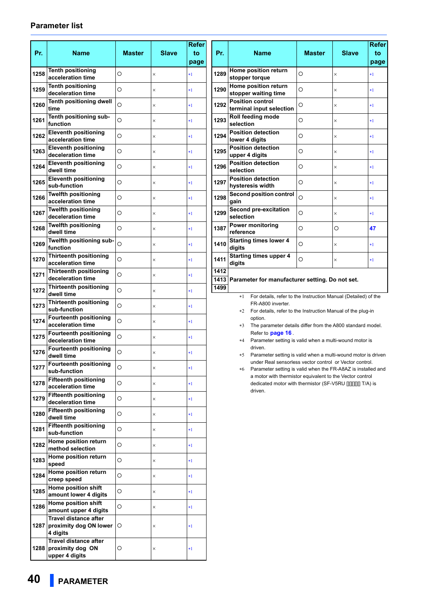| Pr.  | Name                                                               | <b>Master</b> | Slave    | <b>Refer</b><br>to<br>page |
|------|--------------------------------------------------------------------|---------------|----------|----------------------------|
| 1258 | <b>Tenth positioning</b><br>acceleration time                      | О             | $\times$ | $*1$                       |
| 1259 | <b>Tenth positioning</b><br>deceleration time                      | O             | $\times$ | *1                         |
| 1260 | Tenth positioning dwell<br>time                                    | O             | $\times$ | $*1$                       |
| 1261 | Tenth positioning sub-<br>function                                 | O             | $\times$ | $*1$                       |
| 1262 | <b>Eleventh positioning</b><br>acceleration time                   | O             | $\times$ | *1                         |
| 1263 | <b>Eleventh positioning</b><br>deceleration time                   | O             | ×        | $*1$                       |
| 1264 | <b>Eleventh positioning</b><br>dwell time                          | О             | $\times$ | $*1$                       |
| 1265 | <b>Eleventh positioning</b><br>sub-function                        | О             | $\times$ | *1                         |
| 1266 | <b>Twelfth positioning</b><br>acceleration time                    | O             | $\times$ | $*1$                       |
| 1267 | <b>Twelfth positioning</b><br>deceleration time                    | O             | $\times$ | $*1$                       |
| 1268 | <b>Twelfth positioning</b><br>dwell time                           | O             | $\times$ | *1                         |
| 1269 | Twelfth positioning sub-<br>function                               | O             | $\times$ | $*1$                       |
| 1270 | <b>Thirteenth positioning</b><br>acceleration time                 | О             | $\times$ | *1                         |
| 1271 | <b>Thirteenth positioning</b><br>deceleration time                 | O             | $\times$ | $*1$                       |
| 1272 | <b>Thirteenth positioning</b><br>dwell time                        | O             | ×        | $*1$                       |
| 1273 | <b>Thirteenth positioning</b><br>sub-function                      | O             | $\times$ | $*1$                       |
| 1274 | <b>Fourteenth positioning</b><br>acceleration time                 | O             | $\times$ | *1                         |
| 1275 | <b>Fourteenth positioning</b><br>deceleration time                 | O             | $\times$ | $*1$                       |
| 1276 | <b>Fourteenth positioning</b><br>dwell time                        | O             | $\times$ | $*1$                       |
| 1277 | <b>Fourteenth positioning</b><br>sub-function                      | O             | X        | $*1$                       |
| 1278 | <b>Fifteenth positioning</b><br>acceleration time                  | O             | ×        | $*1$                       |
| 1279 | <b>Fifteenth positioning</b><br>deceleration time                  | O             | ×        | $*1$                       |
| 1280 | <b>Fifteenth positioning</b><br>dwell time                         | O             | ×        | $*1$                       |
| 1281 | <b>Fifteenth positioning</b><br>sub-function                       | O             | $\times$ | $*1$                       |
| 1282 | Home position return<br>method selection                           | O             | ×        | $*1$                       |
| 1283 | Home position return<br>speed                                      | O             | $\times$ | *1                         |
| 1284 | Home position return<br>creep speed                                | O             | ×        | $*1$                       |
| 1285 | Home position shift<br>amount lower 4 digits                       | O             | $\times$ | $*1$                       |
| 1286 | Home position shift<br>amount upper 4 digits                       | O             | $\times$ | $*1$                       |
| 1287 | <b>Travel distance after</b><br>proximity dog ON lower<br>4 digits | O             | ×        | $*1$                       |
| 1288 | <b>Travel distance after</b><br>proximity dog ON<br>upper 4 digits | O             | ×        | $*1$                       |

| Pr.  | <b>Name</b>                                          | <b>Master</b> | <b>Slave</b> | <b>Refer</b><br>to<br>page |
|------|------------------------------------------------------|---------------|--------------|----------------------------|
| 1289 | Home position return<br>stopper torque               | $\Omega$      | $\times$     | *1                         |
| 1290 | Home position return<br>stopper waiting time         | О             | $\times$     | *1                         |
| 1292 | <b>Position control</b><br>terminal input selection  | O             | $\times$     | *1                         |
| 1293 | Roll feeding mode<br>selection                       | O             | $\times$     | *1                         |
| 1294 | <b>Position detection</b><br>lower 4 digits          | $\Omega$      | $\times$     | *1                         |
| 1295 | <b>Position detection</b><br>upper 4 digits          | O             | $\times$     | *1                         |
| 1296 | <b>Position detection</b><br>selection               | Ω             | $\times$     | *1                         |
| 1297 | <b>Position detection</b><br>hysteresis width        | O             | $\times$     | $*1$                       |
| 1298 | Second position control<br>gain                      | O             | $\times$     | *1                         |
| 1299 | <b>Second pre-excitation</b><br>selection            | $\Omega$      | $\times$     | *1                         |
| 1387 | <b>Power monitoring</b><br>reference                 | $\Omega$      | $\circ$      | 47                         |
| 1410 | <b>Starting times lower 4</b><br>digits              | O             | $\times$     | *1                         |
| 1411 | <b>Starting times upper 4</b><br>digits              | $\Omega$      | $\times$     | $*1$                       |
| 1412 |                                                      |               |              |                            |
|      | 1413 Parameter for manufacturer setting. Do not set. |               |              |                            |
| 1499 |                                                      |               |              |                            |

<span id="page-39-0"></span> For details, refer to the Instruction Manual (Detailed) of the FR-A800 inverter.

- <span id="page-39-3"></span> For details, refer to the Instruction Manual of the plug-in option.
- <span id="page-39-1"></span> The parameter details differ from the A800 standard model. Refer to **[page 16](#page-15-0)** .
- <span id="page-39-2"></span> Parameter setting is valid when a multi-wound motor is driven.
- <span id="page-39-5"></span> Parameter setting is valid when a multi-wound motor is driven under Real sensorless vector control or Vector control.
- <span id="page-39-4"></span> Parameter setting is valid when the FR-A8AZ is installed and a motor with thermistor equivalent to the Vector control dedicated motor with thermistor (SF-V5RU [][][][][] T/A) is driven.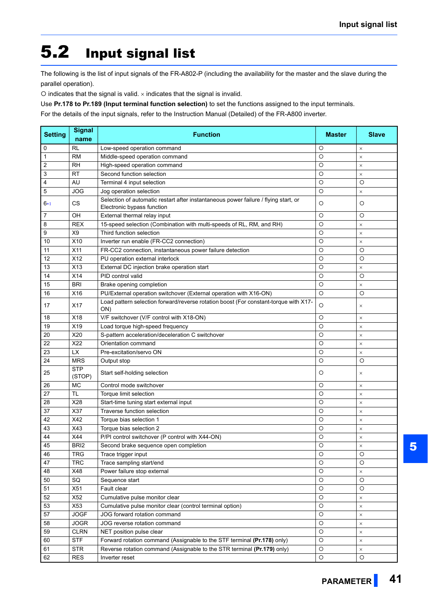# <span id="page-40-1"></span><span id="page-40-0"></span>5.2 Input signal list

The following is the list of input signals of the FR-A802-P (including the availability for the master and the slave during the parallel operation).

 $O$  indicates that the signal is valid.  $\times$  indicates that the signal is invalid.

Use **Pr.178 to Pr.189 (Input terminal function selection)** to set the functions assigned to the input terminals.

For the details of the input signals, refer to the Instruction Manual (Detailed) of the FR-A800 inverter.

| <b>Setting</b> | <b>Signal</b><br>name | <b>Function</b>                                                                                                   | Master  | <b>Slave</b> |
|----------------|-----------------------|-------------------------------------------------------------------------------------------------------------------|---------|--------------|
| $\mathbf 0$    | <b>RL</b>             | Low-speed operation command                                                                                       | O       | $\times$     |
| $\mathbf{1}$   | <b>RM</b>             | Middle-speed operation command                                                                                    | $\circ$ | $\times$     |
| 2              | <b>RH</b>             | High-speed operation command                                                                                      | $\circ$ | $\times$     |
| 3              | <b>RT</b>             | Second function selection                                                                                         | $\circ$ | $\times$     |
| $\overline{4}$ | <b>AU</b>             | Terminal 4 input selection                                                                                        | $\circ$ | O            |
| 5              | <b>JOG</b>            | Jog operation selection                                                                                           | O       | $\times$     |
| $6*1$          | СS                    | Selection of automatic restart after instantaneous power failure / flying start, or<br>Electronic bypass function | O       | O            |
| 7              | OH                    | External thermal relay input                                                                                      | $\circ$ | O            |
| 8              | <b>REX</b>            | 15-speed selection (Combination with multi-speeds of RL, RM, and RH)                                              | $\circ$ | $\times$     |
| 9              | X9                    | Third function selection                                                                                          | $\circ$ | $\times$     |
| 10             | X10                   | Inverter run enable (FR-CC2 connection)                                                                           | $\circ$ | $\times$     |
| 11             | X <sub>11</sub>       | FR-CC2 connection, instantaneous power failure detection                                                          | $\circ$ | O            |
| 12             | X12                   | PU operation external interlock                                                                                   | $\circ$ | O            |
| 13             | X <sub>13</sub>       | External DC injection brake operation start                                                                       | $\circ$ | $\times$     |
| 14             | X14                   | PID control valid                                                                                                 | O       | O            |
| 15             | <b>BRI</b>            | Brake opening completion                                                                                          | O       | $\times$     |
| 16             | X16                   | PU/External operation switchover (External operation with X16-ON)                                                 | $\circ$ | O            |
| 17             | X <sub>17</sub>       | Load pattern selection forward/reverse rotation boost (For constant-torque with X17-<br>ON)                       | $\circ$ | $\times$     |
| 18             | X18                   | V/F switchover (V/F control with X18-ON)                                                                          | $\circ$ | $\times$     |
| 19             | X19                   | Load torque high-speed frequency                                                                                  | $\circ$ | $\times$     |
| 20             | X20                   | S-pattern acceleration/deceleration C switchover                                                                  | $\circ$ | $\times$     |
| 22             | X22                   | Orientation command                                                                                               | $\circ$ | $\times$     |
| 23             | <b>LX</b>             | Pre-excitation/servo ON                                                                                           | $\circ$ | $\times$     |
| 24             | <b>MRS</b>            | Output stop                                                                                                       | $\circ$ | O            |
| 25             | <b>STP</b><br>(STOP)  | Start self-holding selection                                                                                      | O       | $\times$     |
| 26             | <b>MC</b>             | Control mode switchover                                                                                           | $\circ$ | $\times$     |
| 27             | <b>TL</b>             | Torque limit selection                                                                                            | $\circ$ | $\times$     |
| 28             | X28                   | Start-time tuning start external input                                                                            | $\circ$ | $\times$     |
| 37             | X37                   | Traverse function selection                                                                                       | $\circ$ | $\times$     |
| 42             | X42                   | Torque bias selection 1                                                                                           | $\circ$ | $\times$     |
| 43             | X43                   | Torque bias selection 2                                                                                           | $\circ$ | $\times$     |
| 44             | X44                   | P/PI control switchover (P control with X44-ON)                                                                   | O       | $\times$     |
| 45             | BRI <sub>2</sub>      | Second brake sequence open completion                                                                             | $\circ$ | $\times$     |
| 46             | <b>TRG</b>            | Trace trigger input                                                                                               | $\circ$ | $\circ$      |
| 47             | <b>TRC</b>            | Trace sampling start/end                                                                                          | O       | O            |
| 48             | X48                   | Power failure stop external                                                                                       | O       | $\times$     |
| 50             | SQ                    | Sequence start                                                                                                    | O       | O            |
| 51             | X51                   | Fault clear                                                                                                       | O       | O            |
| 52             | X52                   | Cumulative pulse monitor clear                                                                                    | O       | $\times$     |
| 53             | X53                   | Cumulative pulse monitor clear (control terminal option)                                                          | O       | $\times$     |
| 57             | <b>JOGF</b>           | JOG forward rotation command                                                                                      | O       | $\times$     |
| 58             | <b>JOGR</b>           | JOG reverse rotation command                                                                                      | O       | $\times$     |
| 59             | <b>CLRN</b>           | NET position pulse clear                                                                                          | O       | $\times$     |
| 60             | <b>STF</b>            | Forward rotation command (Assignable to the STF terminal (Pr.178) only)                                           | O       | $\times$     |
| 61             | <b>STR</b>            | Reverse rotation command (Assignable to the STR terminal (Pr.179) only)                                           | $\circ$ | $\times$     |
| 62             | <b>RES</b>            | Inverter reset                                                                                                    | O       | $\circ$      |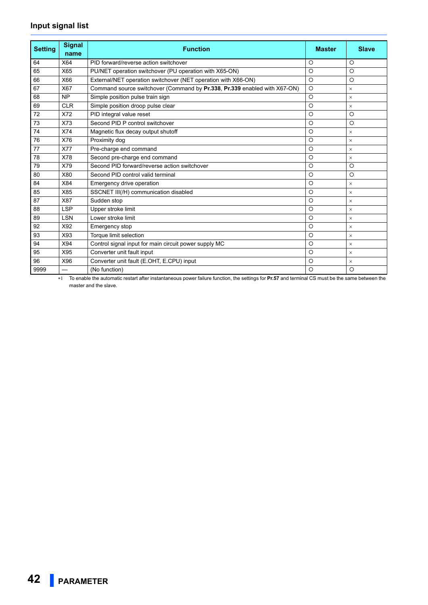## **Input signal list**

| <b>Setting</b> | <b>Signal</b><br>name | <b>Function</b>                                                           | <b>Master</b> | <b>Slave</b> |
|----------------|-----------------------|---------------------------------------------------------------------------|---------------|--------------|
| 64             | X64                   | PID forward/reverse action switchover                                     | $\circ$       | $\circ$      |
| 65             | X65                   | PU/NET operation switchover (PU operation with X65-ON)                    | $\circ$       | $\circ$      |
| 66             | X66                   | External/NET operation switchover (NET operation with X66-ON)             | $\circ$       | O            |
| 67             | X67                   | Command source switchover (Command by Pr.338, Pr.339 enabled with X67-ON) | $\circ$       | $\times$     |
| 68             | <b>NP</b>             | Simple position pulse train sign                                          | $\circ$       | $\times$     |
| 69             | <b>CLR</b>            | Simple position droop pulse clear                                         | $\circ$       | $\times$     |
| 72             | X72                   | PID integral value reset                                                  | $\circ$       | $\circ$      |
| 73             | X73                   | Second PID P control switchover                                           | $\circ$       | $\circ$      |
| 74             | X74                   | Magnetic flux decay output shutoff                                        | $\circ$       | $\times$     |
| 76             | X76                   | Proximity dog                                                             | $\circ$       | $\times$     |
| 77             | <b>X77</b>            | Pre-charge end command                                                    | $\circ$       | $\times$     |
| 78             | X78                   | Second pre-charge end command                                             | $\circ$       | $\times$     |
| 79             | X79                   | Second PID forward/reverse action switchover                              | $\circ$       | $\circ$      |
| 80             | X80                   | Second PID control valid terminal                                         | $\circ$       | $\circ$      |
| 84             | X84                   | Emergency drive operation                                                 | $\circ$       | $\times$     |
| 85             | X85                   | SSCNET III(/H) communication disabled                                     | $\circ$       | $\times$     |
| 87             | X87                   | Sudden stop                                                               | $\circ$       | $\times$     |
| 88             | <b>LSP</b>            | Upper stroke limit                                                        | $\circ$       | $\times$     |
| 89             | <b>LSN</b>            | Lower stroke limit                                                        | $\circ$       | $\times$     |
| 92             | X92                   | Emergency stop                                                            | $\circ$       | $\times$     |
| 93             | X93                   | Torque limit selection                                                    | $\circ$       | $\times$     |
| 94             | X94                   | Control signal input for main circuit power supply MC                     | $\circ$       | $\times$     |
| 95             | X95                   | Converter unit fault input                                                | O             | $\times$     |
| 96             | X96                   | Converter unit fault (E.OHT, E.CPU) input                                 | $\circ$       | $\times$     |
| 9999           |                       | (No function)                                                             | $\circ$       | O            |

<span id="page-41-0"></span> To enable the automatic restart after instantaneous power failure function, the settings for **Pr.57** and terminal CS must be the same between the master and the slave.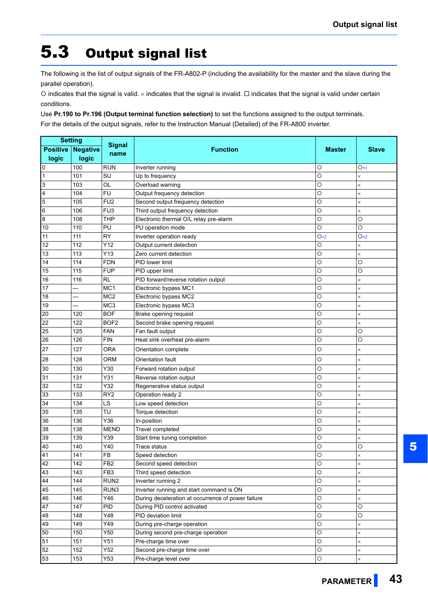# <span id="page-42-1"></span><span id="page-42-0"></span>5.3 Output signal list

The following is the list of output signals of the FR-A802-P (including the availability for the master and the slave during the parallel operation).

O indicates that the signal is valid.  $\times$  indicates that the signal is invalid.  $\Box$  indicates that the signal is valid under certain conditions.

Use **Pr.190 to Pr.196 (Output terminal function selection)** to set the functions assigned to the output terminals.

For the details of the output signals, refer to the Instruction Manual (Detailed) of the FR-A800 inverter.

| <b>Setting</b>  |                 |                 |                                                    |               |              |
|-----------------|-----------------|-----------------|----------------------------------------------------|---------------|--------------|
| <b>Positive</b> | <b>Negative</b> | <b>Signal</b>   | <b>Function</b>                                    | <b>Master</b> | <b>Slave</b> |
| logic           | logic           | name            |                                                    |               |              |
| 0               | 100             | RUN             | Inverter running                                   | O             | $O*1$        |
| $\vert$ 1       | 101             | SU              | Up to frequency                                    | O             | ×            |
| $\overline{3}$  | 103             | OL              | Overload warning                                   | O             | ×            |
| $\overline{4}$  | 104             | <b>FU</b>       | Output frequency detection                         | O             | $\times$     |
| 5               | 105             | FU <sub>2</sub> | Second output frequency detection                  | O             | ×            |
| $6\phantom{1}6$ | 106             | FU3             | Third output frequency detection                   | O             | ×            |
| 8               | 108             | THP             | Electronic thermal O/L relay pre-alarm             | O             | O            |
| 10              | 110             | PU              | PU operation mode                                  | O             | O            |
| 11              | 111             | <b>RY</b>       | Inverter operation ready                           | $O*2$         | $O*2$        |
| 12              | 112             | Y12             | Output current detection                           | O             | ×            |
| 13              | 113             | Y13             | Zero current detection                             | O             | ×            |
| 14              | 114             | <b>FDN</b>      | PID lower limit                                    | O             | O            |
| 15              | 115             | <b>FUP</b>      | PID upper limit                                    | O             | O            |
| 16              | 116             | <b>RL</b>       | PID forward/reverse rotation output                | O             | ×            |
| 17              |                 | MC <sub>1</sub> | Electronic bypass MC1                              | O             | ×            |
| 18              |                 | MC <sub>2</sub> | Electronic bypass MC2                              | O             | ×            |
| 19              |                 | MC <sub>3</sub> | Electronic bypass MC3                              | O             | ×            |
| 20              | 120             | <b>BOF</b>      | Brake opening request                              | O             | ×            |
| 22              | 122             | BOF2            | Second brake opening request                       | O             | ×            |
| 25              | 125             | FAN             | Fan fault output                                   | O             | O            |
| 26              | 126             | <b>FIN</b>      | Heat sink overheat pre-alarm                       | O             | O            |
| 27              | 127             | ORA             | Orientation complete                               | O             | ×            |
| 28              | 128             | <b>ORM</b>      | Orientation fault                                  | O             | ×            |
| 30              | 130             | Y30             | Forward rotation output                            | O             | ×            |
| 31              | 131             | Y31             | Reverse rotation output                            | O             | ×            |
| 32              | 132             | Y32             | Regenerative status output                         | O             | ×            |
| 33              | 133             | RY <sub>2</sub> | Operation ready 2                                  | O             | ×            |
| 34              | 134             | LS              | Low speed detection                                | O             | ×            |
| 35              | 135             | TU              | Torque detection                                   | O             | ×            |
| 36              | 136             | Y36             | In-position                                        | O             | ×            |
| 38              | 138             | <b>MEND</b>     | Travel completed                                   | O             | ×            |
| 39              | 139             | Y39             | Start time tuning completion                       | O             | ×            |
| 40              | 140             | Y40             | Trace status                                       | O             | O            |
| 41              | 141             | <b>FB</b>       | Speed detection                                    | O             | ×            |
| 42              | 142             | FB <sub>2</sub> | Second speed detection                             | $\circ$       | ×            |
| 43              | 143             | FB <sub>3</sub> | Third speed detection                              | $\bigcirc$    | ×            |
| 44              | 144             | RUN2            | Inverter running 2                                 | $\circ$       | $\times$     |
| 45              | 145             | RUN3            | Inverter running and start command is ON           | O             | ×            |
| 46              | 146             | Y46             | During deceleration at occurrence of power failure | O             | $\times$     |
| 47              | 147             | PID             | During PID control activated                       | O             | $\circ$      |
| 48              | 148             | Y48             | PID deviation limit                                | O             | O            |
| 49              | 149             | Y49             | During pre-charge operation                        | O             | ×            |
| 50              | 150             | Y50             | During second pre-charge operation                 | O             | ×            |
| 51              | 151             | Y51             | Pre-charge time over                               | O             | $\times$     |
| 52              | 152             | Y52             | Second pre-charge time over                        | $\circ$       | $\times$     |
| 53              | 153             | Y53             | Pre-charge level over                              | O             | ×            |
|                 |                 |                 |                                                    |               |              |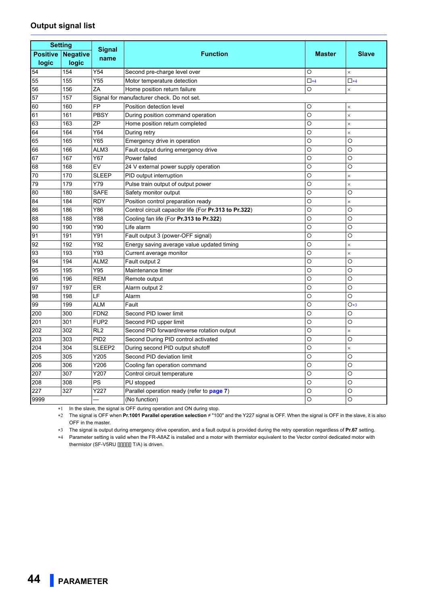### **Output signal list**

| <b>Setting</b>  |                 | <b>Signal</b>    |                                                       |               |              |
|-----------------|-----------------|------------------|-------------------------------------------------------|---------------|--------------|
| <b>Positive</b> | <b>Negative</b> | name             | <b>Function</b>                                       | <b>Master</b> | <b>Slave</b> |
| logic           | logic           |                  |                                                       |               |              |
| 54              | 154             | Y54              | Second pre-charge level over                          | O             | $\times$     |
| 55              | 155             | Y55              | Motor temperature detection                           | $\square$ *4  | $\square$ *4 |
| 56              | 156             | ZA               | Home position return failure                          | $\circ$       | X            |
| 57              | 157             |                  | Signal for manufacturer check. Do not set.            |               |              |
| 60              | 160             | <b>FP</b>        | Position detection level                              | O             | ×            |
| 61              | 161             | PBSY             | During position command operation                     | O             | $\times$     |
| 63              | 163             | ZΡ               | Home position return completed                        | $\circ$       | ×            |
| 64              | 164             | Y64              | During retry                                          | O             | $\times$     |
| 65              | 165             | Y65              | Emergency drive in operation                          | $\circ$       | O            |
| 66              | 166             | ALM3             | Fault output during emergency drive                   | O             | O            |
| 67              | 167             | Y67              | Power failed                                          | $\circ$       | O            |
| 68              | 168             | EV               | 24 V external power supply operation                  | O             | O            |
| 70              | 170             | <b>SLEEP</b>     | PID output interruption                               | $\circ$       | $\times$     |
| 79              | 179             | Y79              | Pulse train output of output power                    | O             | $\times$     |
| 80              | 180             | <b>SAFE</b>      | Safety monitor output                                 | O             | O            |
| 84              | 184             | <b>RDY</b>       | Position control preparation ready                    | O             | $\times$     |
| 86              | 186             | Y86              | Control circuit capacitor life (For Pr.313 to Pr.322) | O             | O            |
| 88              | 188             | Y88              | Cooling fan life (For <b>Pr.313 to Pr.322</b> )       | O             | O            |
| 90              | 190             | Y90              | Life alarm                                            | O             | O            |
| 91              | 191             | Y91              | Fault output 3 (power-OFF signal)                     | O             | O            |
| 92              | 192             | Y92              | Energy saving average value updated timing            | O             | ×            |
| 93              | 193             | Y93              | Current average monitor                               | O             | $\times$     |
| 94              | 194             | ALM2             | Fault output 2                                        | O             | O            |
| 95              | 195             | Y95              | Maintenance timer                                     | O             | O            |
| 96              | 196             | <b>REM</b>       | Remote output                                         | O             | O            |
| 97              | 197             | <b>ER</b>        | Alarm output 2                                        | O             | O            |
| 98              | 198             | LF               | Alarm                                                 | O             | O            |
| 99              | 199             | <b>ALM</b>       | Fault                                                 | $\circ$       | $O*3$        |
| 200             | 300             | FDN <sub>2</sub> | Second PID lower limit                                | $\circ$       | O            |
| 201             | 301             | FUP <sub>2</sub> | Second PID upper limit                                | $\circ$       | O            |
| 202             | 302             | RL <sub>2</sub>  | Second PID forward/reverse rotation output            | O             | ×            |
| 203             | 303             | PID <sub>2</sub> | Second During PID control activated                   | $\circ$       | $\circ$      |
| 204             | 304             | SLEEP2           | During second PID output shutoff                      | O             | $\times$     |
| 205             | 305             | Y205             | Second PID deviation limit                            | $\circ$       | $\circ$      |
| 206             | 306             | Y206             | Cooling fan operation command                         | O             | O            |
| 207             | 307             | Y207             | Control circuit temperature                           | $\circ$       | $\circ$      |
| 208             | 308             | PS               | PU stopped                                            | $\circ$       | O            |
| 227             | 327             | Y227             | Parallel operation ready (refer to page 7)            | O             | O            |
| 9999            |                 |                  | (No function)                                         | O             | O            |

<span id="page-43-1"></span>\*1 In the slave, the signal is OFF during operation and ON during stop.

<span id="page-43-0"></span> The signal is OFF when **Pr.1001 Parallel operation selection** ≠ "100" and the Y227 signal is OFF. When the signal is OFF in the slave, it is also OFF in the master.

<span id="page-43-3"></span>The signal is output during emergency drive operation, and a fault output is provided during the retry operation regardless of **Pr.67** setting.

<span id="page-43-2"></span> Parameter setting is valid when the FR-A8AZ is installed and a motor with thermistor equivalent to the Vector control dedicated motor with thermistor (SF-V5RU [[[[[[]]] T/A) is driven.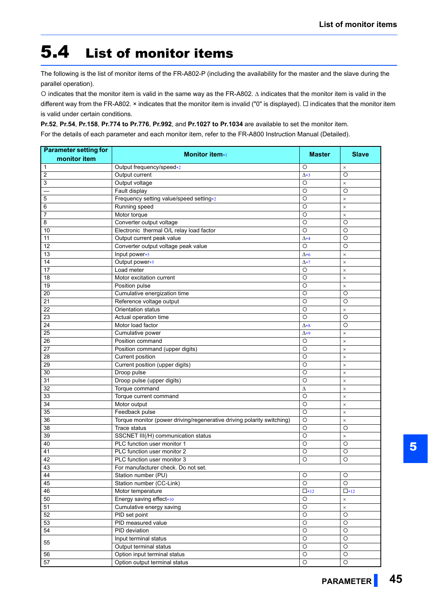# <span id="page-44-1"></span><span id="page-44-0"></span>5.4 List of monitor items

The following is the list of monitor items of the FR-A802-P (including the availability for the master and the slave during the parallel operation).

O indicates that the monitor item is valid in the same way as the FR-A802.  $\Delta$  indicates that the monitor item is valid in the different way from the FR-A802. × indicates that the monitor item is invalid ("0" is displayed). □ indicates that the monitor item is valid under certain conditions.

**Pr.52**, **Pr.54**, **Pr.158**, **Pr.774 to Pr.776**, **Pr.992**, and **Pr.1027 to Pr.1034** are available to set the monitor item.

For the details of each parameter and each monitor item, refer to the FR-A800 Instruction Manual (Detailed).

| <b>Parameter setting for</b> | <b>Monitor item*1</b>                                                  | <b>Master</b>      | <b>Slave</b>       |  |
|------------------------------|------------------------------------------------------------------------|--------------------|--------------------|--|
| monitor item                 |                                                                        |                    |                    |  |
| 1                            | Output frequency/speed*2                                               | O                  | $\times$           |  |
| 2                            | Output current                                                         | $\Delta * 3$       | $\circ$            |  |
| 3                            | Output voltage                                                         | O                  | $\times$           |  |
|                              | Fault display                                                          | O                  | $\circ$            |  |
| 5                            | Frequency setting value/speed setting*2                                | O                  | $\times$           |  |
| 6                            | Running speed                                                          | $\circ$            | $\times$           |  |
| $\overline{7}$               | Motor torque                                                           | $\circ$            | $\times$           |  |
| 8                            | Converter output voltage                                               | O                  | O                  |  |
| 10                           | Electronic thermal O/L relay load factor                               | $\circ$            | O                  |  |
| 11                           | Output current peak value                                              | $\Delta * 4$       | O                  |  |
| $\overline{12}$              | Converter output voltage peak value                                    | O                  | $\circ$            |  |
| 13                           | Input power*5                                                          | $\Delta * 6$       | $\times$           |  |
| 14                           | Output power*5                                                         | $\Delta * 7$       | $\times$           |  |
| 17                           | Load meter                                                             | O                  | $\times$           |  |
| 18                           | Motor excitation current                                               | $\circ$            | $\times$           |  |
| 19                           | Position pulse                                                         | O                  | $\times$           |  |
| 20                           | Cumulative energization time                                           | $\circ$            | $\circ$            |  |
| $\overline{21}$              | Reference voltage output                                               | $\circ$            | $\circ$            |  |
| 22                           | Orientation status                                                     | $\circ$            | $\times$           |  |
| $\overline{23}$              | Actual operation time                                                  | $\circ$            | O                  |  |
| $\overline{24}$              | Motor load factor                                                      | $\Delta * 8$       | O                  |  |
| $\overline{25}$              | Cumulative power                                                       | $\Delta * 9$       | ×                  |  |
| 26                           | Position command                                                       | O                  | $\times$           |  |
| $\overline{27}$              | Position command (upper digits)                                        | $\circ$            | $\times$           |  |
| 28                           | Current position                                                       | $\circ$            | $\times$           |  |
| 29                           | Current position (upper digits)                                        | $\circ$            | $\times$           |  |
| 30                           | Droop pulse                                                            | $\circ$            | $\times$           |  |
| 31                           | Droop pulse (upper digits)                                             | O                  | $\times$           |  |
| 32                           | Torque command                                                         | Δ                  | $\times$           |  |
| 33                           | Torque current command                                                 | $\circ$            | $\times$           |  |
| 34                           | Motor output                                                           | $\circ$            | $\times$           |  |
| 35                           | Feedback pulse                                                         | $\circ$            | $\times$           |  |
| 36                           | Torque monitor (power driving/regenerative driving polarity switching) | $\circ$            | $\times$           |  |
| $\overline{38}$              | <b>Trace status</b>                                                    | $\circ$            | $\circ$            |  |
| 39                           | SSCNET III(/H) communication status                                    | $\circ$            | $\times$           |  |
| 40                           | PLC function user monitor 1                                            | $\circ$            | $\circ$            |  |
| 41                           | PLC function user monitor 2                                            | $\circ$            | $\overline{\circ}$ |  |
| 42                           | PLC function user monitor 3                                            | $\circ$            | $\circ$            |  |
| 43                           | For manufacturer check. Do not set.                                    |                    |                    |  |
| 44                           | Station number (PU)                                                    | $\circ$            | $\overline{O}$     |  |
| 45                           | Station number (CC-Link)                                               | $\circ$            | $\circ$            |  |
| 46                           | Motor temperature                                                      | $\square$ *12      | $\square$ *12      |  |
| 50                           | Energy saving effect*10                                                | $\circ$            |                    |  |
|                              |                                                                        |                    | $\times$           |  |
| 51                           | Cumulative energy saving                                               | $\circ$            | $\times$           |  |
| 52                           | PID set point                                                          | $\circ$            | O                  |  |
| 53                           | PID measured value                                                     | $\circ$            | $\circ$            |  |
| 54                           | PID deviation                                                          | $\circ$            | $\circ$            |  |
| 55                           | Input terminal status                                                  | $\circ$            | $\circ$            |  |
|                              | Output terminal status                                                 | $\overline{\circ}$ | $\overline{\circ}$ |  |
| 56                           | Option input terminal status                                           | $\circ$            | $\circ$            |  |
| 57                           | Option output terminal status                                          | $\circ$            | $\circ$            |  |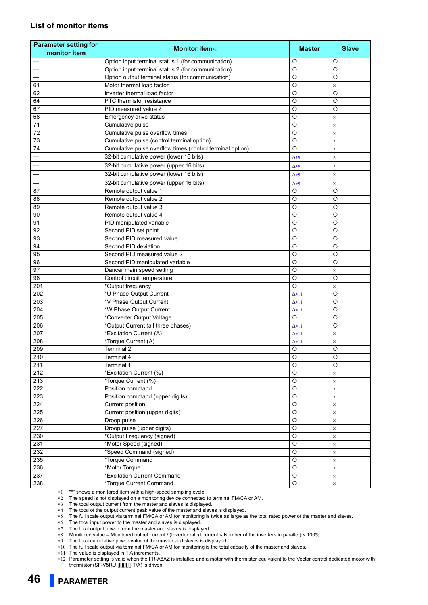### **List of monitor items**

| <b>Parameter setting for</b> |                                                           |                |              |
|------------------------------|-----------------------------------------------------------|----------------|--------------|
| monitor item                 | <b>Monitor item*1</b>                                     | <b>Master</b>  | <b>Slave</b> |
|                              | Option input terminal status 1 (for communication)        | O              | O            |
|                              | Option input terminal status 2 (for communication)        | $\circ$        | O            |
|                              | Option output terminal status (for communication)         | $\circ$        | O            |
| 61                           | Motor thermal load factor                                 | $\circ$        | $\times$     |
| 62                           | Inverter thermal load factor                              | $\circ$        | $\circ$      |
| 64                           | PTC thermistor resistance                                 | $\circ$        | O            |
| 67                           | PID measured value 2                                      | $\circ$        | O            |
| 68                           | Emergency drive status                                    | $\circ$        | $\times$     |
| $\overline{71}$              | Cumulative pulse                                          | $\overline{O}$ | $\times$     |
| $\overline{72}$              | Cumulative pulse overflow times                           | $\circ$        | $\times$     |
| 73                           | Cumulative pulse (control terminal option)                | $\circ$        | $\times$     |
| $\overline{74}$              | Cumulative pulse overflow times (control terminal option) | O              | $\times$     |
|                              | 32-bit cumulative power (lower 16 bits)                   | $\Delta * 9$   | $\times$     |
|                              | 32-bit cumulative power (upper 16 bits)                   | $\Delta * 9$   | $\times$     |
|                              | 32-bit cumulative power (lower 16 bits)                   |                |              |
| —                            |                                                           | $\Delta * 9$   | $\times$     |
|                              | 32-bit cumulative power (upper 16 bits)                   | $\Delta * 9$   | $\times$     |
| 87                           | Remote output value 1                                     | $\circ$        | O            |
| 88                           | Remote output value 2                                     | $\circ$        | O            |
| 89                           | Remote output value 3                                     | $\circ$        | O            |
| 90                           | Remote output value 4                                     | $\overline{O}$ | $\circ$      |
| 91                           | PID manipulated variable                                  | $\circ$        | $\circ$      |
| 92                           | Second PID set point                                      | $\circ$        | $\circ$      |
| 93                           | Second PID measured value                                 | $\circ$        | O            |
| 94                           | Second PID deviation                                      | $\circ$        | O            |
| 95                           | Second PID measured value 2                               | $\circ$        | O            |
| 96                           | Second PID manipulated variable                           | $\overline{O}$ | $\circ$      |
| 97                           | Dancer main speed setting                                 | $\circ$        | $\times$     |
| 98                           | Control circuit temperature                               | $\circ$        | O            |
| 201                          | *Output frequency                                         | $\circ$        | $\times$     |
| 202                          | *U Phase Output Current                                   | $\Delta$ *11   | $\circ$      |
| 203                          | *V Phase Output Current                                   | $\Delta$ *11   | O            |
| 204                          | *W Phase Output Current                                   | $\Delta$ *11   | $\circ$      |
| 205                          | *Converter Output Voltage                                 | $\circ$        | $\circ$      |
| 206                          | *Output Current (all three phases)                        | $\Delta$ *11   | O            |
| 207                          | *Excitation Current (A)                                   | $\Delta$ *11   | $\times$     |
| 208                          | *Torque Current (A)                                       | $\Delta$ *11   | $\times$     |
| 209                          | Terminal 2                                                | O              | O            |
| 210                          | Terminal 4                                                | $\overline{O}$ | O            |
| 211                          | Terminal 1                                                | O              | O            |
| 212                          | *Excitation Current (%)                                   | $\circ$        | $\times$     |
| 213                          | *Torque Current (%)                                       | $\circ$        | $\times$     |
| 222                          | Position command                                          | $\overline{O}$ | $\times$     |
| 223                          | Position command (upper digits)                           | $\circ$        | $\times$     |
| 224                          | Current position                                          | $\overline{O}$ | $\times$     |
| 225                          | Current position (upper digits)                           | $\overline{O}$ | $\times$     |
| 226                          | Droop pulse                                               | $\circ$        | $\times$     |
| $\overline{227}$             | Droop pulse (upper digits)                                | $\circ$        | $\times$     |
| 230                          | *Output Frequency (signed)                                | $\circ$        | $\times$     |
| 231                          | *Motor Speed (signed)                                     | $\circ$        | $\times$     |
| 232                          | *Speed Command (signed)                                   | $\overline{O}$ | $\times$     |
| 235                          | *Torque Command                                           | $\overline{O}$ | $\times$     |
| 236                          | *Motor Torque                                             | $\circ$        | $\times$     |
| 237                          | *Excitation Current Command                               | $\circ$        | $\times$     |
| 238                          | *Torque Current Command                                   | $\circ$        | $\times$     |

<span id="page-45-0"></span>\*1 "\*" shows a monitored item with a high-speed sampling cycle.

<span id="page-45-2"></span><span id="page-45-1"></span>\*2 The speed is not displayed on a monitoring device connected to terminal FM/CA or AM.<br>\*3 The total output current from the master and slaves is displayed.

The total output current from the master and slaves is displayed.

<span id="page-45-3"></span>\*4 The total of the output current peak value of the master and slaves is displayed.<br>\*5 The full scale output via terminal FM/CA or AM for monitoring is twice as large as

<span id="page-45-4"></span>The full scale output via terminal FM/CA or AM for monitoring is twice as large as the total rated power of the master and slaves.

<span id="page-45-6"></span><span id="page-45-5"></span>The total input power to the master and slaves is displayed.

The total output power from the master and slaves is displayed.

Monitored value = Monitored output current / (Inverter rated current × Number of the inverters in parallel) × 100%

<span id="page-45-7"></span>The total cumulative power value of the master and slaves is displayed.

<span id="page-45-11"></span><span id="page-45-9"></span><span id="page-45-8"></span>The full scale output via terminal FM/CA or AM for monitoring is the total capacity of the master and slaves.

\*11 The value is displayed in 1 A increments.

<span id="page-45-10"></span> Parameter setting is valid when the FR-A8AZ is installed and a motor with thermistor equivalent to the Vector control dedicated motor with thermistor (SF-V5RU [][][][][] T/A) is driven.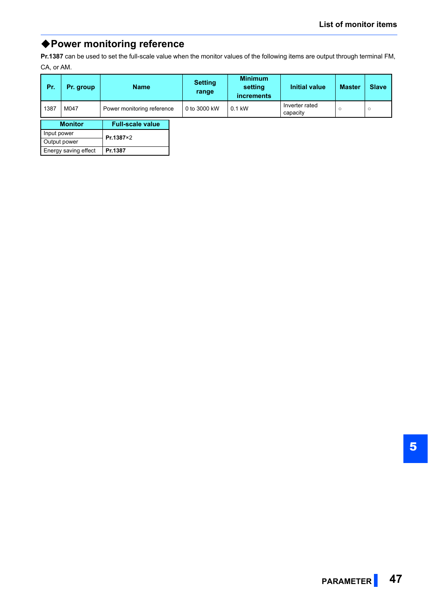## <span id="page-46-0"></span>**Power monitoring reference**

Output power

Energy saving effect **Pr.1387**

**Pr.1387** can be used to set the full-scale value when the monitor values of the following items are output through terminal FM, CA, or AM.

| Pr.                                 | Pr. group | <b>Name</b>                | <b>Setting</b><br>range | <b>Minimum</b><br>setting<br><b>increments</b> | <b>Initial value</b>       | <b>Master</b> | <b>Slave</b> |
|-------------------------------------|-----------|----------------------------|-------------------------|------------------------------------------------|----------------------------|---------------|--------------|
| 1387                                | M047      | Power monitoring reference | 0 to 3000 kW            | $0.1$ kW                                       | Inverter rated<br>capacity | $\circ$       | $\circ$      |
| <b>Monitor</b>                      |           | <b>Full-scale value</b>    |                         |                                                |                            |               |              |
| Input power<br>$\sim$ $\sim$ $\sim$ |           | Pr.1387×2                  |                         |                                                |                            |               |              |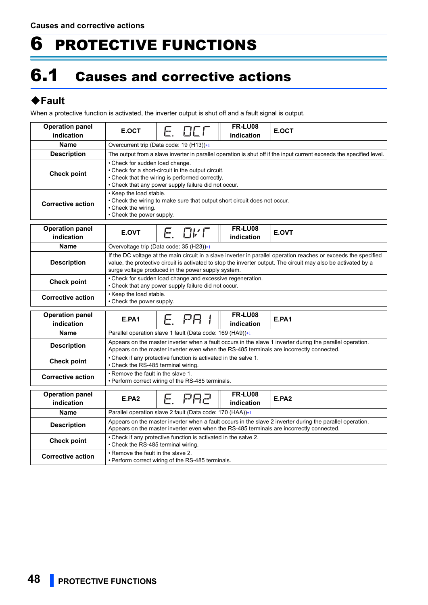# <span id="page-47-0"></span>6 PROTECTIVE FUNCTIONS

# <span id="page-47-1"></span>6.1 Causes and corrective actions

## ◆ Fault

When a protective function is activated, the inverter output is shut off and a fault signal is output.

| <b>Operation panel</b><br>indication | E.OCT                                                                                                                                                                                                                                                                                    |                                                                                                                                                                                                  | E. OCF | FR-LU08<br>indication | E.OCT                                                                                                                |  |  |
|--------------------------------------|------------------------------------------------------------------------------------------------------------------------------------------------------------------------------------------------------------------------------------------------------------------------------------------|--------------------------------------------------------------------------------------------------------------------------------------------------------------------------------------------------|--------|-----------------------|----------------------------------------------------------------------------------------------------------------------|--|--|
| <b>Name</b>                          |                                                                                                                                                                                                                                                                                          | Overcurrent trip (Data code: 19 (H13))*1                                                                                                                                                         |        |                       |                                                                                                                      |  |  |
| <b>Description</b>                   |                                                                                                                                                                                                                                                                                          |                                                                                                                                                                                                  |        |                       | The output from a slave inverter in parallel operation is shut off if the input current exceeds the specified level. |  |  |
| <b>Check point</b>                   |                                                                                                                                                                                                                                                                                          | • Check for sudden load change.<br>• Check for a short-circuit in the output circuit.<br>• Check that the wiring is performed correctly.<br>. Check that any power supply failure did not occur. |        |                       |                                                                                                                      |  |  |
| <b>Corrective action</b>             | • Keep the load stable.<br>. Check the wiring to make sure that output short circuit does not occur.<br>• Check the wiring.<br>• Check the power supply.                                                                                                                                 |                                                                                                                                                                                                  |        |                       |                                                                                                                      |  |  |
| <b>Operation panel</b><br>indication | FR-LU08<br>E. OKT<br><b>E.OVT</b><br><b>E.OVT</b><br>indication                                                                                                                                                                                                                          |                                                                                                                                                                                                  |        |                       |                                                                                                                      |  |  |
| <b>Name</b>                          | Overvoltage trip (Data code: 35 (H23))*1                                                                                                                                                                                                                                                 |                                                                                                                                                                                                  |        |                       |                                                                                                                      |  |  |
| <b>Description</b>                   | If the DC voltage at the main circuit in a slave inverter in parallel operation reaches or exceeds the specified<br>value, the protective circuit is activated to stop the inverter output. The circuit may also be activated by a<br>surge voltage produced in the power supply system. |                                                                                                                                                                                                  |        |                       |                                                                                                                      |  |  |
| <b>Check point</b>                   | . Check for sudden load change and excessive regeneration.<br>. Check that any power supply failure did not occur.                                                                                                                                                                       |                                                                                                                                                                                                  |        |                       |                                                                                                                      |  |  |
| <b>Corrective action</b>             | • Keep the load stable.<br>• Check the power supply.                                                                                                                                                                                                                                     |                                                                                                                                                                                                  |        |                       |                                                                                                                      |  |  |
| <b>Operation panel</b><br>indication | E.PA1                                                                                                                                                                                                                                                                                    |                                                                                                                                                                                                  |        | FR-LU08<br>indication | E.PA1                                                                                                                |  |  |
| <b>Name</b>                          | Parallel operation slave 1 fault (Data code: 169 (HA9))*1                                                                                                                                                                                                                                |                                                                                                                                                                                                  |        |                       |                                                                                                                      |  |  |
| <b>Description</b>                   | Appears on the master inverter when a fault occurs in the slave 1 inverter during the parallel operation.<br>Appears on the master inverter even when the RS-485 terminals are incorrectly connected.                                                                                    |                                                                                                                                                                                                  |        |                       |                                                                                                                      |  |  |
| <b>Check point</b>                   | . Check if any protective function is activated in the salve 1.<br>• Check the RS-485 terminal wiring.                                                                                                                                                                                   |                                                                                                                                                                                                  |        |                       |                                                                                                                      |  |  |
| <b>Corrective action</b>             | . Remove the fault in the slave 1.<br>. Perform correct wiring of the RS-485 terminals.                                                                                                                                                                                                  |                                                                                                                                                                                                  |        |                       |                                                                                                                      |  |  |
| <b>Operation panel</b>               | F.PA2                                                                                                                                                                                                                                                                                    |                                                                                                                                                                                                  | 夏夏夏    | FR-LU08               | F.PA2                                                                                                                |  |  |

| <b>Operation panel</b><br><i>indication</i> | E.PA <sub>2</sub>                                                                                                                                                                                     |  | PAZ | FR-LU08<br>indication | E.PA <sub>2</sub> |  |
|---------------------------------------------|-------------------------------------------------------------------------------------------------------------------------------------------------------------------------------------------------------|--|-----|-----------------------|-------------------|--|
| <b>Name</b>                                 | Parallel operation slave 2 fault (Data code: 170 (HAA))*1                                                                                                                                             |  |     |                       |                   |  |
| <b>Description</b>                          | Appears on the master inverter when a fault occurs in the slave 2 inverter during the parallel operation.<br>Appears on the master inverter even when the RS-485 terminals are incorrectly connected. |  |     |                       |                   |  |
| <b>Check point</b>                          | • Check if any protective function is activated in the salve 2.<br>• Check the RS-485 terminal wiring.                                                                                                |  |     |                       |                   |  |
| <b>Corrective action</b>                    | . Remove the fault in the slave 2.<br>• Perform correct wiring of the RS-485 terminals.                                                                                                               |  |     |                       |                   |  |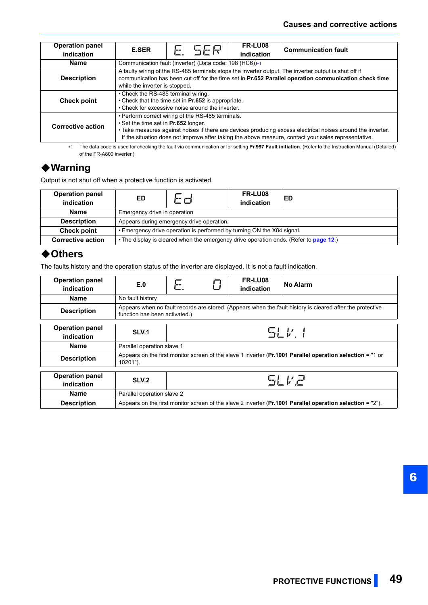| <b>Operation panel</b><br>indication | <b>E.SER</b>                                                                                                                                                                                                                                                                                                     |  | SER | FR-LU08<br>indication | <b>Communication fault</b> |  |
|--------------------------------------|------------------------------------------------------------------------------------------------------------------------------------------------------------------------------------------------------------------------------------------------------------------------------------------------------------------|--|-----|-----------------------|----------------------------|--|
| <b>Name</b>                          | Communication fault (inverter) (Data code: 198 (HC6))*1                                                                                                                                                                                                                                                          |  |     |                       |                            |  |
| <b>Description</b>                   | A faulty wiring of the RS-485 terminals stops the inverter output. The inverter output is shut off if<br>communication has been cut off for the time set in Pr.652 Parallel operation communication check time<br>while the inverter is stopped.                                                                 |  |     |                       |                            |  |
| <b>Check point</b>                   | • Check the RS-485 terminal wiring.<br>• Check that the time set in Pr.652 is appropriate.<br>• Check for excessive noise around the inverter.                                                                                                                                                                   |  |     |                       |                            |  |
| <b>Corrective action</b>             | • Perform correct wiring of the RS-485 terminals.<br>• Set the time set in Pr.652 longer.<br>• Take measures against noises if there are devices producing excess electrical noises around the inverter.<br>If the situation does not improve after taking the above measure, contact your sales representative. |  |     |                       |                            |  |

 The data code is used for checking the fault via communication or for setting **Pr.997 Fault initiation**. (Refer to the Instruction Manual (Detailed) of the FR-A800 inverter.)

# <span id="page-48-1"></span>**Warning**

Output is not shut off when a protective function is activated.

| <b>Operation panel</b><br>indication | ED                                                                                    | 5-- 5-7                      | FR-LU08<br>indication | ED |  |  |  |
|--------------------------------------|---------------------------------------------------------------------------------------|------------------------------|-----------------------|----|--|--|--|
| <b>Name</b>                          |                                                                                       | Emergency drive in operation |                       |    |  |  |  |
| <b>Description</b>                   | Appears during emergency drive operation.                                             |                              |                       |    |  |  |  |
| <b>Check point</b>                   | . Emergency drive operation is performed by turning ON the X84 signal.                |                              |                       |    |  |  |  |
| <b>Corrective action</b>             | • The display is cleared when the emergency drive operation ends. (Refer to page 12.) |                              |                       |    |  |  |  |

## <span id="page-48-0"></span>◆ Others

The faults history and the operation status of the inverter are displayed. It is not a fault indication.

| <b>Operation panel</b><br>indication | E.0                                                                                                                                        | ŀ-      |  | FR-LU08<br>indication | No Alarm |  |
|--------------------------------------|--------------------------------------------------------------------------------------------------------------------------------------------|---------|--|-----------------------|----------|--|
| <b>Name</b>                          | No fault history                                                                                                                           |         |  |                       |          |  |
| <b>Description</b>                   | Appears when no fault records are stored. (Appears when the fault history is cleared after the protective<br>function has been activated.) |         |  |                       |          |  |
| <b>Operation panel</b><br>indication | <b>SLV.1</b>                                                                                                                               | $SLV$ : |  |                       |          |  |
| <b>Name</b>                          | Parallel operation slave 1                                                                                                                 |         |  |                       |          |  |
| <b>Description</b>                   | Appears on the first monitor screen of the slave 1 inverter (Pr.1001 Parallel operation selection = "1 or<br>$10201$ ").                   |         |  |                       |          |  |
| <b>Operation panel</b><br>indication | SLV <sub>.2</sub>                                                                                                                          | 도로 보근   |  |                       |          |  |
| <b>Name</b>                          | Parallel operation slave 2                                                                                                                 |         |  |                       |          |  |
| <b>Description</b>                   | Appears on the first monitor screen of the slave 2 inverter (Pr.1001 Parallel operation selection $=$ "2").                                |         |  |                       |          |  |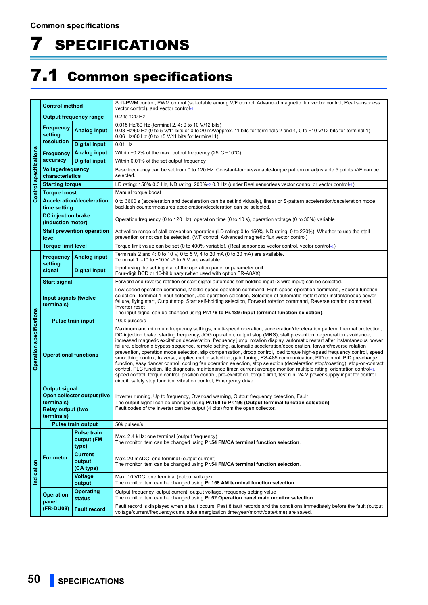# <span id="page-49-0"></span>7 SPECIFICATIONS

# <span id="page-49-1"></span>7.1 Common specifications

|                               | <b>Control method</b>                                                                                       |                                           | Soft-PWM control, PWM control (selectable among V/F control, Advanced magnetic flux vector control, Real sensorless<br>vector control), and vector control*1                                                                                                                                                                                                                                                                                                                                                                                                                                                                                                                                                                                                                                                                                                                                                                                                                                                                                                                                                                                                                                                          |  |  |  |  |  |
|-------------------------------|-------------------------------------------------------------------------------------------------------------|-------------------------------------------|-----------------------------------------------------------------------------------------------------------------------------------------------------------------------------------------------------------------------------------------------------------------------------------------------------------------------------------------------------------------------------------------------------------------------------------------------------------------------------------------------------------------------------------------------------------------------------------------------------------------------------------------------------------------------------------------------------------------------------------------------------------------------------------------------------------------------------------------------------------------------------------------------------------------------------------------------------------------------------------------------------------------------------------------------------------------------------------------------------------------------------------------------------------------------------------------------------------------------|--|--|--|--|--|
|                               |                                                                                                             | <b>Output frequency range</b>             | 0.2 to 120 Hz                                                                                                                                                                                                                                                                                                                                                                                                                                                                                                                                                                                                                                                                                                                                                                                                                                                                                                                                                                                                                                                                                                                                                                                                         |  |  |  |  |  |
|                               | <b>Frequency</b><br>setting                                                                                 | Analog input                              | 0.015 Hz/60 Hz (terminal 2, 4: 0 to 10 V/12 bits)<br>0.03 Hz/60 Hz (0 to 5 V/11 bits or 0 to 20 mA/approx. 11 bits for terminals 2 and 4, 0 to $\pm$ 10 V/12 bits for terminal 1)<br>0.06 Hz/60 Hz (0 to $\pm$ 5 V/11 bits for terminal 1)                                                                                                                                                                                                                                                                                                                                                                                                                                                                                                                                                                                                                                                                                                                                                                                                                                                                                                                                                                            |  |  |  |  |  |
|                               | resolution                                                                                                  | <b>Digital input</b>                      | $0.01$ Hz                                                                                                                                                                                                                                                                                                                                                                                                                                                                                                                                                                                                                                                                                                                                                                                                                                                                                                                                                                                                                                                                                                                                                                                                             |  |  |  |  |  |
| <b>Control specifications</b> | <b>Frequency</b>                                                                                            | <b>Analog input</b>                       | Within $\pm$ 0.2% of the max. output frequency (25°C $\pm$ 10°C)                                                                                                                                                                                                                                                                                                                                                                                                                                                                                                                                                                                                                                                                                                                                                                                                                                                                                                                                                                                                                                                                                                                                                      |  |  |  |  |  |
|                               | accuracy<br><b>Digital input</b>                                                                            |                                           | Within 0.01% of the set output frequency                                                                                                                                                                                                                                                                                                                                                                                                                                                                                                                                                                                                                                                                                                                                                                                                                                                                                                                                                                                                                                                                                                                                                                              |  |  |  |  |  |
|                               | <b>Voltage/frequency</b><br>characteristics                                                                 |                                           | Base frequency can be set from 0 to 120 Hz. Constant-torque/variable-torque pattern or adjustable 5 points V/F can be<br>selected.                                                                                                                                                                                                                                                                                                                                                                                                                                                                                                                                                                                                                                                                                                                                                                                                                                                                                                                                                                                                                                                                                    |  |  |  |  |  |
|                               | <b>Starting torque</b>                                                                                      |                                           | LD rating: 150% 0.3 Hz, ND rating: 200%*2 0.3 Hz (under Real sensorless vector control or vector control*1)                                                                                                                                                                                                                                                                                                                                                                                                                                                                                                                                                                                                                                                                                                                                                                                                                                                                                                                                                                                                                                                                                                           |  |  |  |  |  |
|                               | <b>Torque boost</b>                                                                                         |                                           | Manual torque boost                                                                                                                                                                                                                                                                                                                                                                                                                                                                                                                                                                                                                                                                                                                                                                                                                                                                                                                                                                                                                                                                                                                                                                                                   |  |  |  |  |  |
|                               | time setting                                                                                                | Acceleration/deceleration                 | 0 to 3600 s (acceleration and deceleration can be set individually), linear or S-pattern acceleration/deceleration mode,<br>backlash countermeasures acceleration/deceleration can be selected.                                                                                                                                                                                                                                                                                                                                                                                                                                                                                                                                                                                                                                                                                                                                                                                                                                                                                                                                                                                                                       |  |  |  |  |  |
|                               | <b>DC</b> injection brake<br>(induction motor)                                                              |                                           | Operation frequency (0 to 120 Hz), operation time (0 to 10 s), operation voltage (0 to 30%) variable                                                                                                                                                                                                                                                                                                                                                                                                                                                                                                                                                                                                                                                                                                                                                                                                                                                                                                                                                                                                                                                                                                                  |  |  |  |  |  |
|                               | level                                                                                                       | <b>Stall prevention operation</b>         | Activation range of stall prevention operation (LD rating: 0 to 150%, ND rating: 0 to 220%). Whether to use the stall<br>prevention or not can be selected. (V/F control, Advanced magnetic flux vector control)                                                                                                                                                                                                                                                                                                                                                                                                                                                                                                                                                                                                                                                                                                                                                                                                                                                                                                                                                                                                      |  |  |  |  |  |
|                               | <b>Torque limit level</b>                                                                                   |                                           | Torque limit value can be set (0 to 400% variable). (Real sensorless vector control, vector control*1)                                                                                                                                                                                                                                                                                                                                                                                                                                                                                                                                                                                                                                                                                                                                                                                                                                                                                                                                                                                                                                                                                                                |  |  |  |  |  |
|                               | <b>Frequency</b><br>setting                                                                                 | <b>Analog input</b>                       | Terminals 2 and 4: 0 to 10 V, 0 to 5 V, 4 to 20 mA (0 to 20 mA) are available.<br>Terminal 1: -10 to +10 V, -5 to 5 V are available.                                                                                                                                                                                                                                                                                                                                                                                                                                                                                                                                                                                                                                                                                                                                                                                                                                                                                                                                                                                                                                                                                  |  |  |  |  |  |
|                               | signal                                                                                                      | <b>Digital input</b>                      | Input using the setting dial of the operation panel or parameter unit<br>Four-digit BCD or 16-bit binary (when used with option FR-A8AX)                                                                                                                                                                                                                                                                                                                                                                                                                                                                                                                                                                                                                                                                                                                                                                                                                                                                                                                                                                                                                                                                              |  |  |  |  |  |
|                               | <b>Start signal</b>                                                                                         |                                           | Forward and reverse rotation or start signal automatic self-holding input (3-wire input) can be selected.                                                                                                                                                                                                                                                                                                                                                                                                                                                                                                                                                                                                                                                                                                                                                                                                                                                                                                                                                                                                                                                                                                             |  |  |  |  |  |
|                               | Input signals (twelve<br>terminals)                                                                         |                                           | Low-speed operation command, Middle-speed operation command, High-speed operation command, Second function<br>selection, Terminal 4 input selection, Jog operation selection, Selection of automatic restart after instantaneous power<br>failure, flying start, Output stop, Start self-holding selection, Forward rotation command, Reverse rotation command,<br>Inverter reset<br>The input signal can be changed using Pr.178 to Pr.189 (Input terminal function selection).                                                                                                                                                                                                                                                                                                                                                                                                                                                                                                                                                                                                                                                                                                                                      |  |  |  |  |  |
|                               | <b>Pulse train input</b>                                                                                    |                                           | 100k pulses/s                                                                                                                                                                                                                                                                                                                                                                                                                                                                                                                                                                                                                                                                                                                                                                                                                                                                                                                                                                                                                                                                                                                                                                                                         |  |  |  |  |  |
| Operation specifications      | <b>Operational functions</b>                                                                                |                                           | Maximum and minimum frequency settings, multi-speed operation, acceleration/deceleration pattern, thermal protection,<br>DC injection brake, starting frequency, JOG operation, output stop (MRS), stall prevention, regeneration avoidance,<br>increased magnetic excitation deceleration, frequency jump, rotation display, automatic restart after instantaneous power<br>failure, electronic bypass sequence, remote setting, automatic acceleration/deceleration, forward/reverse rotation<br>prevention, operation mode selection, slip compensation, droop control, load torque high-speed frequency control, speed<br>smoothing control, traverse, applied motor selection, gain tuning, RS-485 communication, PID control, PID pre-charge<br>function, easy dancer control, cooling fan operation selection, stop selection (deceleration stop/coasting), stop-on-contact<br>control, PLC function, life diagnosis, maintenance timer, current average monitor, multiple rating, orientation control*1,<br>speed control, torque control, position control, pre-excitation, torque limit, test run, 24 V power supply input for control<br>circuit, safety stop function, vibration control, Emergency drive |  |  |  |  |  |
|                               | <b>Output signal</b><br>Open collector output (five<br>terminals)<br><b>Relay output (two</b><br>terminals) |                                           | Inverter running, Up to frequency, Overload warning, Output frequency detection, Fault<br>The output signal can be changed using Pr.190 to Pr.196 (Output terminal function selection).<br>Fault codes of the inverter can be output (4 bits) from the open collector.                                                                                                                                                                                                                                                                                                                                                                                                                                                                                                                                                                                                                                                                                                                                                                                                                                                                                                                                                |  |  |  |  |  |
|                               |                                                                                                             | <b>Pulse train output</b>                 | 50k pulses/s                                                                                                                                                                                                                                                                                                                                                                                                                                                                                                                                                                                                                                                                                                                                                                                                                                                                                                                                                                                                                                                                                                                                                                                                          |  |  |  |  |  |
|                               |                                                                                                             | <b>Pulse train</b><br>output (FM<br>type) | Max. 2.4 kHz: one terminal (output frequency)<br>The monitor item can be changed using Pr.54 FM/CA terminal function selection.                                                                                                                                                                                                                                                                                                                                                                                                                                                                                                                                                                                                                                                                                                                                                                                                                                                                                                                                                                                                                                                                                       |  |  |  |  |  |
| Indication                    | For meter                                                                                                   | <b>Current</b><br>output<br>(CA type)     | Max. 20 mADC: one terminal (output current)<br>The monitor item can be changed using Pr.54 FM/CA terminal function selection.                                                                                                                                                                                                                                                                                                                                                                                                                                                                                                                                                                                                                                                                                                                                                                                                                                                                                                                                                                                                                                                                                         |  |  |  |  |  |
|                               |                                                                                                             | <b>Voltage</b><br>output                  | Max. 10 VDC: one terminal (output voltage)<br>The monitor item can be changed using Pr.158 AM terminal function selection.                                                                                                                                                                                                                                                                                                                                                                                                                                                                                                                                                                                                                                                                                                                                                                                                                                                                                                                                                                                                                                                                                            |  |  |  |  |  |
|                               | <b>Operation</b><br>panel                                                                                   | <b>Operating</b><br>status                | Output frequency, output current, output voltage, frequency setting value<br>The monitor item can be changed using Pr.52 Operation panel main monitor selection.                                                                                                                                                                                                                                                                                                                                                                                                                                                                                                                                                                                                                                                                                                                                                                                                                                                                                                                                                                                                                                                      |  |  |  |  |  |
|                               | (FR-DU08)                                                                                                   | <b>Fault record</b>                       | Fault record is displayed when a fault occurs. Past 8 fault records and the conditions immediately before the fault (output<br>voltage/current/frequency/cumulative energization time/year/month/date/time) are saved.                                                                                                                                                                                                                                                                                                                                                                                                                                                                                                                                                                                                                                                                                                                                                                                                                                                                                                                                                                                                |  |  |  |  |  |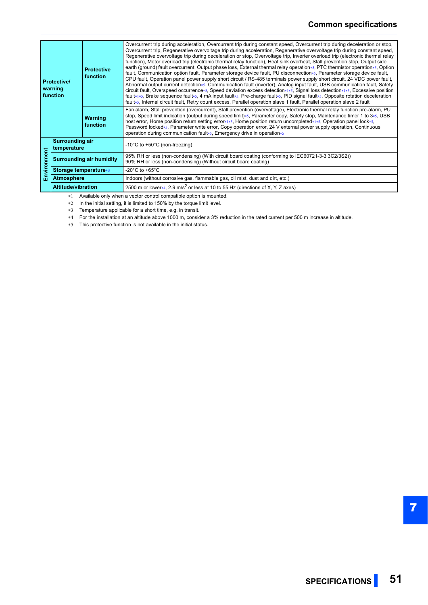| <b>Protective/</b><br>warning<br>function |                                                                          | <b>Protective</b><br>function     | Overcurrent trip during acceleration, Overcurrent trip during constant speed, Overcurrent trip during deceleration or stop,<br>Overcurrent trip, Regenerative overvoltage trip during acceleration, Regenerative overvoltage trip during constant speed,<br>Regenerative overvoltage trip during deceleration or stop, Overvoltage trip, Inverter overload trip (electronic thermal relay<br>function), Motor overload trip (electronic thermal relay function), Heat sink overheat, Stall prevention stop, Output side<br>earth (ground) fault overcurrent, Output phase loss, External thermal relay operation*5, PTC thermistor operation*5, Option<br>fault, Communication option fault, Parameter storage device fault, PU disconnection*5, Parameter storage device fault,<br>CPU fault, Operation panel power supply short circuit / RS-485 terminals power supply short circuit, 24 VDC power fault,<br>Abnormal output current detection <sub>5</sub> , Communication fault (inverter), Analog input fault, USB communication fault, Safety<br>circuit fault, Overspeed occurrence <sup>*5</sup> , Speed deviation excess detection*1*5, Signal loss detection*1*5, Excessive position<br>fault*1*5, Brake sequence fault*5, 4 mA input fault*5, Pre-charge fault*5, PID signal fault*5, Opposite rotation deceleration<br>fault <sub>*5</sub> , Internal circuit fault, Retry count excess, Parallel operation slave 1 fault, Parallel operation slave 2 fault |
|-------------------------------------------|--------------------------------------------------------------------------|-----------------------------------|--------------------------------------------------------------------------------------------------------------------------------------------------------------------------------------------------------------------------------------------------------------------------------------------------------------------------------------------------------------------------------------------------------------------------------------------------------------------------------------------------------------------------------------------------------------------------------------------------------------------------------------------------------------------------------------------------------------------------------------------------------------------------------------------------------------------------------------------------------------------------------------------------------------------------------------------------------------------------------------------------------------------------------------------------------------------------------------------------------------------------------------------------------------------------------------------------------------------------------------------------------------------------------------------------------------------------------------------------------------------------------------------------------------------------------------------------------------------------|
|                                           |                                                                          | <b>Warning</b><br><b>function</b> | Fan alarm, Stall prevention (overcurrent), Stall prevention (overvoltage), Electronic thermal relay function pre-alarm, PU<br>stop, Speed limit indication (output during speed limit) 5, Parameter copy, Safety stop, Maintenance timer 1 to 3 5, USB<br>host error, Home position return setting error*1*5, Home position return uncompleted*1*5, Operation panel lock*5,<br>Password locked <sup>®</sup> 5, Parameter write error, Copy operation error, 24 V external power supply operation, Continuous<br>operation during communication fault*5, Emergency drive in operation*5                                                                                                                                                                                                                                                                                                                                                                                                                                                                                                                                                                                                                                                                                                                                                                                                                                                                                   |
|                                           | <b>Surrounding air</b><br>temperature<br><b>Surrounding air humidity</b> |                                   | -10°C to +50°C (non-freezing)                                                                                                                                                                                                                                                                                                                                                                                                                                                                                                                                                                                                                                                                                                                                                                                                                                                                                                                                                                                                                                                                                                                                                                                                                                                                                                                                                                                                                                            |
| Environment                               |                                                                          |                                   | 95% RH or less (non-condensing) (With circuit board coating (conforming to IEC60721-3-3 3C2/3S2))<br>90% RH or less (non-condensing) (Without circuit board coating)                                                                                                                                                                                                                                                                                                                                                                                                                                                                                                                                                                                                                                                                                                                                                                                                                                                                                                                                                                                                                                                                                                                                                                                                                                                                                                     |
|                                           |                                                                          | Storage temperature*3             | -20 $^{\circ}$ C to +65 $^{\circ}$ C                                                                                                                                                                                                                                                                                                                                                                                                                                                                                                                                                                                                                                                                                                                                                                                                                                                                                                                                                                                                                                                                                                                                                                                                                                                                                                                                                                                                                                     |
|                                           | <b>Atmosphere</b>                                                        |                                   | Indoors (without corrosive gas, flammable gas, oil mist, dust and dirt, etc.)                                                                                                                                                                                                                                                                                                                                                                                                                                                                                                                                                                                                                                                                                                                                                                                                                                                                                                                                                                                                                                                                                                                                                                                                                                                                                                                                                                                            |
|                                           | <b>Altitude/vibration</b>                                                |                                   | 2500 m or lower*4, 2.9 m/s <sup>2</sup> or less at 10 to 55 Hz (directions of X, Y, Z axes)                                                                                                                                                                                                                                                                                                                                                                                                                                                                                                                                                                                                                                                                                                                                                                                                                                                                                                                                                                                                                                                                                                                                                                                                                                                                                                                                                                              |

<span id="page-50-1"></span><span id="page-50-0"></span>Available only when a vector control compatible option is mounted.

<span id="page-50-3"></span>\*2 In the initial setting, it is limited to 150% by the torque limit level.

Temperature applicable for a short time, e.g. in transit.

For the installation at an altitude above 1000 m, consider a 3% reduction in the rated current per 500 m increase in altitude.

<span id="page-50-4"></span><span id="page-50-2"></span>This protective function is not available in the initial status.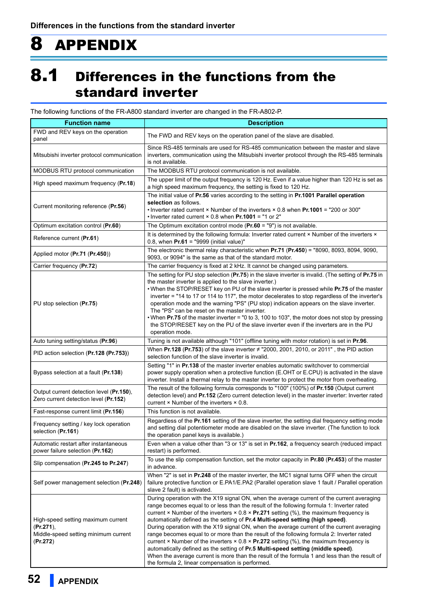# <span id="page-51-3"></span><span id="page-51-2"></span><span id="page-51-0"></span>8 APPENDIX

# <span id="page-51-1"></span>8.1 Differences in the functions from the standard inverter

The following functions of the FR-A800 standard inverter are changed in the FR-A802-P.

| <b>Function name</b>                                                                                | <b>Description</b>                                                                                                                                                                                                                                                                                                                                                                                                                                                                                                                                                                                                                                                                                                                                                                                                                                                                                                                   |  |  |  |
|-----------------------------------------------------------------------------------------------------|--------------------------------------------------------------------------------------------------------------------------------------------------------------------------------------------------------------------------------------------------------------------------------------------------------------------------------------------------------------------------------------------------------------------------------------------------------------------------------------------------------------------------------------------------------------------------------------------------------------------------------------------------------------------------------------------------------------------------------------------------------------------------------------------------------------------------------------------------------------------------------------------------------------------------------------|--|--|--|
| FWD and REV keys on the operation<br>panel                                                          | The FWD and REV keys on the operation panel of the slave are disabled.                                                                                                                                                                                                                                                                                                                                                                                                                                                                                                                                                                                                                                                                                                                                                                                                                                                               |  |  |  |
| Mitsubishi inverter protocol communication                                                          | Since RS-485 terminals are used for RS-485 communication between the master and slave<br>inverters, communication using the Mitsubishi inverter protocol through the RS-485 terminals<br>is not available.                                                                                                                                                                                                                                                                                                                                                                                                                                                                                                                                                                                                                                                                                                                           |  |  |  |
| MODBUS RTU protocol communication                                                                   | The MODBUS RTU protocol communication is not available.                                                                                                                                                                                                                                                                                                                                                                                                                                                                                                                                                                                                                                                                                                                                                                                                                                                                              |  |  |  |
| High speed maximum frequency (Pr.18)                                                                | The upper limit of the output frequency is 120 Hz. Even if a value higher than 120 Hz is set as<br>a high speed maximum frequency, the setting is fixed to 120 Hz.                                                                                                                                                                                                                                                                                                                                                                                                                                                                                                                                                                                                                                                                                                                                                                   |  |  |  |
| Current monitoring reference (Pr.56)                                                                | The initial value of Pr.56 varies according to the setting in Pr.1001 Parallel operation<br>selection as follows.<br>• Inverter rated current $\times$ Number of the inverters $\times$ 0.8 when <b>Pr.1001</b> = "200 or 300"<br>• Inverter rated current $\times$ 0.8 when Pr.1001 = "1 or 2"                                                                                                                                                                                                                                                                                                                                                                                                                                                                                                                                                                                                                                      |  |  |  |
| Optimum excitation control (Pr.60)                                                                  | The Optimum excitation control mode ( $Pr.60 = "9"$ ) is not available.                                                                                                                                                                                                                                                                                                                                                                                                                                                                                                                                                                                                                                                                                                                                                                                                                                                              |  |  |  |
| Reference current ( <b>Pr.61</b> )                                                                  | It is determined by the following formula: Inverter rated current × Number of the inverters ×<br>0.8, when $Pr.61 = "9999$ (initial value)"                                                                                                                                                                                                                                                                                                                                                                                                                                                                                                                                                                                                                                                                                                                                                                                          |  |  |  |
| Applied motor (Pr.71 (Pr.450))                                                                      | The electronic thermal relay characteristic when Pr.71 (Pr.450) = "8090, 8093, 8094, 9090,<br>9093, or 9094" is the same as that of the standard motor.                                                                                                                                                                                                                                                                                                                                                                                                                                                                                                                                                                                                                                                                                                                                                                              |  |  |  |
| Carrier frequency (Pr.72)                                                                           | The carrier frequency is fixed at 2 kHz. It cannot be changed using parameters.                                                                                                                                                                                                                                                                                                                                                                                                                                                                                                                                                                                                                                                                                                                                                                                                                                                      |  |  |  |
| PU stop selection (Pr.75)                                                                           | The setting for PU stop selection (Pr.75) in the slave inverter is invalid. (The setting of Pr.75 in<br>the master inverter is applied to the slave inverter.)<br>. When the STOP/RESET key on PU of the slave inverter is pressed while Pr.75 of the master<br>inverter = "14 to 17 or 114 to 117", the motor decelerates to stop regardless of the inverter's<br>operation mode and the warning "PS" (PU stop) indication appears on the slave inverter.<br>The "PS" can be reset on the master inverter.<br>• When Pr.75 of the master inverter = "0 to 3, 100 to 103", the motor does not stop by pressing<br>the STOP/RESET key on the PU of the slave inverter even if the inverters are in the PU<br>operation mode.                                                                                                                                                                                                          |  |  |  |
| Auto tuning setting/status (Pr.96)                                                                  | Tuning is not available although "101" (offline tuning with motor rotation) is set in Pr.96.                                                                                                                                                                                                                                                                                                                                                                                                                                                                                                                                                                                                                                                                                                                                                                                                                                         |  |  |  |
| PID action selection (Pr.128 (Pr.753))                                                              | When Pr.128 (Pr.753) of the slave inverter $\neq$ "2000, 2001, 2010, or 2011", the PID action<br>selection function of the slave inverter is invalid.                                                                                                                                                                                                                                                                                                                                                                                                                                                                                                                                                                                                                                                                                                                                                                                |  |  |  |
| Bypass selection at a fault (Pr.138)                                                                | Setting "1" in Pr.138 of the master inverter enables automatic switchover to commercial<br>power supply operation when a protective function (E.OHT or E.CPU) is activated in the slave<br>inverter. Install a thermal relay to the master inverter to protect the motor from overheating.                                                                                                                                                                                                                                                                                                                                                                                                                                                                                                                                                                                                                                           |  |  |  |
| Output current detection level (Pr.150),<br>Zero current detection level (Pr.152)                   | The result of the following formula corresponds to "100" (100%) of Pr.150 (Output current<br>detection level) and Pr.152 (Zero current detection level) in the master inverter: Inverter rated<br>current $\times$ Number of the inverters $\times$ 0.8.                                                                                                                                                                                                                                                                                                                                                                                                                                                                                                                                                                                                                                                                             |  |  |  |
| Fast-response current limit (Pr.156)                                                                | This function is not available.                                                                                                                                                                                                                                                                                                                                                                                                                                                                                                                                                                                                                                                                                                                                                                                                                                                                                                      |  |  |  |
| Frequency setting / key lock operation<br>selection (Pr.161)                                        | Regardless of the Pr.161 setting of the slave inverter, the setting dial frequency setting mode<br>and setting dial potentiometer mode are disabled on the slave inverter. (The function to lock<br>the operation panel keys is available.)                                                                                                                                                                                                                                                                                                                                                                                                                                                                                                                                                                                                                                                                                          |  |  |  |
| Automatic restart after instantaneous<br>power failure selection (Pr.162)                           | Even when a value other than "3 or 13" is set in Pr.162, a frequency search (reduced impact<br>restart) is performed.                                                                                                                                                                                                                                                                                                                                                                                                                                                                                                                                                                                                                                                                                                                                                                                                                |  |  |  |
| Slip compensation (Pr.245 to Pr.247)                                                                | To use the slip compensation function, set the motor capacity in Pr.80 (Pr.453) of the master<br>in advance.                                                                                                                                                                                                                                                                                                                                                                                                                                                                                                                                                                                                                                                                                                                                                                                                                         |  |  |  |
| Self power management selection (Pr.248)                                                            | When "2" is set in Pr.248 of the master inverter, the MC1 signal turns OFF when the circuit<br>failure protective function or E.PA1/E.PA2 (Parallel operation slave 1 fault / Parallel operation<br>slave 2 fault) is activated.                                                                                                                                                                                                                                                                                                                                                                                                                                                                                                                                                                                                                                                                                                     |  |  |  |
| High-speed setting maximum current<br>(Pr.271),<br>Middle-speed setting minimum current<br>(Pr.272) | During operation with the X19 signal ON, when the average current of the current averaging<br>range becomes equal to or less than the result of the following formula 1: Inverter rated<br>current × Number of the inverters $\times$ 0.8 $\times$ Pr.271 setting (%), the maximum frequency is<br>automatically defined as the setting of Pr.4 Multi-speed setting (high speed).<br>During operation with the X19 signal ON, when the average current of the current averaging<br>range becomes equal to or more than the result of the following formula 2: Inverter rated<br>current $\times$ Number of the inverters $\times$ 0.8 $\times$ Pr.272 setting (%), the maximum frequency is<br>automatically defined as the setting of Pr.5 Multi-speed setting (middle speed).<br>When the average current is more than the result of the formula 1 and less than the result of<br>the formula 2, linear compensation is performed. |  |  |  |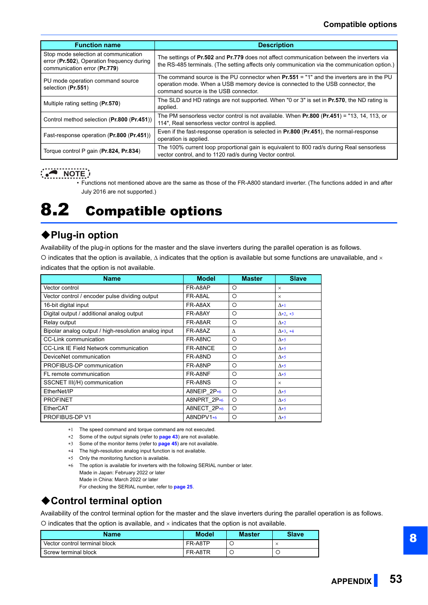| <b>Function name</b>                                                                                               | <b>Description</b>                                                                                                                                                                                                         |
|--------------------------------------------------------------------------------------------------------------------|----------------------------------------------------------------------------------------------------------------------------------------------------------------------------------------------------------------------------|
| Stop mode selection at communication<br>error (Pr.502), Operation frequency during<br>communication error (Pr.779) | The settings of Pr.502 and Pr.779 does not affect communication between the inverters via<br>the RS-485 terminals. (The setting affects only communication via the communication option.)                                  |
| PU mode operation command source<br>selection (Pr.551)                                                             | The command source is the PU connector when <b>Pr.551</b> = "1" and the inverters are in the PU<br>operation mode. When a USB memory device is connected to the USB connector, the<br>command source is the USB connector. |
| Multiple rating setting (Pr.570)                                                                                   | The SLD and HD ratings are not supported. When "0 or 3" is set in Pr.570, the ND rating is<br>applied.                                                                                                                     |
| Control method selection (Pr.800 (Pr.451))                                                                         | The PM sensorless vector control is not available. When $Pr.800$ ( $Pr.451$ ) = "13, 14, 113, or<br>114", Real sensorless vector control is applied.                                                                       |
| Fast-response operation (Pr.800 (Pr.451))                                                                          | Even if the fast-response operation is selected in Pr.800 (Pr.451), the normal-response<br>operation is applied.                                                                                                           |
| Torque control P gain (Pr.824, Pr.834)                                                                             | The 100% current loop proportional gain is equivalent to 800 rad/s during Real sensorless<br>vector control, and to 1120 rad/s during Vector control.                                                                      |

## **NOTE**

 • Functions not mentioned above are the same as those of the FR-A800 standard inverter. (The functions added in and after July 2016 are not supported.)

# <span id="page-52-0"></span>8.2 Compatible options

## **Plug-in option**

Availability of the plug-in options for the master and the slave inverters during the parallel operation is as follows.

O indicates that the option is available,  $\Delta$  indicates that the option is available but some functions are unavailable, and  $\times$ indicates that the option is not available.

| <b>Name</b>                                          | <b>Model</b>  | <b>Master</b> | <b>Slave</b>      |
|------------------------------------------------------|---------------|---------------|-------------------|
| Vector control                                       | FR-A8AP       | O             | $\times$          |
| Vector control / encoder pulse dividing output       | FR-A8AL       | O             | $\times$          |
| 16-bit digital input                                 | FR-A8AX       | $\Omega$      | $\Lambda$ *1      |
| Digital output / additional analog output            | FR-A8AY       | O             | $\Delta * 2$ , *3 |
| Relay output                                         | FR-A8AR       | $\Omega$      | $\Delta_{*2}$     |
| Bipolar analog output / high-resolution analog input | FR-A8AZ       | Λ             | $\Delta * 3$ *4   |
| <b>CC-Link communication</b>                         | FR-A8NC       | $\Omega$      | $\Delta * 5$      |
| <b>CC-Link IE Field Network communication</b>        | FR-A8NCE      | O             | $\Delta * 5$      |
| DeviceNet communication                              | FR-A8ND       | $\Omega$      | $\Delta * 5$      |
| PROFIBUS-DP communication                            | FR-A8NP       | $\Omega$      | $\Delta * 5$      |
| FL remote communication                              | FR-A8NF       | $\circ$       | $\Delta * 5$      |
| SSCNET III(/H) communication                         | FR-A8NS       | $\Omega$      | $\times$          |
| EtherNet/IP                                          | A8NEIP $2P*6$ | $\circ$       | $\Delta * 5$      |
| <b>PROFINET</b>                                      | A8NPRT 2P*6   | $\circ$       | $\Delta * 5$      |
| EtherCAT                                             | A8NECT 2P*6   | $\circ$       | $\Delta * 5$      |
| PROFIBUS-DP V1                                       | A8NDPV1 $*6$  | O             | $\Delta * 5$      |

<span id="page-52-5"></span>The speed command and torque command are not executed.

- <span id="page-52-1"></span>Some of the output signals (refer to **[page 43](#page-42-1)**) are not available.
- <span id="page-52-2"></span>Some of the monitor items (refer to **[page 45](#page-44-1)**) are not available.
- <span id="page-52-3"></span>The high-resolution analog input function is not available.
- <span id="page-52-4"></span>Only the monitoring function is available.
- <span id="page-52-6"></span> The option is available for inverters with the following SERIAL number or later. Made in Japan: February 2022 or later Made in China: March 2022 or later For checking the SERIAL number, refer to **[page 25](#page-24-2)**.

## ◆ Control terminal option

Availability of the control terminal option for the master and the slave inverters during the parallel operation is as follows.

 $O$  indicates that the option is available, and  $\times$  indicates that the option is not available.

| <b>Name</b>                   | <b>Model</b> | <b>Master</b> | <b>Slave</b> |
|-------------------------------|--------------|---------------|--------------|
| Vector control terminal block | FR-A8TP      |               | $\times$     |
| Screw terminal block          | FR-A8TR      | $\check{ }$   | ╰            |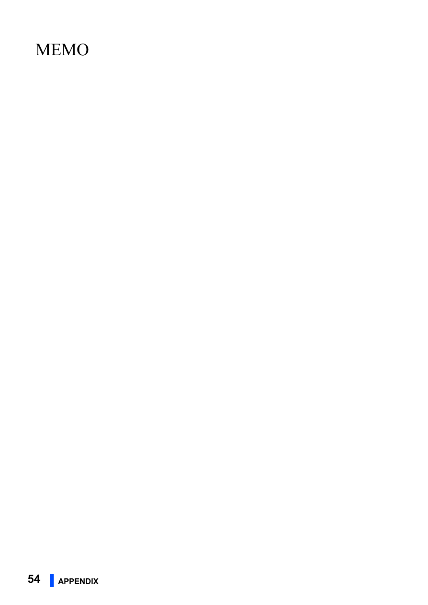# MEMO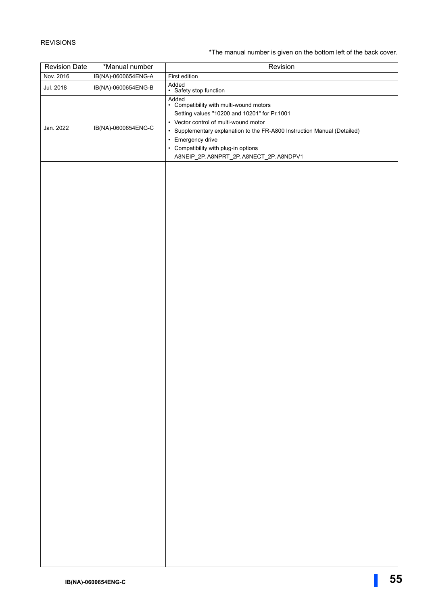### REVISIONS

\*The manual number is given on the bottom left of the back cover.

<span id="page-54-1"></span><span id="page-54-0"></span>

| <b>Revision Date</b> | *Manual number      | Revision                                                                                                                                                                                                                                                                                                                       |
|----------------------|---------------------|--------------------------------------------------------------------------------------------------------------------------------------------------------------------------------------------------------------------------------------------------------------------------------------------------------------------------------|
| Nov. 2016            | IB(NA)-0600654ENG-A | First edition                                                                                                                                                                                                                                                                                                                  |
| Jul. 2018            | IB(NA)-0600654ENG-B | Added<br>• Safety stop function                                                                                                                                                                                                                                                                                                |
| Jan. 2022            | IB(NA)-0600654ENG-C | Added<br>• Compatibility with multi-wound motors<br>Setting values "10200 and 10201" for Pr.1001<br>• Vector control of multi-wound motor<br>• Supplementary explanation to the FR-A800 Instruction Manual (Detailed)<br>• Emergency drive<br>• Compatibility with plug-in options<br>A8NEIP_2P, A8NPRT_2P, A8NECT_2P, A8NDPV1 |
|                      |                     |                                                                                                                                                                                                                                                                                                                                |